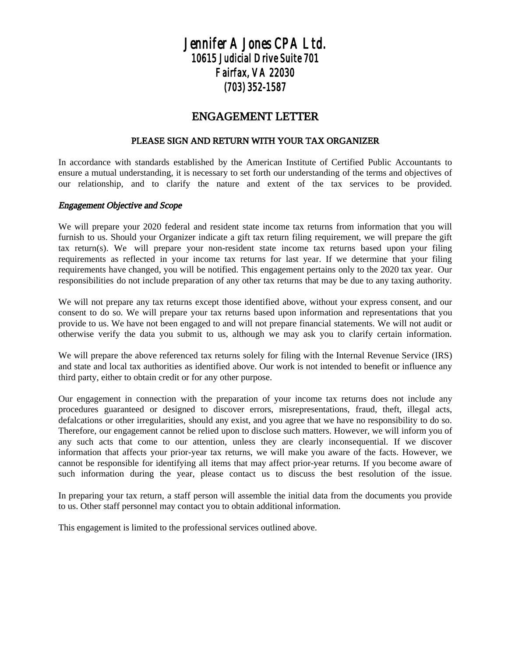## *Jennifer A Jones CPA Ltd. 10615 Judicial Drive Suite 701 Fairfax, VA 22030 (703) 352-1587*

### ENGAGEMENT LETTER

#### PLEASE SIGN AND RETURN WITH YOUR TAX ORGANIZER

In accordance with standards established by the American Institute of Certified Public Accountants to ensure a mutual understanding, it is necessary to set forth our understanding of the terms and objectives of our relationship, and to clarify the nature and extent of the tax services to be provided.

#### Engagement Objective and Scope

We will prepare your 2020 federal and resident state income tax returns from information that you will furnish to us. Should your Organizer indicate a gift tax return filing requirement, we will prepare the gift tax return(s). We will prepare your non-resident state income tax returns based upon your filing requirements as reflected in your income tax returns for last year. If we determine that your filing requirements have changed, you will be notified. This engagement pertains only to the 2020 tax year. Our responsibilities do not include preparation of any other tax returns that may be due to any taxing authority.

We will not prepare any tax returns except those identified above, without your express consent, and our consent to do so. We will prepare your tax returns based upon information and representations that you provide to us. We have not been engaged to and will not prepare financial statements. We will not audit or otherwise verify the data you submit to us, although we may ask you to clarify certain information.

We will prepare the above referenced tax returns solely for filing with the Internal Revenue Service (IRS) and state and local tax authorities as identified above. Our work is not intended to benefit or influence any third party, either to obtain credit or for any other purpose.

Our engagement in connection with the preparation of your income tax returns does not include any procedures guaranteed or designed to discover errors, misrepresentations, fraud, theft, illegal acts, defalcations or other irregularities, should any exist, and you agree that we have no responsibility to do so. Therefore, our engagement cannot be relied upon to disclose such matters. However, we will inform you of any such acts that come to our attention, unless they are clearly inconsequential. If we discover information that affects your prior-year tax returns, we will make you aware of the facts. However, we cannot be responsible for identifying all items that may affect prior-year returns. If you become aware of such information during the year, please contact us to discuss the best resolution of the issue.

In preparing your tax return, a staff person will assemble the initial data from the documents you provide to us. Other staff personnel may contact you to obtain additional information.

This engagement is limited to the professional services outlined above.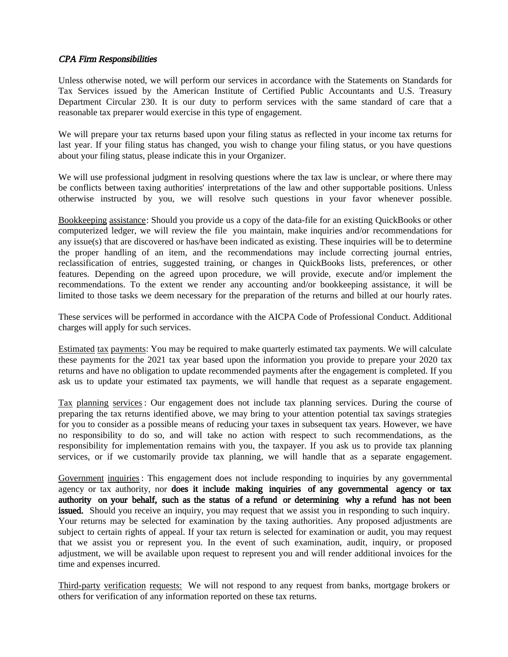#### CPA Firm Responsibilities

Unless otherwise noted, we will perform our services in accordance with the Statements on Standards for Tax Services issued by the American Institute of Certified Public Accountants and U.S. Treasury Department Circular 230. It is our duty to perform services with the same standard of care that a reasonable tax preparer would exercise in this type of engagement.

We will prepare your tax returns based upon your filing status as reflected in your income tax returns for last year. If your filing status has changed, you wish to change your filing status, or you have questions about your filing status, please indicate this in your Organizer.

We will use professional judgment in resolving questions where the tax law is unclear, or where there may be conflicts between taxing authorities' interpretations of the law and other supportable positions. Unless otherwise instructed by you, we will resolve such questions in your favor whenever possible.

Bookkeeping assistance: Should you provide us a copy of the data-file for an existing QuickBooks or other computerized ledger, we will review the file you maintain, make inquiries and/or recommendations for any issue(s) that are discovered or has/have been indicated as existing. These inquiries will be to determine the proper handling of an item, and the recommendations may include correcting journal entries, reclassification of entries, suggested training, or changes in QuickBooks lists, preferences, or other features. Depending on the agreed upon procedure, we will provide, execute and/or implement the recommendations. To the extent we render any accounting and/or bookkeeping assistance, it will be limited to those tasks we deem necessary for the preparation of the returns and billed at our hourly rates.

These services will be performed in accordance with the AICPA Code of Professional Conduct. Additional charges will apply for such services.

Estimated tax payments: You may be required to make quarterly estimated tax payments. We will calculate these payments for the 2021 tax year based upon the information you provide to prepare your 2020 tax returns and have no obligation to update recommended payments after the engagement is completed. If you ask us to update your estimated tax payments, we will handle that request as a separate engagement.

Tax planning services : Our engagement does not include tax planning services. During the course of preparing the tax returns identified above, we may bring to your attention potential tax savings strategies for you to consider as a possible means of reducing your taxes in subsequent tax years. However, we have no responsibility to do so, and will take no action with respect to such recommendations, as the responsibility for implementation remains with you, the taxpayer. If you ask us to provide tax planning services, or if we customarily provide tax planning, we will handle that as a separate engagement.

Government inquiries: This engagement does not include responding to inquiries by any governmental agency or tax authority, nor does it include making inquiries of any governmental agency or tax authority on your behalf, such as the status of a refund or determining why a refund has not been issued. Should you receive an inquiry, you may request that we assist you in responding to such inquiry. Your returns may be selected for examination by the taxing authorities. Any proposed adjustments are subject to certain rights of appeal. If your tax return is selected for examination or audit, you may request that we assist you or represent you. In the event of such examination, audit, inquiry, or proposed adjustment, we will be available upon request to represent you and will render additional invoices for the time and expenses incurred.

Third-party verification requests: We will not respond to any request from banks, mortgage brokers or others for verification of any information reported on these tax returns.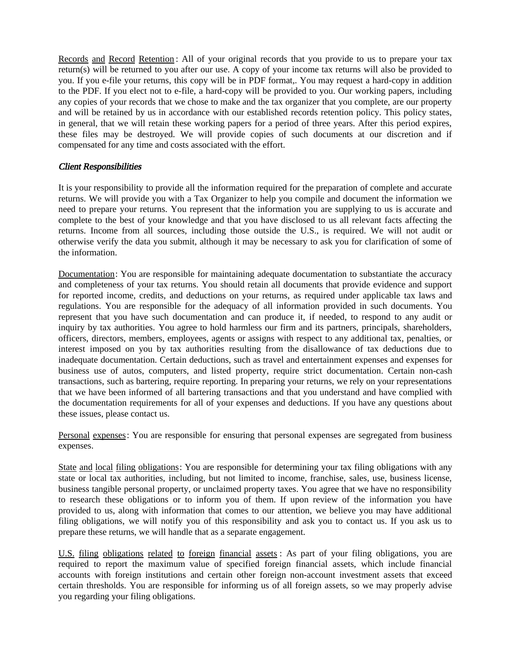Records and Record Retention: All of your original records that you provide to us to prepare your tax return(s) will be returned to you after our use. A copy of your income tax returns will also be provided to you. If you e-file your returns, this copy will be in PDF format,. You may request a hard-copy in addition to the PDF. If you elect not to e-file, a hard-copy will be provided to you. Our working papers, including any copies of your records that we chose to make and the tax organizer that you complete, are our property and will be retained by us in accordance with our established records retention policy. This policy states, in general, that we will retain these working papers for a period of three years. After this period expires, these files may be destroyed. We will provide copies of such documents at our discretion and if compensated for any time and costs associated with the effort.

#### Client Responsibilities

It is your responsibility to provide all the information required for the preparation of complete and accurate returns. We will provide you with a Tax Organizer to help you compile and document the information we need to prepare your returns. You represent that the information you are supplying to us is accurate and complete to the best of your knowledge and that you have disclosed to us all relevant facts affecting the returns. Income from all sources, including those outside the U.S., is required. We will not audit or otherwise verify the data you submit, although it may be necessary to ask you for clarification of some of the information.

Documentation: You are responsible for maintaining adequate documentation to substantiate the accuracy and completeness of your tax returns. You should retain all documents that provide evidence and support for reported income, credits, and deductions on your returns, as required under applicable tax laws and regulations. You are responsible for the adequacy of all information provided in such documents. You represent that you have such documentation and can produce it, if needed, to respond to any audit or inquiry by tax authorities. You agree to hold harmless our firm and its partners, principals, shareholders, officers, directors, members, employees, agents or assigns with respect to any additional tax, penalties, or interest imposed on you by tax authorities resulting from the disallowance of tax deductions due to inadequate documentation. Certain deductions, such as travel and entertainment expenses and expenses for business use of autos, computers, and listed property, require strict documentation. Certain non-cash transactions, such as bartering, require reporting. In preparing your returns, we rely on your representations that we have been informed of all bartering transactions and that you understand and have complied with the documentation requirements for all of your expenses and deductions. If you have any questions about these issues, please contact us.

Personal expenses: You are responsible for ensuring that personal expenses are segregated from business expenses.

State and local filing obligations: You are responsible for determining your tax filing obligations with any state or local tax authorities, including, but not limited to income, franchise, sales, use, business license, business tangible personal property, or unclaimed property taxes. You agree that we have no responsibility to research these obligations or to inform you of them. If upon review of the information you have provided to us, along with information that comes to our attention, we believe you may have additional filing obligations, we will notify you of this responsibility and ask you to contact us. If you ask us to prepare these returns, we will handle that as a separate engagement.

U.S. filing obligations related to foreign financial assets : As part of your filing obligations, you are required to report the maximum value of specified foreign financial assets, which include financial accounts with foreign institutions and certain other foreign non-account investment assets that exceed certain thresholds. You are responsible for informing us of all foreign assets, so we may properly advise you regarding your filing obligations.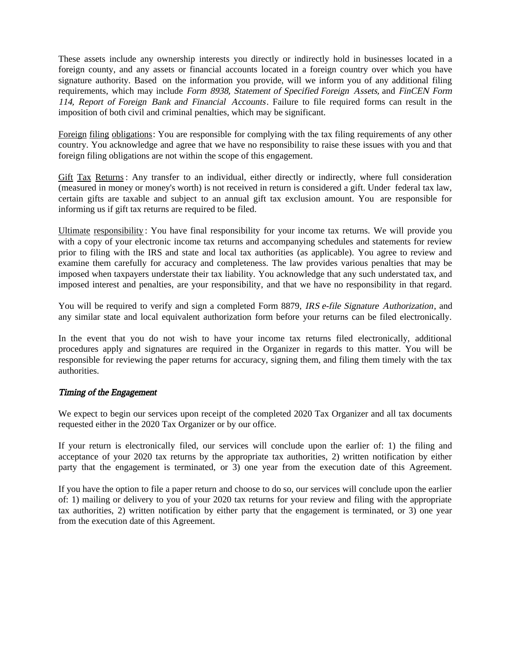These assets include any ownership interests you directly or indirectly hold in businesses located in a foreign county, and any assets or financial accounts located in a foreign country over which you have signature authority. Based on the information you provide, will we inform you of any additional filing requirements, which may include Form 8938, Statement of Specified Foreign Assets, and FinCEN Form 114, Report of Foreign Bank and Financial Accounts. Failure to file required forms can result in the imposition of both civil and criminal penalties, which may be significant.

Foreign filing obligations: You are responsible for complying with the tax filing requirements of any other country. You acknowledge and agree that we have no responsibility to raise these issues with you and that foreign filing obligations are not within the scope of this engagement.

Gift Tax Returns : Any transfer to an individual, either directly or indirectly, where full consideration (measured in money or money's worth) is not received in return is considered a gift. Under federal tax law, certain gifts are taxable and subject to an annual gift tax exclusion amount. You are responsible for informing us if gift tax returns are required to be filed.

Ultimate responsibility : You have final responsibility for your income tax returns. We will provide you with a copy of your electronic income tax returns and accompanying schedules and statements for review prior to filing with the IRS and state and local tax authorities (as applicable). You agree to review and examine them carefully for accuracy and completeness. The law provides various penalties that may be imposed when taxpayers understate their tax liability. You acknowledge that any such understated tax, and imposed interest and penalties, are your responsibility, and that we have no responsibility in that regard.

You will be required to verify and sign a completed Form 8879, IRS e-file Signature Authorization, and any similar state and local equivalent authorization form before your returns can be filed electronically.

In the event that you do not wish to have your income tax returns filed electronically, additional procedures apply and signatures are required in the Organizer in regards to this matter. You will be responsible for reviewing the paper returns for accuracy, signing them, and filing them timely with the tax authorities.

#### Timing of the Engagement

We expect to begin our services upon receipt of the completed 2020 Tax Organizer and all tax documents requested either in the 2020 Tax Organizer or by our office.

If your return is electronically filed, our services will conclude upon the earlier of: 1) the filing and acceptance of your 2020 tax returns by the appropriate tax authorities, 2) written notification by either party that the engagement is terminated, or 3) one year from the execution date of this Agreement.

If you have the option to file a paper return and choose to do so, our services will conclude upon the earlier of: 1) mailing or delivery to you of your 2020 tax returns for your review and filing with the appropriate tax authorities, 2) written notification by either party that the engagement is terminated, or 3) one year from the execution date of this Agreement.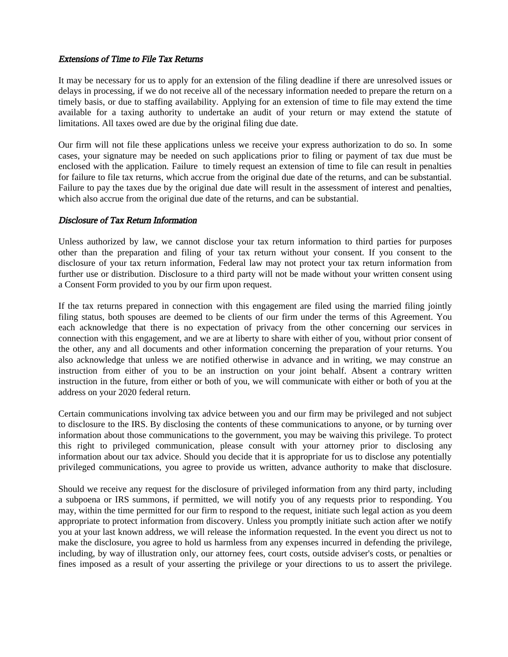#### Extensions of Time to File Tax Returns

It may be necessary for us to apply for an extension of the filing deadline if there are unresolved issues or delays in processing, if we do not receive all of the necessary information needed to prepare the return on a timely basis, or due to staffing availability. Applying for an extension of time to file may extend the time available for a taxing authority to undertake an audit of your return or may extend the statute of limitations. All taxes owed are due by the original filing due date.

Our firm will not file these applications unless we receive your express authorization to do so. In some cases, your signature may be needed on such applications prior to filing or payment of tax due must be enclosed with the application. Failure to timely request an extension of time to file can result in penalties for failure to file tax returns, which accrue from the original due date of the returns, and can be substantial. Failure to pay the taxes due by the original due date will result in the assessment of interest and penalties, which also accrue from the original due date of the returns, and can be substantial.

#### Disclosure of Tax Return Information

Unless authorized by law, we cannot disclose your tax return information to third parties for purposes other than the preparation and filing of your tax return without your consent. If you consent to the disclosure of your tax return information, Federal law may not protect your tax return information from further use or distribution. Disclosure to a third party will not be made without your written consent using a Consent Form provided to you by our firm upon request.

If the tax returns prepared in connection with this engagement are filed using the married filing jointly filing status, both spouses are deemed to be clients of our firm under the terms of this Agreement. You each acknowledge that there is no expectation of privacy from the other concerning our services in connection with this engagement, and we are at liberty to share with either of you, without prior consent of the other, any and all documents and other information concerning the preparation of your returns. You also acknowledge that unless we are notified otherwise in advance and in writing, we may construe an instruction from either of you to be an instruction on your joint behalf. Absent a contrary written instruction in the future, from either or both of you, we will communicate with either or both of you at the address on your 2020 federal return.

Certain communications involving tax advice between you and our firm may be privileged and not subject to disclosure to the IRS. By disclosing the contents of these communications to anyone, or by turning over information about those communications to the government, you may be waiving this privilege. To protect this right to privileged communication, please consult with your attorney prior to disclosing any information about our tax advice. Should you decide that it is appropriate for us to disclose any potentially privileged communications, you agree to provide us written, advance authority to make that disclosure.

Should we receive any request for the disclosure of privileged information from any third party, including a subpoena or IRS summons, if permitted, we will notify you of any requests prior to responding. You may, within the time permitted for our firm to respond to the request, initiate such legal action as you deem appropriate to protect information from discovery. Unless you promptly initiate such action after we notify you at your last known address, we will release the information requested. In the event you direct us not to make the disclosure, you agree to hold us harmless from any expenses incurred in defending the privilege, including, by way of illustration only, our attorney fees, court costs, outside adviser's costs, or penalties or fines imposed as a result of your asserting the privilege or your directions to us to assert the privilege.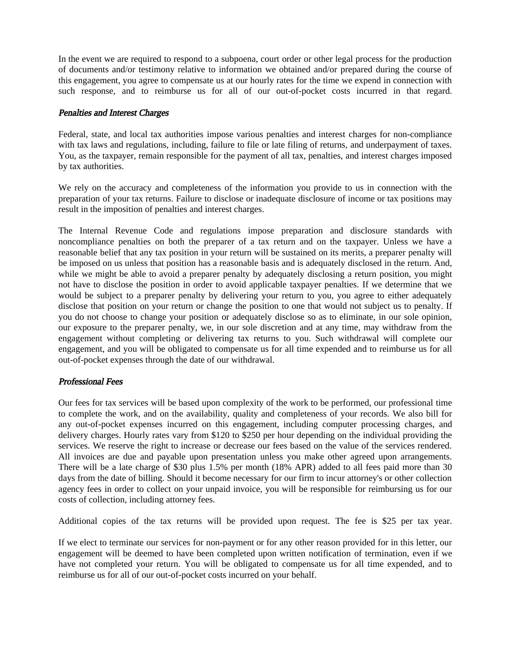In the event we are required to respond to a subpoena, court order or other legal process for the production of documents and/or testimony relative to information we obtained and/or prepared during the course of this engagement, you agree to compensate us at our hourly rates for the time we expend in connection with such response, and to reimburse us for all of our out-of-pocket costs incurred in that regard.

#### Penalties and Interest Charges

Federal, state, and local tax authorities impose various penalties and interest charges for non-compliance with tax laws and regulations, including, failure to file or late filing of returns, and underpayment of taxes. You, as the taxpayer, remain responsible for the payment of all tax, penalties, and interest charges imposed by tax authorities.

We rely on the accuracy and completeness of the information you provide to us in connection with the preparation of your tax returns. Failure to disclose or inadequate disclosure of income or tax positions may result in the imposition of penalties and interest charges.

The Internal Revenue Code and regulations impose preparation and disclosure standards with noncompliance penalties on both the preparer of a tax return and on the taxpayer. Unless we have a reasonable belief that any tax position in your return will be sustained on its merits, a preparer penalty will be imposed on us unless that position has a reasonable basis and is adequately disclosed in the return. And, while we might be able to avoid a preparer penalty by adequately disclosing a return position, you might not have to disclose the position in order to avoid applicable taxpayer penalties. If we determine that we would be subject to a preparer penalty by delivering your return to you, you agree to either adequately disclose that position on your return or change the position to one that would not subject us to penalty. If you do not choose to change your position or adequately disclose so as to eliminate, in our sole opinion, our exposure to the preparer penalty, we, in our sole discretion and at any time, may withdraw from the engagement without completing or delivering tax returns to you. Such withdrawal will complete our engagement, and you will be obligated to compensate us for all time expended and to reimburse us for all out-of-pocket expenses through the date of our withdrawal.

#### Professional Fees

Our fees for tax services will be based upon complexity of the work to be performed, our professional time to complete the work, and on the availability, quality and completeness of your records. We also bill for any out-of-pocket expenses incurred on this engagement, including computer processing charges, and delivery charges. Hourly rates vary from \$120 to \$250 per hour depending on the individual providing the services. We reserve the right to increase or decrease our fees based on the value of the services rendered. All invoices are due and payable upon presentation unless you make other agreed upon arrangements. There will be a late charge of \$30 plus 1.5% per month (18% APR) added to all fees paid more than 30 days from the date of billing. Should it become necessary for our firm to incur attorney's or other collection agency fees in order to collect on your unpaid invoice, you will be responsible for reimbursing us for our costs of collection, including attorney fees.

Additional copies of the tax returns will be provided upon request. The fee is \$25 per tax year.

If we elect to terminate our services for non-payment or for any other reason provided for in this letter, our engagement will be deemed to have been completed upon written notification of termination, even if we have not completed your return. You will be obligated to compensate us for all time expended, and to reimburse us for all of our out-of-pocket costs incurred on your behalf.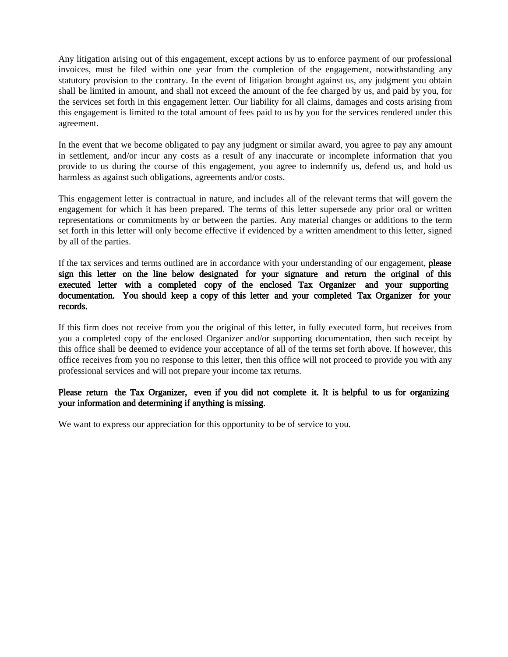Any litigation arising out of this engagement, except actions by us to enforce payment of our professional invoices, must be filed within one year from the completion of the engagement, notwithstanding any statutory provision to the contrary. In the event of litigation brought against us, any judgment you obtain shall be limited in amount, and shall not exceed the amount of the fee charged by us, and paid by you, for the services set forth in this engagement letter. Our liability for all claims, damages and costs arising from this engagement is limited to the total amount of fees paid to us by you for the services rendered under this agreement.

In the event that we become obligated to pay any judgment or similar award, you agree to pay any amount in settlement, and/or incur any costs as a result of any inaccurate or incomplete information that you provide to us during the course of this engagement, you agree to indemnify us, defend us, and hold us harmless as against such obligations, agreements and/or costs.

This engagement letter is contractual in nature, and includes all of the relevant terms that will govern the engagement for which it has been prepared. The terms of this letter supersede any prior oral or written representations or commitments by or between the parties. Any material changes or additions to the term set forth in this letter will only become effective if evidenced by a written amendment to this letter, signed by all of the parties.

If the tax services and terms outlined are in accordance with your understanding of our engagement, please sign this letter on the line below designated for your signature and return the original of this executed letter with a completed copy of the enclosed Tax Organizer and your supporting documentation. You should keep a copy of this letter and your completed Tax Organizer for your records.

If this firm does not receive from you the original of this letter, in fully executed form, but receives from you a completed copy of the enclosed Organizer and/or supporting documentation, then such receipt by this office shall be deemed to evidence your acceptance of all of the terms set forth above. If however, this office receives from you no response to this letter, then this office will not proceed to provide you with any professional services and will not prepare your income tax returns.

#### Please return the Tax Organizer, even if you did not complete it. It is helpful to us for organizing your information and determining if anything is missing.

We want to express our appreciation for this opportunity to be of service to you.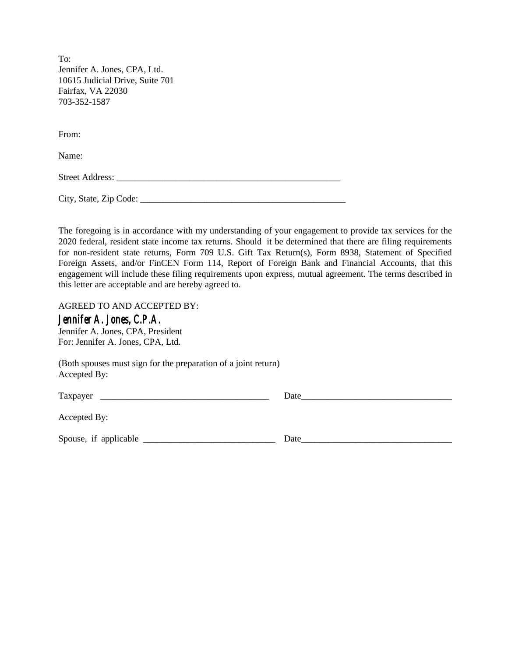To: Jennifer A. Jones, CPA, Ltd. 10615 Judicial Drive, Suite 701 Fairfax, VA 22030 703-352-1587

From:

Name:

Street Address: \_\_\_\_\_\_\_\_\_\_\_\_\_\_\_\_\_\_\_\_\_\_\_\_\_\_\_\_\_\_\_\_\_\_\_\_\_\_\_\_\_\_\_\_\_\_\_\_\_

City, State, Zip Code: \_\_\_\_\_\_\_\_\_\_\_\_\_\_\_\_\_\_\_\_\_\_\_\_\_\_\_\_\_\_\_\_\_\_\_\_\_\_\_\_\_\_\_\_\_

The foregoing is in accordance with my understanding of your engagement to provide tax services for the 2020 federal, resident state income tax returns. Should it be determined that there are filing requirements for non-resident state returns, Form 709 U.S. Gift Tax Return(s), Form 8938, Statement of Specified Foreign Assets, and/or FinCEN Form 114, Report of Foreign Bank and Financial Accounts, that this engagement will include these filing requirements upon express, mutual agreement. The terms described in this letter are acceptable and are hereby agreed to.

AGREED TO AND ACCEPTED BY:

#### *Jennifer A. Jones, C.P.A.*

Jennifer A. Jones, CPA, President For: Jennifer A. Jones, CPA, Ltd.

(Both spouses must sign for the preparation of a joint return) Accepted By:

Taxpayer \_\_\_\_\_\_\_\_\_\_\_\_\_\_\_\_\_\_\_\_\_\_\_\_\_\_\_\_\_\_\_\_\_\_\_\_\_ Date\_\_\_\_\_\_\_\_\_\_\_\_\_\_\_\_\_\_\_\_\_\_\_\_\_\_\_\_\_\_\_\_\_

Accepted By:

Spouse, if applicable \_\_\_\_\_\_\_\_\_\_\_\_\_\_\_\_\_\_\_\_\_\_\_\_\_\_\_\_\_ Date\_\_\_\_\_\_\_\_\_\_\_\_\_\_\_\_\_\_\_\_\_\_\_\_\_\_\_\_\_\_\_\_\_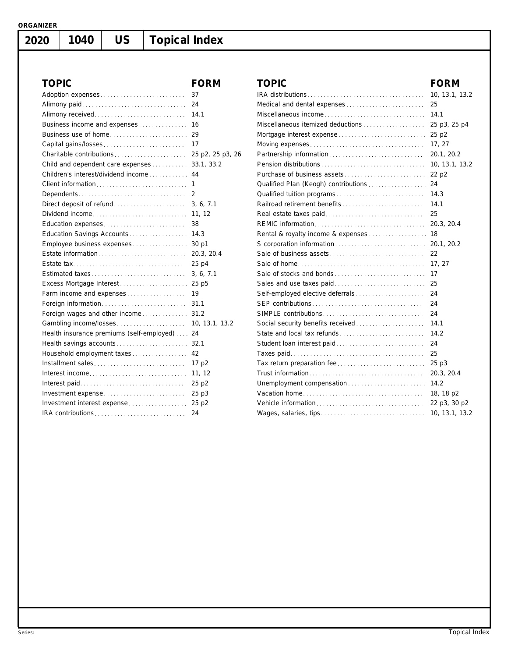**2020**

# **1040 US Topical Index**

| <b>TOPIC</b>                                  | <b>FORM</b>      | <b>TOPI</b>          |
|-----------------------------------------------|------------------|----------------------|
| Adoption expenses                             | 37               | IRA dist             |
| Alimony paid                                  | 24               | Medical              |
| Alimony received                              | 14.1             | Miscella             |
| Business income and expenses                  | 16               | Miscella             |
| Business use of home                          | 29               | Mortgag              |
| Capital gains/losses                          | 17               | Moving               |
| Charitable contributions                      | 25 p2, 25 p3, 26 | <b>Partners</b>      |
| Child and dependent care expenses             | 33.1, 33.2       | Pension              |
| Children's interest/dividend income           | 44               | Purchas              |
| Client information                            | 1                | Oualifie             |
| Dependents                                    | 2                | Qualifie             |
| Direct deposit of refund                      | 3, 6, 7.1        | Railroad             |
| Dividend income                               | 11, 12           | Real es <sup>®</sup> |
| Education expenses                            | 38               | <b>REMIC</b>         |
| Education Savings Accounts                    | 14.3             | Rental &             |
| Employee business expenses                    | 30 p1            | S corpo              |
| Estate information                            | 20.3, 20.4       | Sale of              |
|                                               | 25 p4            | Sale of              |
| Estimated taxes                               | 3, 6, 7.1        | Sale of              |
| Excess Mortgage Interest                      | 25 p5            | Sales a              |
| Farm income and expenses                      | 19               | Self-em              |
| Foreign information                           | 31.1             | SEP cor              |
| Foreign wages and other income                | 31.2             | <b>SIMPLE</b>        |
| Gambling income/losses                        | 10, 13.1, 13.2   | Social s             |
| Health insurance premiums (self-employed)  24 |                  | State ar             |
| Health savings accounts                       | 32.1             | Student              |
| Household employment taxes                    | 42               | Taxes p              |
| Installment sales                             | 17 p2            | Tax retu             |
| Interest income                               | 11, 12           | Trust in             |
| Interest paid                                 | 25 p2            | Unempl               |
| Investment expense                            | 25 p3            | Vacatio              |
| Investment interest expense                   | 25 p2            | Vehicle              |
| IRA contributions                             | 24               | Wages,               |
|                                               |                  |                      |

| <b>TOPIC</b>                         | <b>FORM</b>    |
|--------------------------------------|----------------|
|                                      | 10, 13.1, 13.2 |
| Medical and dental expenses          | 25             |
| Miscellaneous income                 | 14.1           |
| Miscellaneous itemized deductions    | 25 p3, 25 p4   |
| Mortgage interest expense            | 25 p2          |
|                                      | 17, 27         |
|                                      | 20.1, 20.2     |
|                                      | 10, 13.1, 13.2 |
|                                      | 22 p2          |
| Qualified Plan (Keogh) contributions | 24             |
|                                      | 14.3           |
| Railroad retirement benefits         | 14.1           |
|                                      | 25             |
|                                      | 20.3, 20.4     |
| Rental & royalty income & expenses   | 18             |
|                                      | 20.1, 20.2     |
|                                      | 22             |
|                                      | 17.27          |
| Sale of stocks and bonds             | 17             |
|                                      | 25             |
|                                      | 24             |
|                                      | 24             |
|                                      | 24             |
| Social security benefits received    | 14.1           |
| State and local tax refunds          | 14.2           |
| Student loan interest paid           | 24             |
|                                      | 25             |
| Tax return preparation fee           | 25p3           |
|                                      | 20.3, 20.4     |
| Unemployment compensation            | 14.2           |
|                                      | 18, 18 p2      |
|                                      | 22 p3, 30 p2   |
|                                      | 10, 13.1, 13.2 |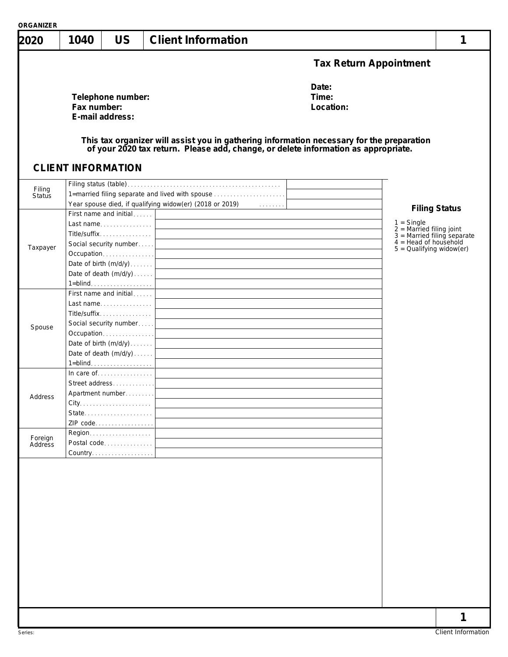| 2020     | 1040                      | <b>US</b>                            | <b>Client Information</b>                                                                                                                                                                                                                                                                                                               |                               | 1                                                                           |
|----------|---------------------------|--------------------------------------|-----------------------------------------------------------------------------------------------------------------------------------------------------------------------------------------------------------------------------------------------------------------------------------------------------------------------------------------|-------------------------------|-----------------------------------------------------------------------------|
|          |                           |                                      |                                                                                                                                                                                                                                                                                                                                         | <b>Tax Return Appointment</b> |                                                                             |
|          | Fax number:               | Telephone number:<br>E-mail address: |                                                                                                                                                                                                                                                                                                                                         | Date:<br>Time:<br>Location:   |                                                                             |
|          | <b>CLIENT INFORMATION</b> |                                      | This tax organizer will assist you in gathering information necessary for the preparation of your 2020 tax return. Please add, change, or delete information as appropriate.                                                                                                                                                            |                               |                                                                             |
| Filing   |                           |                                      |                                                                                                                                                                                                                                                                                                                                         |                               |                                                                             |
| Status   |                           |                                      | 1=married filing separate and lived with spouse                                                                                                                                                                                                                                                                                         |                               |                                                                             |
|          |                           |                                      |                                                                                                                                                                                                                                                                                                                                         |                               | <b>Filing Status</b>                                                        |
|          |                           |                                      |                                                                                                                                                                                                                                                                                                                                         |                               |                                                                             |
|          |                           | Last name                            |                                                                                                                                                                                                                                                                                                                                         |                               | $1 =$ Single<br>$2 =$ Married filing joint<br>$3 =$ Married filing separate |
|          |                           | Title/suffix                         | <u> 1989 - Johann Stein, marwolaethau a bhann an t-Amhain an t-Amhain an t-Amhain an t-Amhain an t-Amhain an t-A</u>                                                                                                                                                                                                                    |                               |                                                                             |
| Taxpayer |                           |                                      |                                                                                                                                                                                                                                                                                                                                         |                               | $4 =$ Head of household<br>$5 =$ Qualifying widow(er)                       |
|          |                           |                                      |                                                                                                                                                                                                                                                                                                                                         |                               |                                                                             |
|          |                           |                                      |                                                                                                                                                                                                                                                                                                                                         |                               |                                                                             |
|          |                           |                                      |                                                                                                                                                                                                                                                                                                                                         |                               |                                                                             |
|          |                           |                                      | 1=blind. $\ldots$ $\ldots$ $\ldots$ $\ldots$ $\ldots$ $\ldots$ $\ldots$ $\ldots$ $\ldots$ $\ldots$ $\ldots$ $\ldots$ $\ldots$ $\ldots$ $\ldots$ $\ldots$ $\ldots$ $\ldots$ $\ldots$ $\ldots$ $\ldots$ $\ldots$ $\ldots$ $\ldots$ $\ldots$ $\ldots$ $\ldots$ $\ldots$ $\ldots$ $\ldots$ $\ldots$ $\ldots$ $\ldots$ $\ldots$ $\ldots$ $\$ |                               |                                                                             |
|          |                           | First name and initial               |                                                                                                                                                                                                                                                                                                                                         |                               |                                                                             |
|          |                           |                                      |                                                                                                                                                                                                                                                                                                                                         |                               |                                                                             |
| Spouse   |                           | Title/suffix                         | <u> 1980 - Johann Stein, marwolaethau a bhann an t-Amhair an t-Amhair an t-Amhair an t-Amhair an t-Amhair an t-A</u>                                                                                                                                                                                                                    |                               |                                                                             |
|          |                           |                                      |                                                                                                                                                                                                                                                                                                                                         |                               |                                                                             |
|          |                           |                                      |                                                                                                                                                                                                                                                                                                                                         |                               |                                                                             |
|          |                           |                                      |                                                                                                                                                                                                                                                                                                                                         |                               |                                                                             |
|          |                           |                                      |                                                                                                                                                                                                                                                                                                                                         |                               |                                                                             |
|          |                           |                                      |                                                                                                                                                                                                                                                                                                                                         |                               |                                                                             |
|          |                           |                                      |                                                                                                                                                                                                                                                                                                                                         |                               |                                                                             |
|          |                           | Street address                       | the control of the control of the control of the control of the control of the control of                                                                                                                                                                                                                                               |                               |                                                                             |
| Address  |                           | Apartment number                     |                                                                                                                                                                                                                                                                                                                                         |                               |                                                                             |
|          |                           |                                      |                                                                                                                                                                                                                                                                                                                                         |                               |                                                                             |
|          |                           | State                                |                                                                                                                                                                                                                                                                                                                                         |                               |                                                                             |
|          |                           | ZIP code                             |                                                                                                                                                                                                                                                                                                                                         |                               |                                                                             |
| Foreign  |                           |                                      |                                                                                                                                                                                                                                                                                                                                         |                               |                                                                             |
| Address  |                           | Postal code                          |                                                                                                                                                                                                                                                                                                                                         |                               |                                                                             |
|          |                           | Country.                             |                                                                                                                                                                                                                                                                                                                                         |                               |                                                                             |
|          |                           |                                      |                                                                                                                                                                                                                                                                                                                                         |                               |                                                                             |
|          |                           |                                      |                                                                                                                                                                                                                                                                                                                                         |                               |                                                                             |
|          |                           |                                      |                                                                                                                                                                                                                                                                                                                                         |                               |                                                                             |
|          |                           |                                      |                                                                                                                                                                                                                                                                                                                                         |                               |                                                                             |
|          |                           |                                      |                                                                                                                                                                                                                                                                                                                                         |                               |                                                                             |
|          |                           |                                      |                                                                                                                                                                                                                                                                                                                                         |                               |                                                                             |
|          |                           |                                      |                                                                                                                                                                                                                                                                                                                                         |                               |                                                                             |
|          |                           |                                      |                                                                                                                                                                                                                                                                                                                                         |                               |                                                                             |
|          |                           |                                      |                                                                                                                                                                                                                                                                                                                                         |                               |                                                                             |
|          |                           |                                      |                                                                                                                                                                                                                                                                                                                                         |                               |                                                                             |
|          |                           |                                      |                                                                                                                                                                                                                                                                                                                                         |                               |                                                                             |
|          |                           |                                      |                                                                                                                                                                                                                                                                                                                                         |                               |                                                                             |
|          |                           |                                      |                                                                                                                                                                                                                                                                                                                                         |                               |                                                                             |
|          |                           |                                      |                                                                                                                                                                                                                                                                                                                                         |                               |                                                                             |
|          |                           |                                      |                                                                                                                                                                                                                                                                                                                                         |                               |                                                                             |
|          |                           |                                      |                                                                                                                                                                                                                                                                                                                                         |                               | 1                                                                           |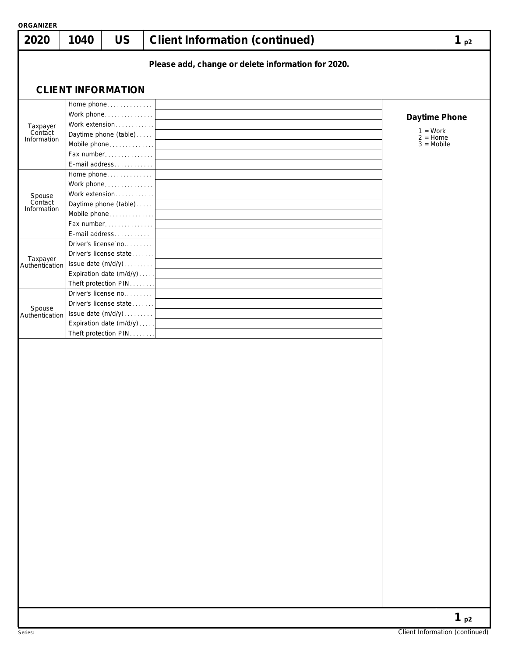| <b>ORGANIZER</b><br>2020           | 1040 | <b>US</b>                                                                                                                                     | <b>Client Information (continued)</b>              | $1_{p2}$      |
|------------------------------------|------|-----------------------------------------------------------------------------------------------------------------------------------------------|----------------------------------------------------|---------------|
|                                    |      |                                                                                                                                               | Please add, change or delete information for 2020. |               |
|                                    |      | <b>CLIENT INFORMATION</b>                                                                                                                     |                                                    |               |
| Taxpayer<br>Contact<br>Information |      | Home phone<br>Work phone<br>Work extension<br>Daytime phone (table)<br>Mobile phone<br>Fax number<br>E-mail address                           | $1 = Work$<br>$2 =$ Home<br>$3 = Mobile$           | Daytime Phone |
| Spouse<br>Contact<br>Information   |      | Home phone<br>Work phone<br>Work extension<br>Daytime phone (table)<br>Mobile phone<br>Fax number<br>E-mail address                           |                                                    |               |
| Taxpayer<br>Authentication         |      | Driver's license no<br>Driver's license state<br>Issue date (m/d/y)<br>Expiration date (m/d/y)<br>Theft protection PIN<br>Driver's license no |                                                    |               |
| Spouse<br>Authentication           |      | Driver's license state<br>Issue date (m/d/y)<br>Expiration date $(m/d/y)$<br>Theft protection PIN                                             |                                                    |               |
|                                    |      |                                                                                                                                               |                                                    |               |
|                                    |      |                                                                                                                                               |                                                    |               |
|                                    |      |                                                                                                                                               |                                                    |               |
|                                    |      |                                                                                                                                               |                                                    |               |
|                                    |      |                                                                                                                                               |                                                    | $1_{p2}$      |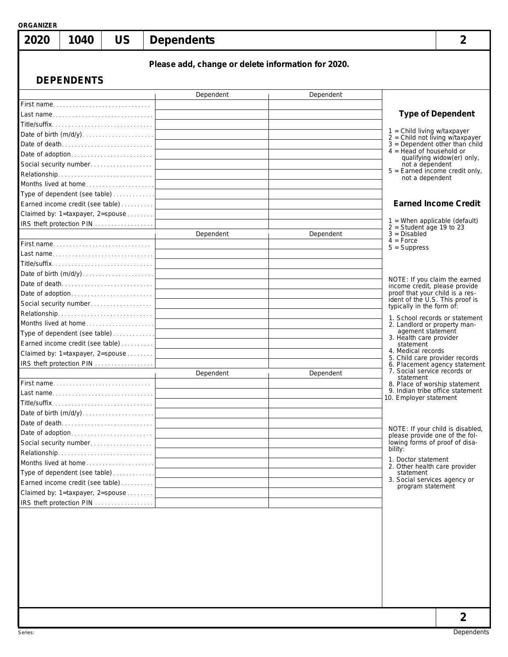| 2020      | 1040                                                              | <b>US</b> | <b>Dependents</b> |                                                    |                                                                    |                                                               |
|-----------|-------------------------------------------------------------------|-----------|-------------------|----------------------------------------------------|--------------------------------------------------------------------|---------------------------------------------------------------|
|           | <b>DEPENDENTS</b>                                                 |           |                   | Please add, change or delete information for 2020. |                                                                    |                                                               |
|           |                                                                   |           | Dependent         | Dependent                                          |                                                                    |                                                               |
|           | First name                                                        |           |                   |                                                    |                                                                    |                                                               |
|           | Last name                                                         |           |                   |                                                    |                                                                    | <b>Type of Dependent</b>                                      |
|           |                                                                   |           |                   |                                                    |                                                                    |                                                               |
|           |                                                                   |           |                   |                                                    | 1 = Child living w/taxpayer<br>2 = Child not living w/taxpayer     |                                                               |
|           | Date of death                                                     |           |                   |                                                    | $4 =$ Head of household or                                         | $3 = Dependent other than child$                              |
|           |                                                                   |           |                   |                                                    |                                                                    | qualifying widow(er) only,                                    |
|           |                                                                   |           |                   |                                                    | not a dependent<br>$5 =$ Earned income credit only,                |                                                               |
|           |                                                                   |           |                   |                                                    | not a dependent                                                    |                                                               |
|           | Months lived at home                                              |           |                   |                                                    |                                                                    |                                                               |
|           | Type of dependent (see table)<br>Earned income credit (see table) |           |                   |                                                    |                                                                    | <b>Earned Income Credit</b>                                   |
|           | Claimed by: 1=taxpayer, 2=spouse                                  |           |                   |                                                    |                                                                    |                                                               |
|           | IRS theft protection PIN                                          |           |                   |                                                    | $1$ = When applicable (default)                                    |                                                               |
|           |                                                                   |           | Dependent         | Dependent                                          | $2 = Student$ age 19 to 23<br>$3 = Disabled$                       |                                                               |
|           | First name                                                        |           |                   |                                                    | $4 =$ Force<br>$5 =$ Suppress                                      |                                                               |
|           | Last name                                                         |           |                   |                                                    |                                                                    |                                                               |
|           |                                                                   |           |                   |                                                    |                                                                    |                                                               |
|           |                                                                   |           |                   |                                                    |                                                                    |                                                               |
|           | Date of death                                                     |           |                   |                                                    | NOTE: If you claim the earned<br>income credit, please provide     |                                                               |
|           | Date of adoption                                                  |           |                   |                                                    | proof that your child is a res-<br>ident of the U.S. This proof is |                                                               |
|           |                                                                   |           |                   |                                                    | typically in the form of:                                          |                                                               |
|           | Relationship                                                      |           |                   |                                                    |                                                                    | 1. School records or statement                                |
|           | Months lived at home                                              |           |                   |                                                    | 2. Landlord or property man-<br>agement statement                  |                                                               |
|           | Type of dependent (see table)<br>Earned income credit (see table) |           |                   |                                                    | 3. Health care provider                                            |                                                               |
|           | Claimed by: 1=taxpayer, 2=spouse                                  |           |                   |                                                    | statement<br>4. Medical records                                    |                                                               |
|           | IRS theft protection PIN                                          |           |                   |                                                    | 5. Child care provider records                                     |                                                               |
|           |                                                                   |           | Dependent         | Dependent                                          |                                                                    | 6. Placement agency statement<br>7. Social service records or |
|           | First name                                                        |           |                   |                                                    | statement<br>8. Place of worship statement                         |                                                               |
| Last name |                                                                   |           |                   |                                                    |                                                                    | 9. Indian tribe office statement                              |
|           |                                                                   |           |                   |                                                    | 10. Employer statement                                             |                                                               |
|           |                                                                   |           |                   |                                                    |                                                                    |                                                               |
|           | Date of death                                                     |           |                   |                                                    |                                                                    | NOTE: If your child is disabled,                              |
|           |                                                                   |           |                   |                                                    | please provide one of the fol-                                     |                                                               |
|           | Social security number                                            |           |                   |                                                    | lowing forms of proof of disa-<br>bility:                          |                                                               |
|           |                                                                   |           |                   |                                                    | 1. Doctor statement                                                |                                                               |
|           | Months lived at home                                              |           |                   |                                                    | 2. Other health care provider                                      |                                                               |
|           | Type of dependent (see table)<br>Earned income credit (see table) |           |                   |                                                    | statement<br>3. Social services agency or                          |                                                               |
|           | Claimed by: 1=taxpayer, 2=spouse                                  |           |                   |                                                    | program statement                                                  |                                                               |
|           | IRS theft protection PIN                                          |           |                   |                                                    |                                                                    |                                                               |
|           |                                                                   |           |                   |                                                    |                                                                    |                                                               |
|           |                                                                   |           |                   |                                                    |                                                                    |                                                               |
|           |                                                                   |           |                   |                                                    |                                                                    |                                                               |
|           |                                                                   |           |                   |                                                    |                                                                    |                                                               |
|           |                                                                   |           |                   |                                                    |                                                                    |                                                               |
|           |                                                                   |           |                   |                                                    |                                                                    |                                                               |
|           |                                                                   |           |                   |                                                    |                                                                    |                                                               |
|           |                                                                   |           |                   |                                                    |                                                                    |                                                               |
|           |                                                                   |           |                   |                                                    |                                                                    |                                                               |
|           |                                                                   |           |                   |                                                    |                                                                    |                                                               |
|           |                                                                   |           |                   |                                                    |                                                                    | 2                                                             |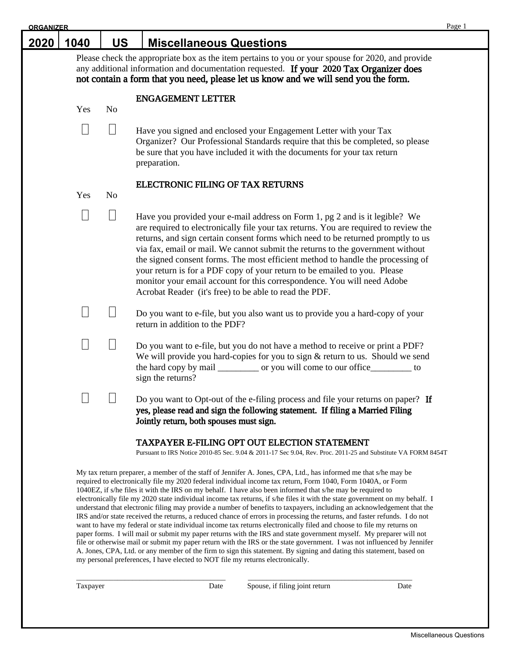| <b>ORGANIZER</b> |                 |                |                                                                                                                                                                                                                                                                                                                                                                                                                                                                                                                                                                                                                                                | Page 1 |
|------------------|-----------------|----------------|------------------------------------------------------------------------------------------------------------------------------------------------------------------------------------------------------------------------------------------------------------------------------------------------------------------------------------------------------------------------------------------------------------------------------------------------------------------------------------------------------------------------------------------------------------------------------------------------------------------------------------------------|--------|
| 2020             | 1040            | <b>US</b>      | <b>Miscellaneous Questions</b>                                                                                                                                                                                                                                                                                                                                                                                                                                                                                                                                                                                                                 |        |
|                  |                 |                | Please check the appropriate box as the item pertains to you or your spouse for 2020, and provide<br>any additional information and documentation requested. If your 2020 Tax Organizer does<br>not contain a form that you need, please let us know and we will send you the form.                                                                                                                                                                                                                                                                                                                                                            |        |
|                  | Yes             | N <sub>o</sub> | <b>ENGAGEMENT LETTER</b>                                                                                                                                                                                                                                                                                                                                                                                                                                                                                                                                                                                                                       |        |
|                  | $\Box$          | $\Box$         | Have you signed and enclosed your Engagement Letter with your Tax<br>Organizer? Our Professional Standards require that this be completed, so please<br>be sure that you have included it with the documents for your tax return<br>preparation.                                                                                                                                                                                                                                                                                                                                                                                               |        |
|                  | Yes             | N <sub>o</sub> | ELECTRONIC FILING OF TAX RETURNS                                                                                                                                                                                                                                                                                                                                                                                                                                                                                                                                                                                                               |        |
|                  | $\vert \ \vert$ |                | Have you provided your e-mail address on Form 1, pg 2 and is it legible? We<br>are required to electronically file your tax returns. You are required to review the<br>returns, and sign certain consent forms which need to be returned promptly to us<br>via fax, email or mail. We cannot submit the returns to the government without<br>the signed consent forms. The most efficient method to handle the processing of<br>your return is for a PDF copy of your return to be emailed to you. Please<br>monitor your email account for this correspondence. You will need Adobe<br>Acrobat Reader (it's free) to be able to read the PDF. |        |
|                  | П               |                | Do you want to e-file, but you also want us to provide you a hard-copy of your<br>return in addition to the PDF?                                                                                                                                                                                                                                                                                                                                                                                                                                                                                                                               |        |
|                  | i.              |                | Do you want to e-file, but you do not have a method to receive or print a PDF?<br>We will provide you hard-copies for you to sign & return to us. Should we send<br>the hard copy by mail ___________ or you will come to our office___________ to<br>sign the returns?                                                                                                                                                                                                                                                                                                                                                                        |        |
|                  | $\mathcal{L}$   |                | Do you want to Opt-out of the e-filing process and file your returns on paper? If<br>yes, please read and sign the following statement. If filing a Married Filing<br>Jointly return, both spouses must sign.                                                                                                                                                                                                                                                                                                                                                                                                                                  |        |
|                  |                 |                |                                                                                                                                                                                                                                                                                                                                                                                                                                                                                                                                                                                                                                                |        |

#### TAXPAYER E-FILING OPT OUT ELECTION STATEMENT

Pursuant to IRS Notice 2010-85 Sec. 9.04 & 2011-17 Sec 9.04, Rev. Proc. 2011-25 and Substitute VA FORM 8454T

My tax return preparer, a member of the staff of Jennifer A. Jones, CPA, Ltd., has informed me that s/he may be required to electronically file my 2020 federal individual income tax return, Form 1040, Form 1040A, or Form 1040EZ, if s/he files it with the IRS on my behalf. I have also been informed that s/he may be required to electronically file my 2020 state individual income tax returns, if s/he files it with the state government on my behalf. I understand that electronic filing may provide a number of benefits to taxpayers, including an acknowledgement that the IRS and/or state received the returns, a reduced chance of errors in processing the returns, and faster refunds. I do not want to have my federal or state individual income tax returns electronically filed and choose to file my returns on paper forms. I will mail or submit my paper returns with the IRS and state government myself. My preparer will not file or otherwise mail or submit my paper return with the IRS or the state government. I was not influenced by Jennifer A. Jones, CPA, Ltd. or any member of the firm to sign this statement. By signing and dating this statement, based on my personal preferences, I have elected to NOT file my returns electronically.

\_\_\_\_\_\_\_\_\_\_\_\_\_\_\_\_\_\_\_\_\_\_\_\_\_\_\_\_\_\_\_\_\_\_\_\_\_\_\_\_ \_\_\_\_\_\_\_\_\_\_\_\_\_\_\_\_\_\_\_\_\_\_\_\_\_\_\_\_\_\_\_\_\_\_\_\_\_\_\_\_\_\_\_\_

Taxpayer Date Spouse, if filing joint return Date Date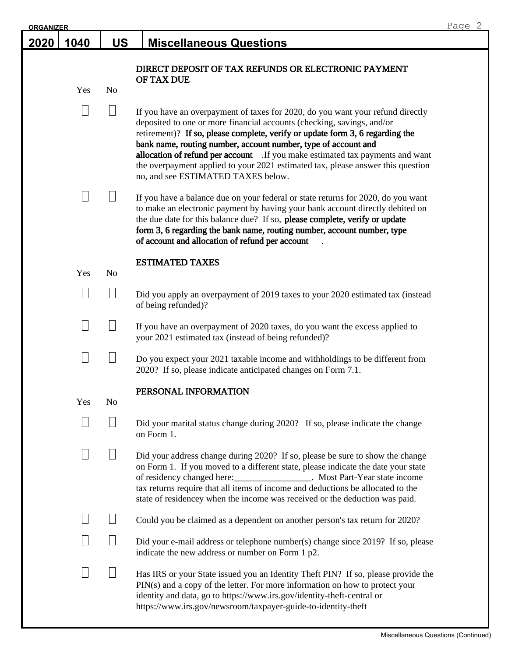| <b>ORGANIZER</b> |      |                 |                                                                                                                                                                                                                                                                                                                                                                                                                                                                                                                      | Page 2 |
|------------------|------|-----------------|----------------------------------------------------------------------------------------------------------------------------------------------------------------------------------------------------------------------------------------------------------------------------------------------------------------------------------------------------------------------------------------------------------------------------------------------------------------------------------------------------------------------|--------|
| 2020             | 1040 | <b>US</b>       | <b>Miscellaneous Questions</b>                                                                                                                                                                                                                                                                                                                                                                                                                                                                                       |        |
|                  |      |                 | DIRECT DEPOSIT OF TAX REFUNDS OR ELECTRONIC PAYMENT                                                                                                                                                                                                                                                                                                                                                                                                                                                                  |        |
|                  |      |                 | OF TAX DUE                                                                                                                                                                                                                                                                                                                                                                                                                                                                                                           |        |
|                  | Yes  | N <sub>o</sub>  |                                                                                                                                                                                                                                                                                                                                                                                                                                                                                                                      |        |
|                  |      | $\vert \ \vert$ | If you have an overpayment of taxes for 2020, do you want your refund directly<br>deposited to one or more financial accounts (checking, savings, and/or<br>retirement)? If so, please complete, verify or update form 3, 6 regarding the<br>bank name, routing number, account number, type of account and<br>allocation of refund per account If you make estimated tax payments and want<br>the overpayment applied to your 2021 estimated tax, please answer this question<br>no, and see ESTIMATED TAXES below. |        |
|                  |      |                 | If you have a balance due on your federal or state returns for 2020, do you want<br>to make an electronic payment by having your bank account directly debited on<br>the due date for this balance due? If so, please complete, verify or update<br>form 3, 6 regarding the bank name, routing number, account number, type<br>of account and allocation of refund per account                                                                                                                                       |        |
|                  | Yes  | N <sub>o</sub>  | <b>ESTIMATED TAXES</b>                                                                                                                                                                                                                                                                                                                                                                                                                                                                                               |        |
|                  |      |                 | Did you apply an overpayment of 2019 taxes to your 2020 estimated tax (instead<br>of being refunded)?                                                                                                                                                                                                                                                                                                                                                                                                                |        |
|                  |      |                 | If you have an overpayment of 2020 taxes, do you want the excess applied to<br>your 2021 estimated tax (instead of being refunded)?                                                                                                                                                                                                                                                                                                                                                                                  |        |
|                  |      |                 | Do you expect your 2021 taxable income and withholdings to be different from<br>2020? If so, please indicate anticipated changes on Form 7.1.                                                                                                                                                                                                                                                                                                                                                                        |        |
|                  |      |                 | PERSONAL INFORMATION                                                                                                                                                                                                                                                                                                                                                                                                                                                                                                 |        |
|                  | Yes  | N <sub>0</sub>  |                                                                                                                                                                                                                                                                                                                                                                                                                                                                                                                      |        |
|                  |      |                 | Did your marital status change during 2020? If so, please indicate the change<br>on Form 1.                                                                                                                                                                                                                                                                                                                                                                                                                          |        |
|                  |      |                 | Did your address change during 2020? If so, please be sure to show the change<br>on Form 1. If you moved to a different state, please indicate the date your state<br>of residency changed here: __________________. Most Part-Year state income<br>tax returns require that all items of income and deductions be allocated to the<br>state of residencey when the income was received or the deduction was paid.                                                                                                   |        |
|                  |      |                 | Could you be claimed as a dependent on another person's tax return for 2020?                                                                                                                                                                                                                                                                                                                                                                                                                                         |        |
|                  |      |                 | Did your e-mail address or telephone number(s) change since 2019? If so, please<br>indicate the new address or number on Form 1 p2.                                                                                                                                                                                                                                                                                                                                                                                  |        |
|                  |      |                 | Has IRS or your State issued you an Identity Theft PIN? If so, please provide the<br>PIN(s) and a copy of the letter. For more information on how to protect your<br>identity and data, go to https://www.irs.gov/identity-theft-central or<br>https://www.irs.gov/newsroom/taxpayer-guide-to-identity-theft                                                                                                                                                                                                         |        |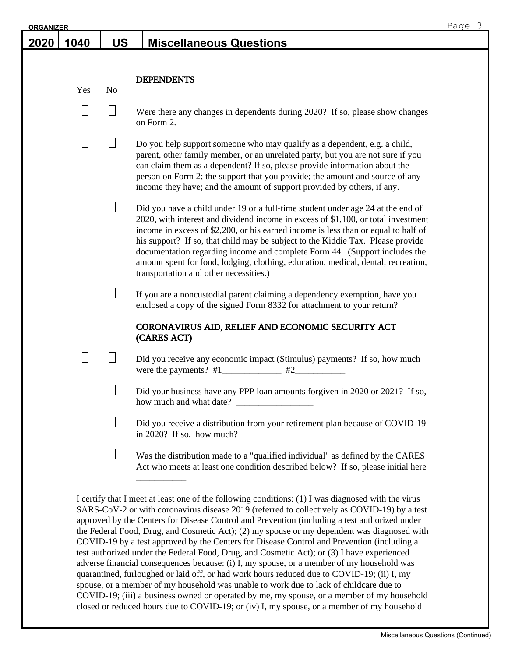| <b>ORGANIZER</b> |      |                |                                                                                                                                                                                                                                                                                                                                                                                                                                                                                                                                                            | Page 3 |
|------------------|------|----------------|------------------------------------------------------------------------------------------------------------------------------------------------------------------------------------------------------------------------------------------------------------------------------------------------------------------------------------------------------------------------------------------------------------------------------------------------------------------------------------------------------------------------------------------------------------|--------|
| 2020             | 1040 | <b>US</b>      | <b>Miscellaneous Questions</b>                                                                                                                                                                                                                                                                                                                                                                                                                                                                                                                             |        |
|                  |      |                |                                                                                                                                                                                                                                                                                                                                                                                                                                                                                                                                                            |        |
|                  | Yes  | N <sub>0</sub> | <b>DEPENDENTS</b>                                                                                                                                                                                                                                                                                                                                                                                                                                                                                                                                          |        |
|                  |      | $\Box$         | Were there any changes in dependents during 2020? If so, please show changes<br>on Form 2.                                                                                                                                                                                                                                                                                                                                                                                                                                                                 |        |
|                  |      |                | Do you help support someone who may qualify as a dependent, e.g. a child,<br>parent, other family member, or an unrelated party, but you are not sure if you<br>can claim them as a dependent? If so, please provide information about the<br>person on Form 2; the support that you provide; the amount and source of any<br>income they have; and the amount of support provided by others, if any.                                                                                                                                                      |        |
|                  |      |                | Did you have a child under 19 or a full-time student under age 24 at the end of<br>2020, with interest and dividend income in excess of \$1,100, or total investment<br>income in excess of \$2,200, or his earned income is less than or equal to half of<br>his support? If so, that child may be subject to the Kiddie Tax. Please provide<br>documentation regarding income and complete Form 44. (Support includes the<br>amount spent for food, lodging, clothing, education, medical, dental, recreation,<br>transportation and other necessities.) |        |
|                  |      |                | If you are a noncustodial parent claiming a dependency exemption, have you<br>enclosed a copy of the signed Form 8332 for attachment to your return?<br>CORONAVIRUS AID, RELIEF AND ECONOMIC SECURITY ACT<br>(CARES ACT)                                                                                                                                                                                                                                                                                                                                   |        |
|                  |      |                | Did you receive any economic impact (Stimulus) payments? If so, how much<br>#2                                                                                                                                                                                                                                                                                                                                                                                                                                                                             |        |
|                  |      |                | Did your business have any PPP loan amounts forgiven in 2020 or 2021? If so,                                                                                                                                                                                                                                                                                                                                                                                                                                                                               |        |
|                  |      |                | Did you receive a distribution from your retirement plan because of COVID-19<br>in 2020? If so, how much? $\frac{1}{\sqrt{1-\frac{1}{\sqrt{1-\frac{1}{\sqrt{1-\frac{1}{\sqrt{1-\frac{1}{\sqrt{1-\frac{1}{\sqrt{1-\frac{1}{\sqrt{1-\frac{1}{\sqrt{1-\frac{1}{\sqrt{1-\frac{1}{\sqrt{1-\frac{1}{\sqrt{1-\frac{1}{\sqrt{1-\frac{1}{\sqrt{1-\frac{1}{\sqrt{1-\frac{1}{\sqrt{1-\frac{1}{\sqrt{1-\frac{1}{\sqrt{1-\frac{1}{\sqrt{1-\frac{1}{\sqrt{1-\frac{1}{\sqrt{1-\frac{1}{\sqrt{1-\frac{1}{$                                                                 |        |
|                  |      | $\Box$         | Was the distribution made to a "qualified individual" as defined by the CARES<br>Act who meets at least one condition described below? If so, please initial here                                                                                                                                                                                                                                                                                                                                                                                          |        |
|                  |      |                | I certify that I meet at least one of the following conditions: (1) I was diagnosed with the virus                                                                                                                                                                                                                                                                                                                                                                                                                                                         |        |

SARS-CoV-2 or with coronavirus disease 2019 (referred to collectively as COVID-19) by a test approved by the Centers for Disease Control and Prevention (including a test authorized under the Federal Food, Drug, and Cosmetic Act); (2) my spouse or my dependent was diagnosed with COVID-19 by a test approved by the Centers for Disease Control and Prevention (including a test authorized under the Federal Food, Drug, and Cosmetic Act); or (3) I have experienced adverse financial consequences because: (i) I, my spouse, or a member of my household was quarantined, furloughed or laid off, or had work hours reduced due to COVID-19; (ii) I, my spouse, or a member of my household was unable to work due to lack of childcare due to COVID-19; (iii) a business owned or operated by me, my spouse, or a member of my household closed or reduced hours due to COVID-19; or (iv) I, my spouse, or a member of my household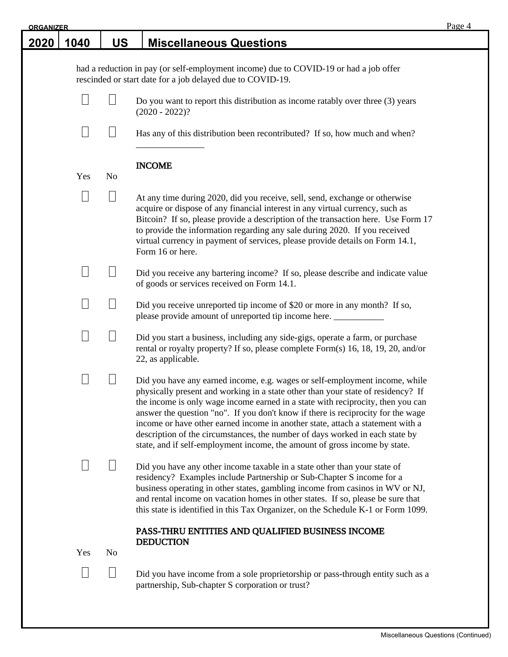| <b>ORGANIZER</b> |        |                   |                                                                                                                                                                                                                                                                                                                                                                                                                                                                                                                                                                                        | Page 4 |
|------------------|--------|-------------------|----------------------------------------------------------------------------------------------------------------------------------------------------------------------------------------------------------------------------------------------------------------------------------------------------------------------------------------------------------------------------------------------------------------------------------------------------------------------------------------------------------------------------------------------------------------------------------------|--------|
| <u> 2020 </u>    | 1040   | <b>US</b>         | <b>Miscellaneous Questions</b>                                                                                                                                                                                                                                                                                                                                                                                                                                                                                                                                                         |        |
|                  |        |                   | had a reduction in pay (or self-employment income) due to COVID-19 or had a job offer<br>rescinded or start date for a job delayed due to COVID-19.                                                                                                                                                                                                                                                                                                                                                                                                                                    |        |
|                  | $\Box$ |                   | Do you want to report this distribution as income ratably over three $(3)$ years<br>$(2020 - 2022)?$                                                                                                                                                                                                                                                                                                                                                                                                                                                                                   |        |
|                  |        | $\Box$            | Has any of this distribution been recontributed? If so, how much and when?                                                                                                                                                                                                                                                                                                                                                                                                                                                                                                             |        |
|                  | Yes    | N <sub>o</sub>    | <b>INCOME</b>                                                                                                                                                                                                                                                                                                                                                                                                                                                                                                                                                                          |        |
|                  | $\Box$ |                   | At any time during 2020, did you receive, sell, send, exchange or otherwise<br>acquire or dispose of any financial interest in any virtual currency, such as<br>Bitcoin? If so, please provide a description of the transaction here. Use Form 17<br>to provide the information regarding any sale during 2020. If you received<br>virtual currency in payment of services, please provide details on Form 14.1,<br>Form 16 or here.                                                                                                                                                   |        |
|                  | $\Box$ | $\Box$            | Did you receive any bartering income? If so, please describe and indicate value<br>of goods or services received on Form 14.1.                                                                                                                                                                                                                                                                                                                                                                                                                                                         |        |
|                  | $\Box$ |                   | Did you receive unreported tip income of \$20 or more in any month? If so,<br>please provide amount of unreported tip income here.                                                                                                                                                                                                                                                                                                                                                                                                                                                     |        |
|                  | $\Box$ | $\vert \ \ \vert$ | Did you start a business, including any side-gigs, operate a farm, or purchase<br>rental or royalty property? If so, please complete Form(s) 16, 18, 19, 20, and/or<br>22, as applicable.                                                                                                                                                                                                                                                                                                                                                                                              |        |
|                  |        |                   | Did you have any earned income, e.g. wages or self-employment income, while<br>physically present and working in a state other than your state of residency? If<br>the income is only wage income earned in a state with reciprocity, then you can<br>answer the question "no". If you don't know if there is reciprocity for the wage<br>income or have other earned income in another state, attach a statement with a<br>description of the circumstances, the number of days worked in each state by<br>state, and if self-employment income, the amount of gross income by state. |        |
|                  |        |                   | Did you have any other income taxable in a state other than your state of<br>residency? Examples include Partnership or Sub-Chapter S income for a<br>business operating in other states, gambling income from casinos in WV or NJ,<br>and rental income on vacation homes in other states. If so, please be sure that<br>this state is identified in this Tax Organizer, on the Schedule K-1 or Form 1099.                                                                                                                                                                            |        |
|                  | Yes    | No                | PASS-THRU ENTITIES AND QUALIFIED BUSINESS INCOME<br><b>DEDUCTION</b>                                                                                                                                                                                                                                                                                                                                                                                                                                                                                                                   |        |
|                  | Ш      | $\Box$            | Did you have income from a sole proprietorship or pass-through entity such as a<br>partnership, Sub-chapter S corporation or trust?                                                                                                                                                                                                                                                                                                                                                                                                                                                    |        |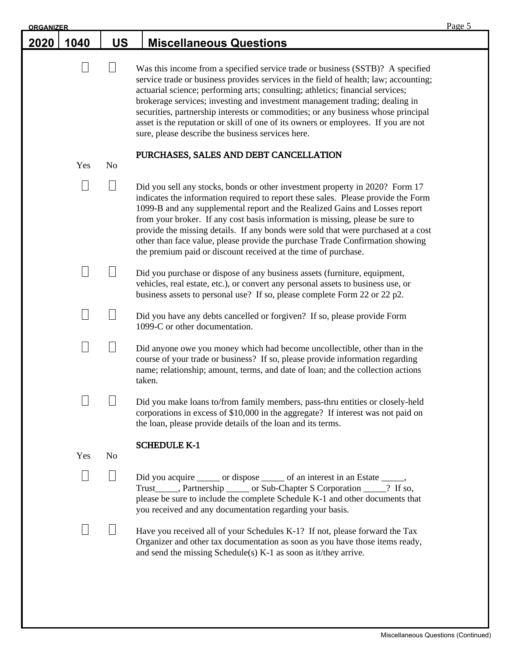| <b>ORGANIZER</b> |      |                |                                                                                                                                                                                                                                                                                                                                                                                                                                                                                                                                                                           | Page 5 |
|------------------|------|----------------|---------------------------------------------------------------------------------------------------------------------------------------------------------------------------------------------------------------------------------------------------------------------------------------------------------------------------------------------------------------------------------------------------------------------------------------------------------------------------------------------------------------------------------------------------------------------------|--------|
| 2020             | 1040 | <b>US</b>      | <b>Miscellaneous Questions</b>                                                                                                                                                                                                                                                                                                                                                                                                                                                                                                                                            |        |
|                  |      | $\Box$         | Was this income from a specified service trade or business (SSTB)? A specified<br>service trade or business provides services in the field of health; law; accounting;<br>actuarial science; performing arts; consulting; athletics; financial services;<br>brokerage services; investing and investment management trading; dealing in<br>securities, partnership interests or commodities; or any business whose principal<br>asset is the reputation or skill of one of its owners or employees. If you are not<br>sure, please describe the business services here.   |        |
|                  | Yes  | N <sub>o</sub> | PURCHASES, SALES AND DEBT CANCELLATION                                                                                                                                                                                                                                                                                                                                                                                                                                                                                                                                    |        |
|                  |      | $\Box$         | Did you sell any stocks, bonds or other investment property in 2020? Form 17<br>indicates the information required to report these sales. Please provide the Form<br>1099-B and any supplemental report and the Realized Gains and Losses report<br>from your broker. If any cost basis information is missing, please be sure to<br>provide the missing details. If any bonds were sold that were purchased at a cost<br>other than face value, please provide the purchase Trade Confirmation showing<br>the premium paid or discount received at the time of purchase. |        |
|                  |      |                | Did you purchase or dispose of any business assets (furniture, equipment,<br>vehicles, real estate, etc.), or convert any personal assets to business use, or<br>business assets to personal use? If so, please complete Form 22 or 22 p2.                                                                                                                                                                                                                                                                                                                                |        |
|                  |      |                | Did you have any debts cancelled or forgiven? If so, please provide Form<br>1099-C or other documentation.                                                                                                                                                                                                                                                                                                                                                                                                                                                                |        |
|                  |      |                | Did anyone owe you money which had become uncollectible, other than in the<br>course of your trade or business? If so, please provide information regarding<br>name; relationship; amount, terms, and date of loan; and the collection actions<br>taken.                                                                                                                                                                                                                                                                                                                  |        |
|                  |      |                | Did you make loans to/from family members, pass-thru entities or closely-held<br>corporations in excess of \$10,000 in the aggregate? If interest was not paid on<br>the loan, please provide details of the loan and its terms.                                                                                                                                                                                                                                                                                                                                          |        |
|                  | Yes  | No             | <b>SCHEDULE K-1</b>                                                                                                                                                                                                                                                                                                                                                                                                                                                                                                                                                       |        |
|                  |      |                | Did you acquire _______ or dispose _______ of an interest in an Estate ______,<br>Trust______, Partnership ______ or Sub-Chapter S Corporation _____? If so,<br>please be sure to include the complete Schedule K-1 and other documents that<br>you received and any documentation regarding your basis.                                                                                                                                                                                                                                                                  |        |
|                  |      |                | Have you received all of your Schedules K-1? If not, please forward the Tax<br>Organizer and other tax documentation as soon as you have those items ready,<br>and send the missing Schedule(s) K-1 as soon as it/they arrive.                                                                                                                                                                                                                                                                                                                                            |        |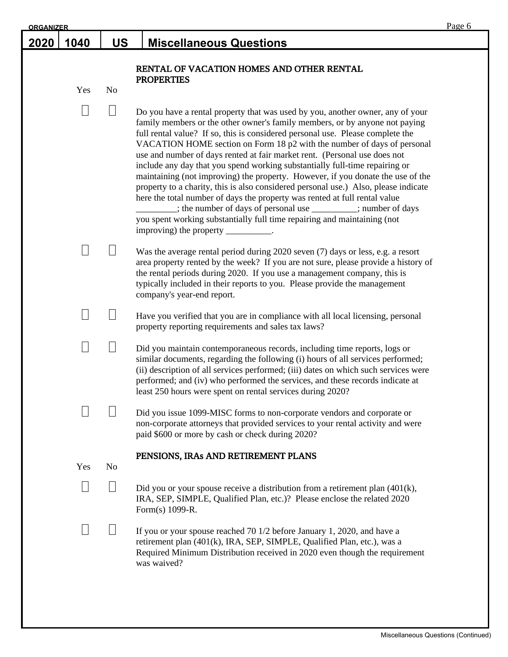| <b>ORGANIZER</b> |      |           |                                                                                                                                                                                                                                                                                                                                                                                                                                                                                                                                                                                                                                                                                                                                                                                                                                                                                                                                    | Page 6 |
|------------------|------|-----------|------------------------------------------------------------------------------------------------------------------------------------------------------------------------------------------------------------------------------------------------------------------------------------------------------------------------------------------------------------------------------------------------------------------------------------------------------------------------------------------------------------------------------------------------------------------------------------------------------------------------------------------------------------------------------------------------------------------------------------------------------------------------------------------------------------------------------------------------------------------------------------------------------------------------------------|--------|
| <u> 2020 </u>    | 1040 | <b>US</b> | <b>Miscellaneous Questions</b>                                                                                                                                                                                                                                                                                                                                                                                                                                                                                                                                                                                                                                                                                                                                                                                                                                                                                                     |        |
|                  |      |           | RENTAL OF VACATION HOMES AND OTHER RENTAL<br><b>PROPERTIES</b>                                                                                                                                                                                                                                                                                                                                                                                                                                                                                                                                                                                                                                                                                                                                                                                                                                                                     |        |
|                  | Yes  | No        |                                                                                                                                                                                                                                                                                                                                                                                                                                                                                                                                                                                                                                                                                                                                                                                                                                                                                                                                    |        |
|                  |      |           | Do you have a rental property that was used by you, another owner, any of your<br>family members or the other owner's family members, or by anyone not paying<br>full rental value? If so, this is considered personal use. Please complete the<br>VACATION HOME section on Form 18 p2 with the number of days of personal<br>use and number of days rented at fair market rent. (Personal use does not<br>include any day that you spend working substantially full-time repairing or<br>maintaining (not improving) the property. However, if you donate the use of the<br>property to a charity, this is also considered personal use.) Also, please indicate<br>here the total number of days the property was rented at full rental value<br>: the number of days of personal use ________; number of days<br>you spent working substantially full time repairing and maintaining (not<br>improving) the property __________. |        |
|                  |      |           | Was the average rental period during 2020 seven (7) days or less, e.g. a resort<br>area property rented by the week? If you are not sure, please provide a history of<br>the rental periods during 2020. If you use a management company, this is<br>typically included in their reports to you. Please provide the management<br>company's year-end report.                                                                                                                                                                                                                                                                                                                                                                                                                                                                                                                                                                       |        |
|                  |      |           | Have you verified that you are in compliance with all local licensing, personal<br>property reporting requirements and sales tax laws?                                                                                                                                                                                                                                                                                                                                                                                                                                                                                                                                                                                                                                                                                                                                                                                             |        |
|                  |      |           | Did you maintain contemporaneous records, including time reports, logs or<br>similar documents, regarding the following (i) hours of all services performed;<br>(ii) description of all services performed; (iii) dates on which such services were<br>performed; and (iv) who performed the services, and these records indicate at<br>least 250 hours were spent on rental services during 2020?                                                                                                                                                                                                                                                                                                                                                                                                                                                                                                                                 |        |
|                  |      |           | Did you issue 1099-MISC forms to non-corporate vendors and corporate or<br>non-corporate attorneys that provided services to your rental activity and were<br>paid \$600 or more by cash or check during 2020?                                                                                                                                                                                                                                                                                                                                                                                                                                                                                                                                                                                                                                                                                                                     |        |
|                  | Yes  | No        | PENSIONS, IRAs AND RETIREMENT PLANS                                                                                                                                                                                                                                                                                                                                                                                                                                                                                                                                                                                                                                                                                                                                                                                                                                                                                                |        |
|                  |      |           |                                                                                                                                                                                                                                                                                                                                                                                                                                                                                                                                                                                                                                                                                                                                                                                                                                                                                                                                    |        |
|                  |      |           | Did you or your spouse receive a distribution from a retirement plan $(401(k),$<br>IRA, SEP, SIMPLE, Qualified Plan, etc.)? Please enclose the related 2020<br>Form(s) 1099-R.                                                                                                                                                                                                                                                                                                                                                                                                                                                                                                                                                                                                                                                                                                                                                     |        |
|                  |      |           | If you or your spouse reached 70 $1/2$ before January 1, 2020, and have a<br>retirement plan (401(k), IRA, SEP, SIMPLE, Qualified Plan, etc.), was a<br>Required Minimum Distribution received in 2020 even though the requirement<br>was waived?                                                                                                                                                                                                                                                                                                                                                                                                                                                                                                                                                                                                                                                                                  |        |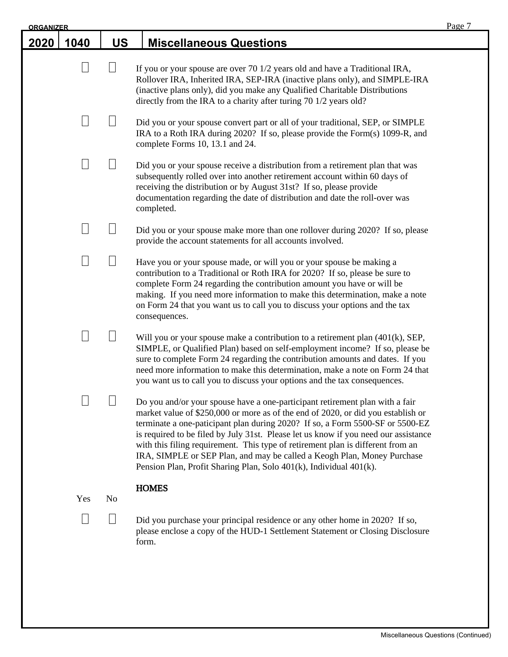| <b>ORGANIZER</b> |      |                |                                                                                                                                                                                                                                                                                                                                                                                                                                                                                                                                                                              | Page 7 |
|------------------|------|----------------|------------------------------------------------------------------------------------------------------------------------------------------------------------------------------------------------------------------------------------------------------------------------------------------------------------------------------------------------------------------------------------------------------------------------------------------------------------------------------------------------------------------------------------------------------------------------------|--------|
| <u>2020</u>      | 1040 | <b>US</b>      | <b>Miscellaneous Questions</b>                                                                                                                                                                                                                                                                                                                                                                                                                                                                                                                                               |        |
|                  |      | $\Box$         | If you or your spouse are over 70 1/2 years old and have a Traditional IRA,<br>Rollover IRA, Inherited IRA, SEP-IRA (inactive plans only), and SIMPLE-IRA<br>(inactive plans only), did you make any Qualified Charitable Distributions<br>directly from the IRA to a charity after turing 70 1/2 years old?                                                                                                                                                                                                                                                                 |        |
|                  |      |                | Did you or your spouse convert part or all of your traditional, SEP, or SIMPLE<br>IRA to a Roth IRA during 2020? If so, please provide the Form(s) 1099-R, and<br>complete Forms 10, 13.1 and 24.                                                                                                                                                                                                                                                                                                                                                                            |        |
|                  | J    |                | Did you or your spouse receive a distribution from a retirement plan that was<br>subsequently rolled over into another retirement account within 60 days of<br>receiving the distribution or by August 31st? If so, please provide<br>documentation regarding the date of distribution and date the roll-over was<br>completed.                                                                                                                                                                                                                                              |        |
|                  |      |                | Did you or your spouse make more than one rollover during 2020? If so, please<br>provide the account statements for all accounts involved.                                                                                                                                                                                                                                                                                                                                                                                                                                   |        |
|                  |      |                | Have you or your spouse made, or will you or your spouse be making a<br>contribution to a Traditional or Roth IRA for 2020? If so, please be sure to<br>complete Form 24 regarding the contribution amount you have or will be<br>making. If you need more information to make this determination, make a note<br>on Form 24 that you want us to call you to discuss your options and the tax<br>consequences.                                                                                                                                                               |        |
|                  |      |                | Will you or your spouse make a contribution to a retirement plan $(401(k), SEP,$<br>SIMPLE, or Qualified Plan) based on self-employment income? If so, please be<br>sure to complete Form 24 regarding the contribution amounts and dates. If you<br>need more information to make this determination, make a note on Form 24 that<br>you want us to call you to discuss your options and the tax consequences.                                                                                                                                                              |        |
|                  |      |                | Do you and/or your spouse have a one-participant retirement plan with a fair<br>market value of \$250,000 or more as of the end of 2020, or did you establish or<br>terminate a one-paticipant plan during 2020? If so, a Form 5500-SF or 5500-EZ<br>is required to be filed by July 31st. Please let us know if you need our assistance<br>with this filing requirement. This type of retirement plan is different from an<br>IRA, SIMPLE or SEP Plan, and may be called a Keogh Plan, Money Purchase<br>Pension Plan, Profit Sharing Plan, Solo 401(k), Individual 401(k). |        |
|                  | Yes  | N <sub>o</sub> | <b>HOMES</b>                                                                                                                                                                                                                                                                                                                                                                                                                                                                                                                                                                 |        |
|                  |      |                | Did you purchase your principal residence or any other home in 2020? If so,<br>please enclose a copy of the HUD-1 Settlement Statement or Closing Disclosure<br>form.                                                                                                                                                                                                                                                                                                                                                                                                        |        |
|                  |      |                |                                                                                                                                                                                                                                                                                                                                                                                                                                                                                                                                                                              |        |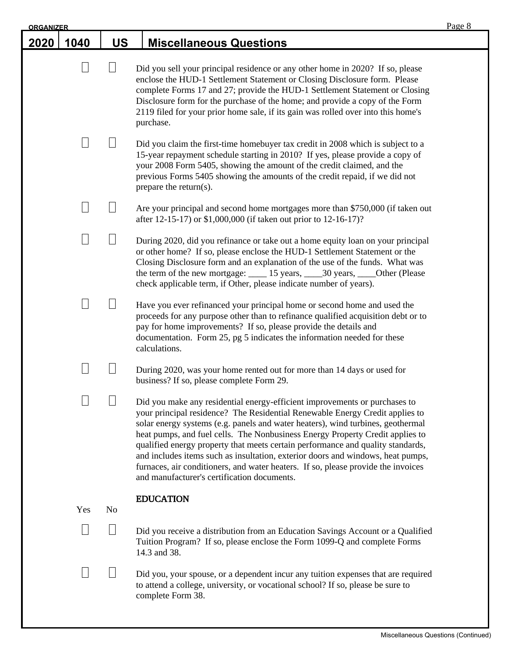| <b>ORGANIZER</b> |      |                |                                                                                                                                                                                                                                                                                                                                                                                                                                                                                                                                                                                                                                          | Page 8 |
|------------------|------|----------------|------------------------------------------------------------------------------------------------------------------------------------------------------------------------------------------------------------------------------------------------------------------------------------------------------------------------------------------------------------------------------------------------------------------------------------------------------------------------------------------------------------------------------------------------------------------------------------------------------------------------------------------|--------|
| 2020             | 1040 | <b>US</b>      | <b>Miscellaneous Questions</b>                                                                                                                                                                                                                                                                                                                                                                                                                                                                                                                                                                                                           |        |
|                  |      |                | Did you sell your principal residence or any other home in 2020? If so, please<br>enclose the HUD-1 Settlement Statement or Closing Disclosure form. Please<br>complete Forms 17 and 27; provide the HUD-1 Settlement Statement or Closing<br>Disclosure form for the purchase of the home; and provide a copy of the Form<br>2119 filed for your prior home sale, if its gain was rolled over into this home's<br>purchase.                                                                                                                                                                                                             |        |
|                  |      |                | Did you claim the first-time homebuyer tax credit in 2008 which is subject to a<br>15-year repayment schedule starting in 2010? If yes, please provide a copy of<br>your 2008 Form 5405, showing the amount of the credit claimed, and the<br>previous Forms 5405 showing the amounts of the credit repaid, if we did not<br>prepare the return(s).                                                                                                                                                                                                                                                                                      |        |
|                  |      |                | Are your principal and second home mortgages more than \$750,000 (if taken out<br>after 12-15-17) or \$1,000,000 (if taken out prior to 12-16-17)?                                                                                                                                                                                                                                                                                                                                                                                                                                                                                       |        |
|                  |      |                | During 2020, did you refinance or take out a home equity loan on your principal<br>or other home? If so, please enclose the HUD-1 Settlement Statement or the<br>Closing Disclosure form and an explanation of the use of the funds. What was<br>the term of the new mortgage: 15 years, 15 years, 130 years, 1910 Other (Please<br>check applicable term, if Other, please indicate number of years).                                                                                                                                                                                                                                   |        |
|                  |      |                | Have you ever refinanced your principal home or second home and used the<br>proceeds for any purpose other than to refinance qualified acquisition debt or to<br>pay for home improvements? If so, please provide the details and<br>documentation. Form 25, pg 5 indicates the information needed for these<br>calculations.                                                                                                                                                                                                                                                                                                            |        |
|                  |      |                | During 2020, was your home rented out for more than 14 days or used for<br>business? If so, please complete Form 29.                                                                                                                                                                                                                                                                                                                                                                                                                                                                                                                     |        |
|                  |      |                | Did you make any residential energy-efficient improvements or purchases to<br>your principal residence? The Residential Renewable Energy Credit applies to<br>solar energy systems (e.g. panels and water heaters), wind turbines, geothermal<br>heat pumps, and fuel cells. The Nonbusiness Energy Property Credit applies to<br>qualified energy property that meets certain performance and quality standards,<br>and includes items such as insultation, exterior doors and windows, heat pumps,<br>furnaces, air conditioners, and water heaters. If so, please provide the invoices<br>and manufacturer's certification documents. |        |
|                  | Yes  | N <sub>o</sub> | <b>EDUCATION</b>                                                                                                                                                                                                                                                                                                                                                                                                                                                                                                                                                                                                                         |        |
|                  |      |                | Did you receive a distribution from an Education Savings Account or a Qualified<br>Tuition Program? If so, please enclose the Form 1099-Q and complete Forms<br>14.3 and 38.                                                                                                                                                                                                                                                                                                                                                                                                                                                             |        |
|                  |      |                | Did you, your spouse, or a dependent incur any tuition expenses that are required<br>to attend a college, university, or vocational school? If so, please be sure to<br>complete Form 38.                                                                                                                                                                                                                                                                                                                                                                                                                                                |        |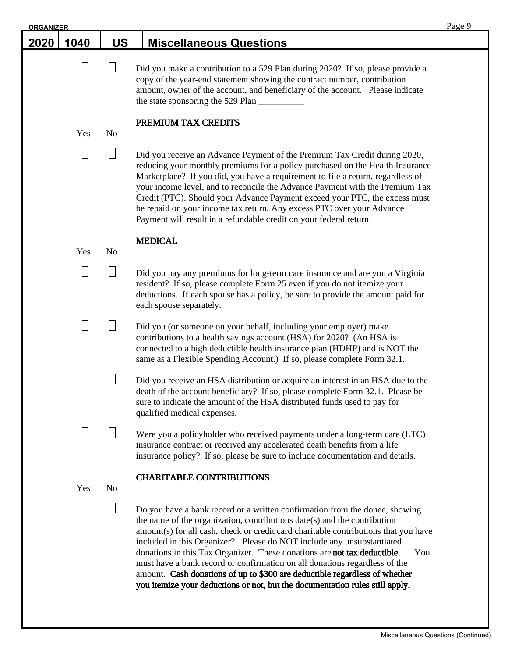| <b>ORGANIZER</b> |               |                |                                                                                                                                                                                                                                                                                                                                                                                                                                                                                                                                                                                                                                                        | Page 9 |
|------------------|---------------|----------------|--------------------------------------------------------------------------------------------------------------------------------------------------------------------------------------------------------------------------------------------------------------------------------------------------------------------------------------------------------------------------------------------------------------------------------------------------------------------------------------------------------------------------------------------------------------------------------------------------------------------------------------------------------|--------|
| 2020             | 1040          | <b>US</b>      | <b>Miscellaneous Questions</b>                                                                                                                                                                                                                                                                                                                                                                                                                                                                                                                                                                                                                         |        |
|                  | $\Box$        |                | Did you make a contribution to a 529 Plan during 2020? If so, please provide a<br>copy of the year-end statement showing the contract number, contribution<br>amount, owner of the account, and beneficiary of the account. Please indicate<br>the state sponsoring the 529 Plan                                                                                                                                                                                                                                                                                                                                                                       |        |
|                  |               |                | PREMIUM TAX CREDITS                                                                                                                                                                                                                                                                                                                                                                                                                                                                                                                                                                                                                                    |        |
|                  | Yes           | N <sub>0</sub> |                                                                                                                                                                                                                                                                                                                                                                                                                                                                                                                                                                                                                                                        |        |
|                  |               |                | Did you receive an Advance Payment of the Premium Tax Credit during 2020,<br>reducing your monthly premiums for a policy purchased on the Health Insurance<br>Marketplace? If you did, you have a requirement to file a return, regardless of<br>your income level, and to reconcile the Advance Payment with the Premium Tax<br>Credit (PTC). Should your Advance Payment exceed your PTC, the excess must<br>be repaid on your income tax return. Any excess PTC over your Advance<br>Payment will result in a refundable credit on your federal return.                                                                                             |        |
|                  | Yes           | N <sub>o</sub> | <b>MEDICAL</b>                                                                                                                                                                                                                                                                                                                                                                                                                                                                                                                                                                                                                                         |        |
|                  |               |                |                                                                                                                                                                                                                                                                                                                                                                                                                                                                                                                                                                                                                                                        |        |
|                  | $\mathbf{  }$ | $\mathbb{R}^2$ | Did you pay any premiums for long-term care insurance and are you a Virginia<br>resident? If so, please complete Form 25 even if you do not itemize your<br>deductions. If each spouse has a policy, be sure to provide the amount paid for<br>each spouse separately.                                                                                                                                                                                                                                                                                                                                                                                 |        |
|                  |               |                | Did you (or someone on your behalf, including your employer) make<br>contributions to a health savings account (HSA) for 2020? (An HSA is<br>connected to a high deductible health insurance plan (HDHP) and is NOT the<br>same as a Flexible Spending Account.) If so, please complete Form 32.1.                                                                                                                                                                                                                                                                                                                                                     |        |
|                  |               |                | Did you receive an HSA distribution or acquire an interest in an HSA due to the<br>death of the account beneficiary? If so, please complete Form 32.1. Please be<br>sure to indicate the amount of the HSA distributed funds used to pay for<br>qualified medical expenses.                                                                                                                                                                                                                                                                                                                                                                            |        |
|                  |               |                | Were you a policyholder who received payments under a long-term care (LTC)<br>insurance contract or received any accelerated death benefits from a life<br>insurance policy? If so, please be sure to include documentation and details.                                                                                                                                                                                                                                                                                                                                                                                                               |        |
|                  |               |                | <b>CHARITABLE CONTRIBUTIONS</b>                                                                                                                                                                                                                                                                                                                                                                                                                                                                                                                                                                                                                        |        |
|                  | Yes           | N <sub>0</sub> |                                                                                                                                                                                                                                                                                                                                                                                                                                                                                                                                                                                                                                                        |        |
|                  |               |                | Do you have a bank record or a written confirmation from the donee, showing<br>the name of the organization, contributions date(s) and the contribution<br>amount(s) for all cash, check or credit card charitable contributions that you have<br>included in this Organizer? Please do NOT include any unsubstantiated<br>donations in this Tax Organizer. These donations are not tax deductible.<br>You<br>must have a bank record or confirmation on all donations regardless of the<br>amount. Cash donations of up to \$300 are deductible regardless of whether<br>you itemize your deductions or not, but the documentation rules still apply. |        |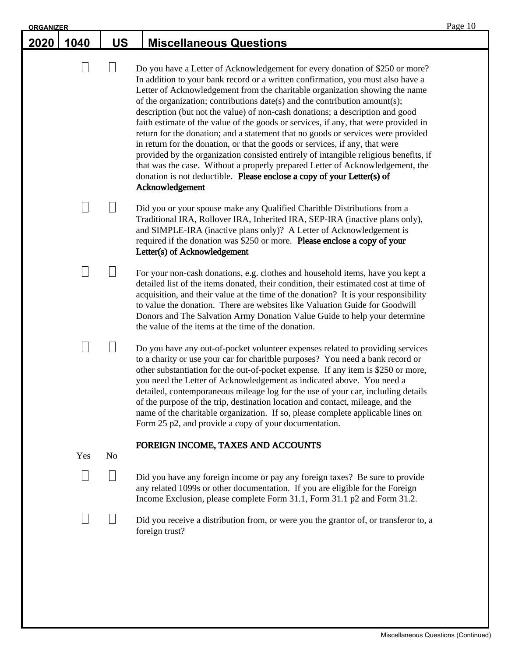| <b>ORGANIZER</b> |               |                 |                                                                                                                                                                                                                                                                                                                                                                                                                                                                                                                                                                                                                                                                                                                                                                                                                                                                                                                                                | Page 10 |
|------------------|---------------|-----------------|------------------------------------------------------------------------------------------------------------------------------------------------------------------------------------------------------------------------------------------------------------------------------------------------------------------------------------------------------------------------------------------------------------------------------------------------------------------------------------------------------------------------------------------------------------------------------------------------------------------------------------------------------------------------------------------------------------------------------------------------------------------------------------------------------------------------------------------------------------------------------------------------------------------------------------------------|---------|
| <u> 2020 </u>    | 1040          | <b>US</b>       | <b>Miscellaneous Questions</b>                                                                                                                                                                                                                                                                                                                                                                                                                                                                                                                                                                                                                                                                                                                                                                                                                                                                                                                 |         |
|                  | Н             | $\Box$          | Do you have a Letter of Acknowledgement for every donation of \$250 or more?<br>In addition to your bank record or a written confirmation, you must also have a<br>Letter of Acknowledgement from the charitable organization showing the name<br>of the organization; contributions date(s) and the contribution amount(s);<br>description (but not the value) of non-cash donations; a description and good<br>faith estimate of the value of the goods or services, if any, that were provided in<br>return for the donation; and a statement that no goods or services were provided<br>in return for the donation, or that the goods or services, if any, that were<br>provided by the organization consisted entirely of intangible religious benefits, if<br>that was the case. Without a properly prepared Letter of Acknowledgement, the<br>donation is not deductible. Please enclose a copy of your Letter(s) of<br>Acknowledgement |         |
|                  |               |                 | Did you or your spouse make any Qualified Charitble Distributions from a<br>Traditional IRA, Rollover IRA, Inherited IRA, SEP-IRA (inactive plans only),<br>and SIMPLE-IRA (inactive plans only)? A Letter of Acknowledgement is<br>required if the donation was \$250 or more. Please enclose a copy of your<br>Letter(s) of Acknowledgement                                                                                                                                                                                                                                                                                                                                                                                                                                                                                                                                                                                                  |         |
|                  | $\mathbf{  }$ | $\vert \ \vert$ | For your non-cash donations, e.g. clothes and household items, have you kept a<br>detailed list of the items donated, their condition, their estimated cost at time of<br>acquisition, and their value at the time of the donation? It is your responsibility<br>to value the donation. There are websites like Valuation Guide for Goodwill<br>Donors and The Salvation Army Donation Value Guide to help your determine<br>the value of the items at the time of the donation.                                                                                                                                                                                                                                                                                                                                                                                                                                                               |         |
|                  |               |                 | Do you have any out-of-pocket volunteer expenses related to providing services<br>to a charity or use your car for charitble purposes? You need a bank record or<br>other substantiation for the out-of-pocket expense. If any item is \$250 or more,<br>you need the Letter of Acknowledgement as indicated above. You need a<br>detailed, contemporaneous mileage log for the use of your car, including details<br>of the purpose of the trip, destination location and contact, mileage, and the<br>name of the charitable organization. If so, please complete applicable lines on<br>Form 25 p2, and provide a copy of your documentation.                                                                                                                                                                                                                                                                                               |         |
|                  | Yes           | N <sub>o</sub>  | FOREIGN INCOME, TAXES AND ACCOUNTS                                                                                                                                                                                                                                                                                                                                                                                                                                                                                                                                                                                                                                                                                                                                                                                                                                                                                                             |         |
|                  |               | Н               | Did you have any foreign income or pay any foreign taxes? Be sure to provide<br>any related 1099s or other documentation. If you are eligible for the Foreign<br>Income Exclusion, please complete Form 31.1, Form 31.1 p2 and Form 31.2.                                                                                                                                                                                                                                                                                                                                                                                                                                                                                                                                                                                                                                                                                                      |         |
|                  |               |                 | Did you receive a distribution from, or were you the grantor of, or transferor to, a<br>foreign trust?                                                                                                                                                                                                                                                                                                                                                                                                                                                                                                                                                                                                                                                                                                                                                                                                                                         |         |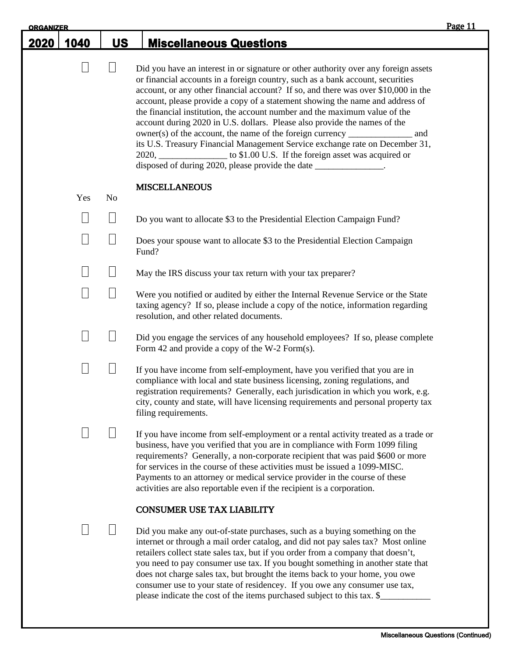| <b>ORGANIZER</b> |                 |                |                                                                                                                                                                                                                                                                                                                                                                                                                                                                                                                                                                                                                                                                                                                                                                                                                                  | Page 11 |
|------------------|-----------------|----------------|----------------------------------------------------------------------------------------------------------------------------------------------------------------------------------------------------------------------------------------------------------------------------------------------------------------------------------------------------------------------------------------------------------------------------------------------------------------------------------------------------------------------------------------------------------------------------------------------------------------------------------------------------------------------------------------------------------------------------------------------------------------------------------------------------------------------------------|---------|
| <u> 2020 </u>    | 1040            | <b>US</b>      | <b>Miscellaneous Questions</b>                                                                                                                                                                                                                                                                                                                                                                                                                                                                                                                                                                                                                                                                                                                                                                                                   |         |
|                  | $\Box$          | $\Box$         | Did you have an interest in or signature or other authority over any foreign assets<br>or financial accounts in a foreign country, such as a bank account, securities<br>account, or any other financial account? If so, and there was over \$10,000 in the<br>account, please provide a copy of a statement showing the name and address of<br>the financial institution, the account number and the maximum value of the<br>account during 2020 in U.S. dollars. Please also provide the names of the<br>$a$ owner(s) of the account, the name of the foreign currency $\frac{a}{a}$<br>and<br>its U.S. Treasury Financial Management Service exchange rate on December 31,<br>2020, _________________ to \$1.00 U.S. If the foreign asset was acquired or<br>disposed of during 2020, please provide the date ______________. |         |
|                  | Yes             | N <sub>o</sub> | <b>MISCELLANEOUS</b>                                                                                                                                                                                                                                                                                                                                                                                                                                                                                                                                                                                                                                                                                                                                                                                                             |         |
|                  |                 |                | Do you want to allocate \$3 to the Presidential Election Campaign Fund?                                                                                                                                                                                                                                                                                                                                                                                                                                                                                                                                                                                                                                                                                                                                                          |         |
|                  | $\vert \ \vert$ | $\Box$         | Does your spouse want to allocate \$3 to the Presidential Election Campaign<br>Fund?                                                                                                                                                                                                                                                                                                                                                                                                                                                                                                                                                                                                                                                                                                                                             |         |
|                  |                 | $\Box$         | May the IRS discuss your tax return with your tax preparer?                                                                                                                                                                                                                                                                                                                                                                                                                                                                                                                                                                                                                                                                                                                                                                      |         |
|                  | $\Box$          | $\Box$         | Were you notified or audited by either the Internal Revenue Service or the State<br>taxing agency? If so, please include a copy of the notice, information regarding<br>resolution, and other related documents.                                                                                                                                                                                                                                                                                                                                                                                                                                                                                                                                                                                                                 |         |
|                  | $\Box$          | $\Box$         | Did you engage the services of any household employees? If so, please complete<br>Form 42 and provide a copy of the W-2 Form(s).                                                                                                                                                                                                                                                                                                                                                                                                                                                                                                                                                                                                                                                                                                 |         |
|                  | $\mathcal{L}$   | $\Box$         | If you have income from self-employment, have you verified that you are in<br>compliance with local and state business licensing, zoning regulations, and<br>registration requirements? Generally, each jurisdication in which you work, e.g.<br>city, county and state, will have licensing requirements and personal property tax<br>filing requirements.                                                                                                                                                                                                                                                                                                                                                                                                                                                                      |         |
|                  | $\Box$          |                | If you have income from self-employment or a rental activity treated as a trade or<br>business, have you verified that you are in compliance with Form 1099 filing<br>requirements? Generally, a non-corporate recipient that was paid \$600 or more<br>for services in the course of these activities must be issued a 1099-MISC.<br>Payments to an attorney or medical service provider in the course of these<br>activities are also reportable even if the recipient is a corporation.                                                                                                                                                                                                                                                                                                                                       |         |
|                  |                 |                | <b>CONSUMER USE TAX LIABILITY</b>                                                                                                                                                                                                                                                                                                                                                                                                                                                                                                                                                                                                                                                                                                                                                                                                |         |
|                  |                 |                | Did you make any out-of-state purchases, such as a buying something on the<br>internet or through a mail order catalog, and did not pay sales tax? Most online<br>retailers collect state sales tax, but if you order from a company that doesn't,<br>you need to pay consumer use tax. If you bought something in another state that<br>does not charge sales tax, but brought the items back to your home, you owe<br>consumer use to your state of residencey. If you owe any consumer use tax,<br>please indicate the cost of the items purchased subject to this tax. \$                                                                                                                                                                                                                                                    |         |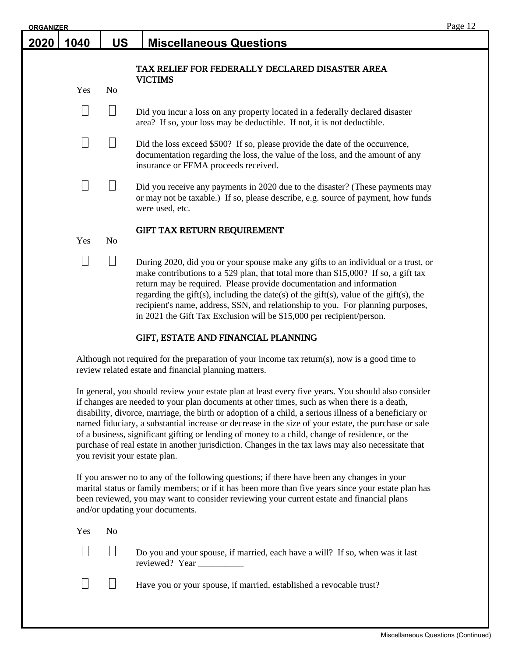| <b>ORGANIZER</b> |      |                |                                                                                                                                                                                                                                                                                                                                                                                                                                                                                                        | Page 12 |
|------------------|------|----------------|--------------------------------------------------------------------------------------------------------------------------------------------------------------------------------------------------------------------------------------------------------------------------------------------------------------------------------------------------------------------------------------------------------------------------------------------------------------------------------------------------------|---------|
| 2020             | 1040 | <b>US</b>      | <b>Miscellaneous Questions</b>                                                                                                                                                                                                                                                                                                                                                                                                                                                                         |         |
|                  | Yes  | N <sub>o</sub> | TAX RELIEF FOR FEDERALLY DECLARED DISASTER AREA<br><b>VICTIMS</b>                                                                                                                                                                                                                                                                                                                                                                                                                                      |         |
|                  |      |                | Did you incur a loss on any property located in a federally declared disaster<br>area? If so, your loss may be deductible. If not, it is not deductible.                                                                                                                                                                                                                                                                                                                                               |         |
|                  |      |                | Did the loss exceed \$500? If so, please provide the date of the occurrence,<br>documentation regarding the loss, the value of the loss, and the amount of any<br>insurance or FEMA proceeds received.                                                                                                                                                                                                                                                                                                 |         |
|                  |      |                | Did you receive any payments in 2020 due to the disaster? (These payments may<br>or may not be taxable.) If so, please describe, e.g. source of payment, how funds<br>were used, etc.                                                                                                                                                                                                                                                                                                                  |         |
|                  | Yes  | No             | GIFT TAX RETURN REQUIREMENT                                                                                                                                                                                                                                                                                                                                                                                                                                                                            |         |
|                  |      |                | During 2020, did you or your spouse make any gifts to an individual or a trust, or<br>make contributions to a 529 plan, that total more than \$15,000? If so, a gift tax<br>return may be required. Please provide documentation and information<br>regarding the gift(s), including the date(s) of the gift(s), value of the gift(s), the<br>recipient's name, address, SSN, and relationship to you. For planning purposes,<br>in 2021 the Gift Tax Exclusion will be \$15,000 per recipient/person. |         |

## GIFT, ESTATE AND FINANCIAL PLANNING

Although not required for the preparation of your income tax return(s), now is a good time to review related estate and financial planning matters.

In general, you should review your estate plan at least every five years. You should also consider if changes are needed to your plan documents at other times, such as when there is a death, disability, divorce, marriage, the birth or adoption of a child, a serious illness of a beneficiary or named fiduciary, a substantial increase or decrease in the size of your estate, the purchase or sale of a business, significant gifting or lending of money to a child, change of residence, or the purchase of real estate in another jurisdiction. Changes in the tax laws may also necessitate that you revisit your estate plan.

If you answer no to any of the following questions; if there have been any changes in your marital status or family members; or if it has been more than five years since your estate plan has been reviewed, you may want to consider reviewing your current estate and financial plans and/or updating your documents.

| Yes No |                                                                                                        |
|--------|--------------------------------------------------------------------------------------------------------|
|        | $\Box$ Do you and your spouse, if married, each have a will? If so, when was it last<br>reviewed? Year |
|        | $\Box$ Have you or your spouse, if married, established a revocable trust?                             |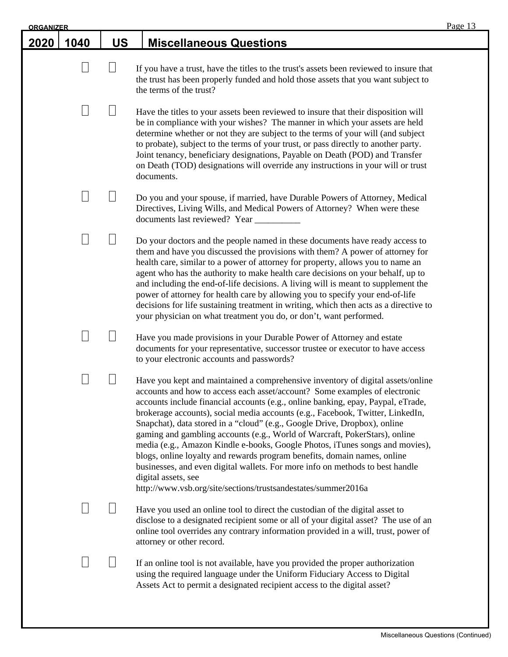| <b>ORGANIZER</b> |           |                                                                                                                                                                                                                                                                                                                                                                                                                                                                                                                                                                                                                                                                                                                                                                                                                                     | Page 13 |
|------------------|-----------|-------------------------------------------------------------------------------------------------------------------------------------------------------------------------------------------------------------------------------------------------------------------------------------------------------------------------------------------------------------------------------------------------------------------------------------------------------------------------------------------------------------------------------------------------------------------------------------------------------------------------------------------------------------------------------------------------------------------------------------------------------------------------------------------------------------------------------------|---------|
| 1040             | <b>US</b> | <b>Miscellaneous Questions</b>                                                                                                                                                                                                                                                                                                                                                                                                                                                                                                                                                                                                                                                                                                                                                                                                      |         |
| L                | $\Box$    | If you have a trust, have the titles to the trust's assets been reviewed to insure that<br>the trust has been properly funded and hold those assets that you want subject to<br>the terms of the trust?                                                                                                                                                                                                                                                                                                                                                                                                                                                                                                                                                                                                                             |         |
|                  |           | Have the titles to your assets been reviewed to insure that their disposition will<br>be in compliance with your wishes? The manner in which your assets are held<br>determine whether or not they are subject to the terms of your will (and subject<br>to probate), subject to the terms of your trust, or pass directly to another party.<br>Joint tenancy, beneficiary designations, Payable on Death (POD) and Transfer<br>on Death (TOD) designations will override any instructions in your will or trust<br>documents.                                                                                                                                                                                                                                                                                                      |         |
|                  |           | Do you and your spouse, if married, have Durable Powers of Attorney, Medical<br>Directives, Living Wills, and Medical Powers of Attorney? When were these                                                                                                                                                                                                                                                                                                                                                                                                                                                                                                                                                                                                                                                                           |         |
|                  |           | Do your doctors and the people named in these documents have ready access to<br>them and have you discussed the provisions with them? A power of attorney for<br>health care, similar to a power of attorney for property, allows you to name an<br>agent who has the authority to make health care decisions on your behalf, up to<br>and including the end-of-life decisions. A living will is meant to supplement the<br>power of attorney for health care by allowing you to specify your end-of-life<br>decisions for life sustaining treatment in writing, which then acts as a directive to<br>your physician on what treatment you do, or don't, want performed.                                                                                                                                                            |         |
|                  |           | Have you made provisions in your Durable Power of Attorney and estate<br>documents for your representative, successor trustee or executor to have access<br>to your electronic accounts and passwords?                                                                                                                                                                                                                                                                                                                                                                                                                                                                                                                                                                                                                              |         |
|                  |           | Have you kept and maintained a comprehensive inventory of digital assets/online<br>accounts and how to access each asset/account? Some examples of electronic<br>accounts include financial accounts (e.g., online banking, epay, Paypal, eTrade,<br>brokerage accounts), social media accounts (e.g., Facebook, Twitter, LinkedIn,<br>Snapchat), data stored in a "cloud" (e.g., Google Drive, Dropbox), online<br>gaming and gambling accounts (e.g., World of Warcraft, PokerStars), online<br>media (e.g., Amazon Kindle e-books, Google Photos, iTunes songs and movies),<br>blogs, online loyalty and rewards program benefits, domain names, online<br>businesses, and even digital wallets. For more info on methods to best handle<br>digital assets, see<br>http://www.vsb.org/site/sections/trustsandestates/summer2016a |         |
|                  |           | Have you used an online tool to direct the custodian of the digital asset to<br>disclose to a designated recipient some or all of your digital asset? The use of an<br>online tool overrides any contrary information provided in a will, trust, power of<br>attorney or other record.                                                                                                                                                                                                                                                                                                                                                                                                                                                                                                                                              |         |
|                  |           | If an online tool is not available, have you provided the proper authorization<br>using the required language under the Uniform Fiduciary Access to Digital<br>Assets Act to permit a designated recipient access to the digital asset?                                                                                                                                                                                                                                                                                                                                                                                                                                                                                                                                                                                             |         |
|                  |           |                                                                                                                                                                                                                                                                                                                                                                                                                                                                                                                                                                                                                                                                                                                                                                                                                                     |         |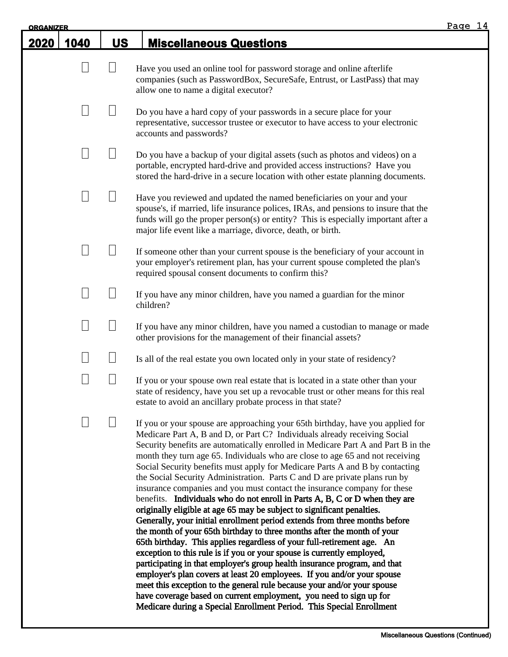| <b>ORGANIZER</b> |        |           |                                                                                                                                                                                                                                                                                                                                                                                                                                                                                                                                                                                                                                                                                                                                                                                                                                                                                                                                                                                                                                                                                                                                                                                                                                                                                                                                                                                                                                    | Page 14 |
|------------------|--------|-----------|------------------------------------------------------------------------------------------------------------------------------------------------------------------------------------------------------------------------------------------------------------------------------------------------------------------------------------------------------------------------------------------------------------------------------------------------------------------------------------------------------------------------------------------------------------------------------------------------------------------------------------------------------------------------------------------------------------------------------------------------------------------------------------------------------------------------------------------------------------------------------------------------------------------------------------------------------------------------------------------------------------------------------------------------------------------------------------------------------------------------------------------------------------------------------------------------------------------------------------------------------------------------------------------------------------------------------------------------------------------------------------------------------------------------------------|---------|
| 2020             | 1040   | <b>US</b> | <b>Miscellaneous Questions</b>                                                                                                                                                                                                                                                                                                                                                                                                                                                                                                                                                                                                                                                                                                                                                                                                                                                                                                                                                                                                                                                                                                                                                                                                                                                                                                                                                                                                     |         |
|                  |        |           | Have you used an online tool for password storage and online afterlife<br>companies (such as PasswordBox, SecureSafe, Entrust, or LastPass) that may<br>allow one to name a digital executor?                                                                                                                                                                                                                                                                                                                                                                                                                                                                                                                                                                                                                                                                                                                                                                                                                                                                                                                                                                                                                                                                                                                                                                                                                                      |         |
|                  |        |           | Do you have a hard copy of your passwords in a secure place for your<br>representative, successor trustee or executor to have access to your electronic<br>accounts and passwords?                                                                                                                                                                                                                                                                                                                                                                                                                                                                                                                                                                                                                                                                                                                                                                                                                                                                                                                                                                                                                                                                                                                                                                                                                                                 |         |
|                  | $\Box$ |           | Do you have a backup of your digital assets (such as photos and videos) on a<br>portable, encrypted hard-drive and provided access instructions? Have you<br>stored the hard-drive in a secure location with other estate planning documents.                                                                                                                                                                                                                                                                                                                                                                                                                                                                                                                                                                                                                                                                                                                                                                                                                                                                                                                                                                                                                                                                                                                                                                                      |         |
|                  |        |           | Have you reviewed and updated the named beneficiaries on your and your<br>spouse's, if married, life insurance polices, IRAs, and pensions to insure that the<br>funds will go the proper person(s) or entity? This is especially important after a<br>major life event like a marriage, divorce, death, or birth.                                                                                                                                                                                                                                                                                                                                                                                                                                                                                                                                                                                                                                                                                                                                                                                                                                                                                                                                                                                                                                                                                                                 |         |
|                  |        |           | If someone other than your current spouse is the beneficiary of your account in<br>your employer's retirement plan, has your current spouse completed the plan's<br>required spousal consent documents to confirm this?                                                                                                                                                                                                                                                                                                                                                                                                                                                                                                                                                                                                                                                                                                                                                                                                                                                                                                                                                                                                                                                                                                                                                                                                            |         |
|                  |        |           | If you have any minor children, have you named a guardian for the minor<br>children?                                                                                                                                                                                                                                                                                                                                                                                                                                                                                                                                                                                                                                                                                                                                                                                                                                                                                                                                                                                                                                                                                                                                                                                                                                                                                                                                               |         |
|                  |        |           | If you have any minor children, have you named a custodian to manage or made<br>other provisions for the management of their financial assets?                                                                                                                                                                                                                                                                                                                                                                                                                                                                                                                                                                                                                                                                                                                                                                                                                                                                                                                                                                                                                                                                                                                                                                                                                                                                                     |         |
|                  |        |           | Is all of the real estate you own located only in your state of residency?                                                                                                                                                                                                                                                                                                                                                                                                                                                                                                                                                                                                                                                                                                                                                                                                                                                                                                                                                                                                                                                                                                                                                                                                                                                                                                                                                         |         |
|                  |        |           | If you or your spouse own real estate that is located in a state other than your<br>state of residency, have you set up a revocable trust or other means for this real<br>estate to avoid an ancillary probate process in that state?                                                                                                                                                                                                                                                                                                                                                                                                                                                                                                                                                                                                                                                                                                                                                                                                                                                                                                                                                                                                                                                                                                                                                                                              |         |
|                  |        |           | If you or your spouse are approaching your 65th birthday, have you applied for<br>Medicare Part A, B and D, or Part C? Individuals already receiving Social<br>Security benefits are automatically enrolled in Medicare Part A and Part B in the<br>month they turn age 65. Individuals who are close to age 65 and not receiving<br>Social Security benefits must apply for Medicare Parts A and B by contacting<br>the Social Security Administration. Parts C and D are private plans run by<br>insurance companies and you must contact the insurance company for these<br>benefits. Individuals who do not enroll in Parts A, B, C or D when they are<br>originally eligible at age 65 may be subject to significant penalties.<br>Generally, your initial enrollment period extends from three months before<br>the month of your 65th birthday to three months after the month of your<br>65th birthday. This applies regardless of your full-retirement age. An<br>exception to this rule is if you or your spouse is currently employed,<br>participating in that employer's group health insurance program, and that<br>employer's plan covers at least 20 employees. If you and/or your spouse<br>meet this exception to the general rule because your and/or your spouse<br>have coverage based on current employment, you need to sign up for<br>Medicare during a Special Enrollment Period. This Special Enrollment |         |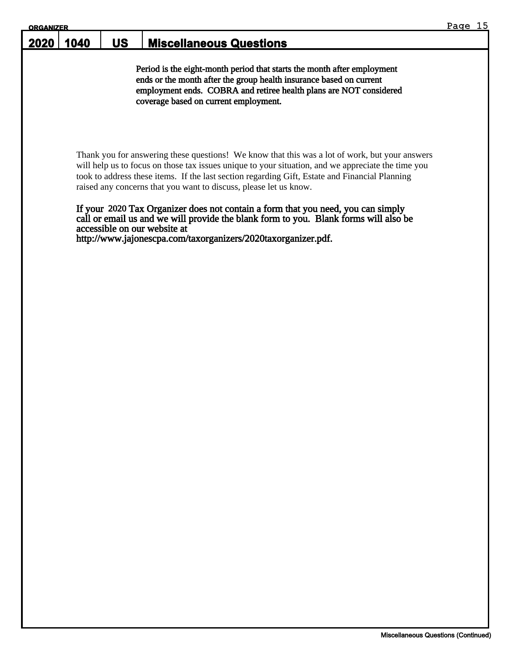| <b>ORGANIZER</b> |      |           |                                                                                                                                                                                                                                                               | -15<br>Page |
|------------------|------|-----------|---------------------------------------------------------------------------------------------------------------------------------------------------------------------------------------------------------------------------------------------------------------|-------------|
| 2020             | 1040 | <b>US</b> | <b>Miscellaneous Questions</b>                                                                                                                                                                                                                                |             |
|                  |      |           | Period is the eight-month period that starts the month after employment<br>ends or the month after the group health insurance based on current<br>employment ends. COBRA and retiree health plans are NOT considered<br>coverage based on current employment. |             |

Thank you for answering these questions! We know that this was a lot of work, but your answers will help us to focus on those tax issues unique to your situation, and we appreciate the time you took to address these items. If the last section regarding Gift, Estate and Financial Planning raised any concerns that you want to discuss, please let us know.

#### If your 2020 Tax Organizer does not contain a form that you need, you can simply call or email us and we will provide the blank form to you. Blank forms will also be accessible on our website at

http://www.jajonescpa.com/taxorganizers/2020taxorganizer.pdf.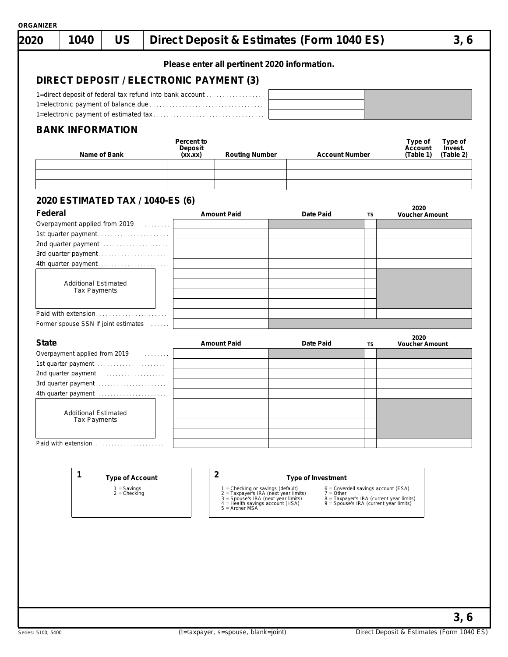|              |                                                          |                        |                    | Please enter all pertinent 2020 information.                               |                       |                                                                                    |                               |                      |
|--------------|----------------------------------------------------------|------------------------|--------------------|----------------------------------------------------------------------------|-----------------------|------------------------------------------------------------------------------------|-------------------------------|----------------------|
|              | DIRECT DEPOSIT / ELECTRONIC PAYMENT (3)                  |                        |                    |                                                                            |                       |                                                                                    |                               |                      |
|              | 1=direct deposit of federal tax refund into bank account |                        |                    |                                                                            |                       |                                                                                    |                               |                      |
|              |                                                          |                        |                    |                                                                            |                       |                                                                                    |                               |                      |
|              |                                                          |                        |                    |                                                                            |                       |                                                                                    |                               |                      |
|              | <b>BANK INFORMATION</b>                                  |                        | Percent to         |                                                                            |                       |                                                                                    | Type of                       | Type of              |
|              | Name of Bank                                             |                        | Deposit<br>(xx.xx) | <b>Routing Number</b>                                                      | <b>Account Number</b> |                                                                                    | Account<br>(Table 1)          | Invest.<br>(Table 2) |
|              |                                                          |                        |                    |                                                                            |                       |                                                                                    |                               |                      |
|              |                                                          |                        |                    |                                                                            |                       |                                                                                    |                               |                      |
|              | 2020 ESTIMATED TAX / 1040-ES (6)                         |                        |                    |                                                                            |                       |                                                                                    |                               |                      |
| Federal      |                                                          |                        |                    | <b>Amount Paid</b>                                                         | Date Paid             | TS                                                                                 | 2020<br><b>Voucher Amount</b> |                      |
|              | Overpayment applied from 2019 [10]                       |                        |                    |                                                                            |                       |                                                                                    |                               |                      |
|              | 1st quarter payment                                      |                        |                    |                                                                            |                       |                                                                                    |                               |                      |
|              | 2nd quarter payment                                      |                        |                    |                                                                            |                       |                                                                                    |                               |                      |
|              | 3rd quarter payment                                      |                        |                    |                                                                            |                       |                                                                                    |                               |                      |
|              | 4th quarter payment                                      |                        |                    |                                                                            |                       |                                                                                    |                               |                      |
|              |                                                          |                        |                    |                                                                            |                       |                                                                                    |                               |                      |
|              | <b>Additional Estimated</b><br><b>Tax Payments</b>       |                        |                    |                                                                            |                       |                                                                                    |                               |                      |
|              |                                                          |                        |                    |                                                                            |                       |                                                                                    |                               |                      |
|              | Paid with extension                                      |                        |                    |                                                                            |                       |                                                                                    |                               |                      |
|              | Former spouse SSN if joint estimates                     |                        |                    |                                                                            |                       |                                                                                    |                               |                      |
|              |                                                          |                        |                    |                                                                            |                       |                                                                                    |                               |                      |
| <b>State</b> |                                                          |                        |                    | <b>Amount Paid</b>                                                         | Date Paid             | TS                                                                                 | 2020<br><b>Voucher Amount</b> |                      |
|              | Overpayment applied from 2019                            | .                      |                    |                                                                            |                       |                                                                                    |                               |                      |
|              | 1st quarter payment                                      |                        |                    |                                                                            |                       |                                                                                    |                               |                      |
|              | 2nd quarter payment                                      |                        |                    |                                                                            |                       |                                                                                    |                               |                      |
|              | 3rd quarter payment                                      |                        |                    |                                                                            |                       |                                                                                    |                               |                      |
|              |                                                          |                        |                    |                                                                            |                       |                                                                                    |                               |                      |
|              |                                                          |                        |                    |                                                                            |                       |                                                                                    |                               |                      |
|              | <b>Additional Estimated</b><br><b>Tax Payments</b>       |                        |                    |                                                                            |                       |                                                                                    |                               |                      |
|              |                                                          |                        |                    |                                                                            |                       |                                                                                    |                               |                      |
|              |                                                          |                        |                    |                                                                            |                       |                                                                                    |                               |                      |
|              |                                                          |                        |                    |                                                                            |                       |                                                                                    |                               |                      |
|              | Paid with extension                                      |                        |                    |                                                                            |                       |                                                                                    |                               |                      |
|              |                                                          |                        |                    |                                                                            |                       |                                                                                    |                               |                      |
|              |                                                          |                        |                    |                                                                            |                       |                                                                                    |                               |                      |
|              | 1                                                        | <b>Type of Account</b> |                    | $\overline{2}$                                                             | Type of Investment    |                                                                                    |                               |                      |
|              | $1 =$ Savings<br>$2 =$ Checking                          |                        |                    | 1 = Checking or savings (default)<br>2 = Taxpayer's IRA (next year limits) | $7 = Other$           | $6$ = Coverdell savings account (ESA)                                              |                               |                      |
|              |                                                          |                        |                    | 3 = Spouse's IRA (next year limits)<br>4 = Health savings account (HSA)    |                       | 8 = Taxpayer's IRA (current year limits)<br>9 = Spouse's IRA (current year limits) |                               |                      |
|              |                                                          |                        |                    | $5 =$ Archer MSA                                                           |                       |                                                                                    |                               |                      |
|              |                                                          |                        |                    |                                                                            |                       |                                                                                    |                               |                      |
|              |                                                          |                        |                    |                                                                            |                       |                                                                                    |                               |                      |
|              |                                                          |                        |                    |                                                                            |                       |                                                                                    |                               |                      |
|              |                                                          |                        |                    |                                                                            |                       |                                                                                    |                               |                      |
|              |                                                          |                        |                    |                                                                            |                       |                                                                                    |                               |                      |
|              |                                                          |                        |                    |                                                                            |                       |                                                                                    |                               |                      |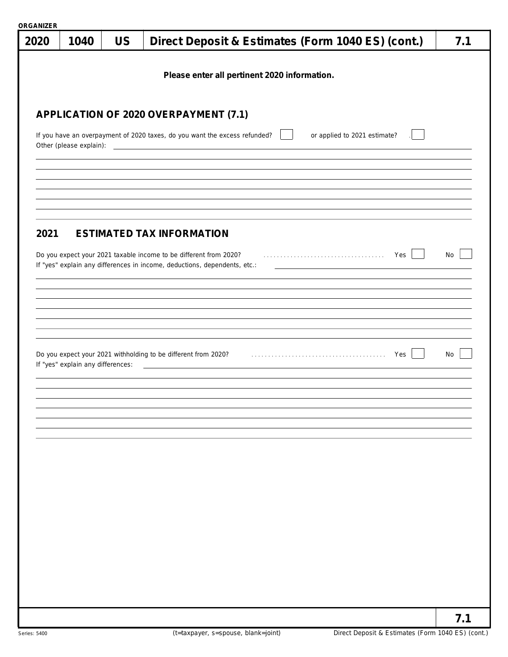| <u>URGANIZER</u><br>2020                                                                                                                                                                    | 1040                              | <b>US</b> |                                                                           | 7.1 |  |  |  |  |  |  |  |
|---------------------------------------------------------------------------------------------------------------------------------------------------------------------------------------------|-----------------------------------|-----------|---------------------------------------------------------------------------|-----|--|--|--|--|--|--|--|
|                                                                                                                                                                                             |                                   |           | Direct Deposit & Estimates (Form 1040 ES) (cont.)                         |     |  |  |  |  |  |  |  |
|                                                                                                                                                                                             |                                   |           | Please enter all pertinent 2020 information.                              |     |  |  |  |  |  |  |  |
|                                                                                                                                                                                             |                                   |           |                                                                           |     |  |  |  |  |  |  |  |
|                                                                                                                                                                                             |                                   |           |                                                                           |     |  |  |  |  |  |  |  |
|                                                                                                                                                                                             |                                   |           | APPLICATION OF 2020 OVERPAYMENT (7.1)                                     |     |  |  |  |  |  |  |  |
| If you have an overpayment of 2020 taxes, do you want the excess refunded?<br>or applied to 2021 estimate?<br>Other (please explain):<br><u> 1989 - Johann Barn, amerikansk politiker (</u> |                                   |           |                                                                           |     |  |  |  |  |  |  |  |
|                                                                                                                                                                                             |                                   |           |                                                                           |     |  |  |  |  |  |  |  |
|                                                                                                                                                                                             |                                   |           |                                                                           |     |  |  |  |  |  |  |  |
|                                                                                                                                                                                             |                                   |           |                                                                           |     |  |  |  |  |  |  |  |
|                                                                                                                                                                                             |                                   |           |                                                                           |     |  |  |  |  |  |  |  |
| 2021                                                                                                                                                                                        |                                   |           | <b>ESTIMATED TAX INFORMATION</b>                                          |     |  |  |  |  |  |  |  |
|                                                                                                                                                                                             |                                   |           | Do you expect your 2021 taxable income to be different from 2020?<br>Yes  | No  |  |  |  |  |  |  |  |
|                                                                                                                                                                                             |                                   |           | If "yes" explain any differences in income, deductions, dependents, etc.: |     |  |  |  |  |  |  |  |
|                                                                                                                                                                                             |                                   |           |                                                                           |     |  |  |  |  |  |  |  |
|                                                                                                                                                                                             |                                   |           |                                                                           |     |  |  |  |  |  |  |  |
|                                                                                                                                                                                             |                                   |           |                                                                           |     |  |  |  |  |  |  |  |
|                                                                                                                                                                                             |                                   |           |                                                                           |     |  |  |  |  |  |  |  |
|                                                                                                                                                                                             |                                   |           | Yes                                                                       | No  |  |  |  |  |  |  |  |
|                                                                                                                                                                                             | If "yes" explain any differences: |           | <u> 1980 - Johann Barbara, martxa alemaniar arg</u>                       |     |  |  |  |  |  |  |  |
|                                                                                                                                                                                             |                                   |           |                                                                           |     |  |  |  |  |  |  |  |
|                                                                                                                                                                                             |                                   |           |                                                                           |     |  |  |  |  |  |  |  |
|                                                                                                                                                                                             |                                   |           |                                                                           |     |  |  |  |  |  |  |  |
|                                                                                                                                                                                             |                                   |           |                                                                           |     |  |  |  |  |  |  |  |
|                                                                                                                                                                                             |                                   |           |                                                                           |     |  |  |  |  |  |  |  |
|                                                                                                                                                                                             |                                   |           |                                                                           |     |  |  |  |  |  |  |  |
|                                                                                                                                                                                             |                                   |           |                                                                           |     |  |  |  |  |  |  |  |
|                                                                                                                                                                                             |                                   |           |                                                                           |     |  |  |  |  |  |  |  |
|                                                                                                                                                                                             |                                   |           |                                                                           |     |  |  |  |  |  |  |  |
|                                                                                                                                                                                             |                                   |           |                                                                           |     |  |  |  |  |  |  |  |
|                                                                                                                                                                                             |                                   |           |                                                                           |     |  |  |  |  |  |  |  |
|                                                                                                                                                                                             |                                   |           |                                                                           |     |  |  |  |  |  |  |  |
|                                                                                                                                                                                             |                                   |           |                                                                           |     |  |  |  |  |  |  |  |
|                                                                                                                                                                                             |                                   |           |                                                                           | 7.1 |  |  |  |  |  |  |  |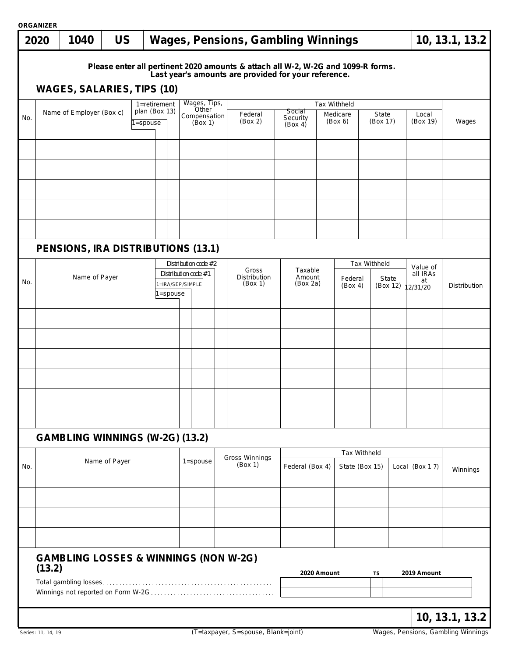|     | <b>ORGANIZER</b>         |                                                  |               |                           |  |                                                                  |              |                                  |                                                                                                                                          |                 |                                                                |                   |                                       |                   |                |                |
|-----|--------------------------|--------------------------------------------------|---------------|---------------------------|--|------------------------------------------------------------------|--------------|----------------------------------|------------------------------------------------------------------------------------------------------------------------------------------|-----------------|----------------------------------------------------------------|-------------------|---------------------------------------|-------------------|----------------|----------------|
|     | 2020                     | 1040                                             | <b>US</b>     |                           |  |                                                                  |              |                                  | <b>Wages, Pensions, Gambling Winnings</b>                                                                                                |                 |                                                                |                   |                                       |                   |                | 10, 13.1, 13.2 |
|     |                          | <b>WAGES, SALARIES, TIPS (10)</b>                |               |                           |  |                                                                  |              |                                  | Please enter all pertinent 2020 amounts & attach all W-2, W-2G and 1099-R forms.<br>Last year's amounts are provided for your reference. |                 |                                                                |                   |                                       |                   |                |                |
|     |                          |                                                  |               | $1 =$ retirement          |  |                                                                  |              | Wages, Tips,                     |                                                                                                                                          |                 |                                                                | Tax Withheld      |                                       |                   |                |                |
| No. | Name of Employer (Box c) |                                                  |               | plan (Box 13)<br>1=spouse |  | Other<br>Compensation<br>(Box 1)                                 |              | Federal<br>(Box 2)               | <b>Social</b><br>Medicare<br>Security<br>(Box 6)<br>(Box 4)                                                                              |                 |                                                                | State<br>(Box 17) |                                       | Local<br>(Box 19) | Wages          |                |
|     |                          |                                                  |               |                           |  |                                                                  |              |                                  |                                                                                                                                          |                 |                                                                |                   |                                       |                   |                |                |
|     |                          |                                                  |               |                           |  |                                                                  |              |                                  |                                                                                                                                          |                 |                                                                |                   |                                       |                   |                |                |
|     |                          |                                                  |               |                           |  |                                                                  |              |                                  |                                                                                                                                          |                 |                                                                |                   |                                       |                   |                |                |
|     |                          | PENSIONS, IRA DISTRIBUTIONS (13.1)               |               |                           |  |                                                                  |              |                                  |                                                                                                                                          |                 |                                                                |                   |                                       |                   |                |                |
| No. | Name of Payer            |                                                  |               |                           |  | Distribution code #2<br>Distribution code #1<br>1=IRA/SEP/SIMPLE |              | Gross<br>Distribution<br>(Box 1) | Taxable<br>Amount<br>(Box 2a)                                                                                                            |                 | Tax Withheld<br>Federal<br><b>State</b><br>(Box 4)<br>(Box 12) |                   | Value of<br>all IRAs<br>at<br>2/31/20 |                   | Distribution   |                |
|     |                          |                                                  |               |                           |  | l=spouse                                                         |              |                                  |                                                                                                                                          |                 |                                                                |                   |                                       |                   |                |                |
|     |                          |                                                  |               |                           |  |                                                                  |              |                                  |                                                                                                                                          |                 |                                                                |                   |                                       |                   |                |                |
|     |                          |                                                  |               |                           |  |                                                                  |              |                                  |                                                                                                                                          |                 |                                                                |                   |                                       |                   |                |                |
|     |                          |                                                  |               |                           |  |                                                                  |              |                                  |                                                                                                                                          |                 |                                                                |                   |                                       |                   |                |                |
|     |                          |                                                  |               |                           |  |                                                                  |              |                                  |                                                                                                                                          |                 |                                                                |                   |                                       |                   |                |                |
|     |                          | <b>GAMBLING WINNINGS (W-2G) (13.2)</b>           |               |                           |  |                                                                  |              |                                  |                                                                                                                                          |                 |                                                                |                   |                                       |                   |                |                |
|     |                          |                                                  | Name of Payer |                           |  |                                                                  | $1 =$ spouse |                                  | Gross Winnings                                                                                                                           |                 |                                                                | Tax Withheld      |                                       |                   |                |                |
| No. |                          |                                                  |               |                           |  |                                                                  |              |                                  | (Box 1)                                                                                                                                  | Federal (Box 4) |                                                                | State (Box 15)    |                                       |                   | Local (Box 17) | Winnings       |
|     |                          |                                                  |               |                           |  |                                                                  |              |                                  |                                                                                                                                          |                 |                                                                |                   |                                       |                   |                |                |
|     |                          |                                                  |               |                           |  |                                                                  |              |                                  |                                                                                                                                          |                 |                                                                |                   |                                       |                   |                |                |
|     | (13.2)                   | <b>GAMBLING LOSSES &amp; WINNINGS (NON W-2G)</b> |               |                           |  |                                                                  |              |                                  |                                                                                                                                          |                 | 2020 Amount                                                    |                   | TS                                    |                   | 2019 Amount    |                |
|     |                          |                                                  |               |                           |  |                                                                  |              |                                  |                                                                                                                                          |                 |                                                                |                   |                                       |                   |                |                |
|     |                          |                                                  |               |                           |  |                                                                  |              |                                  |                                                                                                                                          |                 |                                                                |                   |                                       |                   |                | 10, 13.1, 13.2 |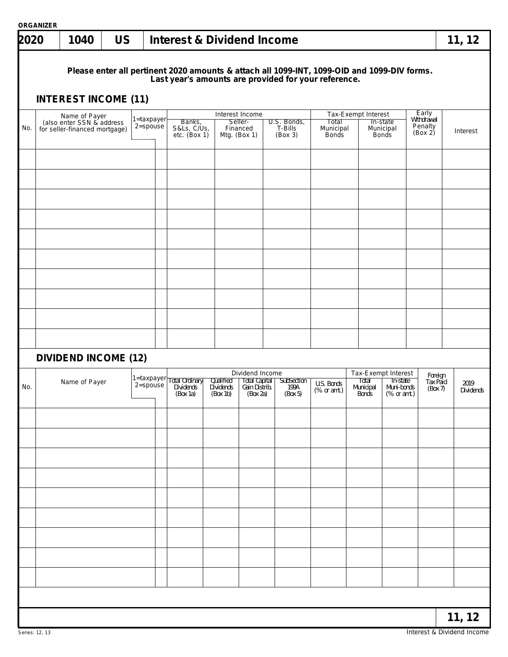| 2020 | <b>ORGANIZER</b> | 1040                                                                         | <b>US</b> |                                | <b>Interest &amp; Dividend Income</b>   |                                    |                                                               |                                   |                                                                                                                                                     |                             |                                       |                                                              |                                           | 11, 12            |
|------|------------------|------------------------------------------------------------------------------|-----------|--------------------------------|-----------------------------------------|------------------------------------|---------------------------------------------------------------|-----------------------------------|-----------------------------------------------------------------------------------------------------------------------------------------------------|-----------------------------|---------------------------------------|--------------------------------------------------------------|-------------------------------------------|-------------------|
|      |                  | <b>INTEREST INCOME (11)</b>                                                  |           |                                |                                         |                                    |                                                               |                                   | Please enter all pertinent 2020 amounts & attach all 1099-INT, 1099-OID and 1099-DIV forms.<br>Last year's amounts are provided for your reference. |                             |                                       |                                                              |                                           |                   |
| No.  |                  | Name of Payer<br>(also enter SSN & address)<br>for seller-financed mortgage) |           | 1=taxpayer<br>$2$ =spouse      | Banks,<br>S&Ls, C/Us,<br>etc. $(Box 1)$ |                                    | Interest Income<br>Seller-<br>Financed<br>Mtg. $(Box 1)$      | U.S. Bonds,<br>T-Bills<br>(Box 3) | Total<br>Municipal<br><b>Bonds</b>                                                                                                                  | Tax-Exempt Interest         | In-state<br>Municipal<br><b>Bonds</b> |                                                              | Early<br>Withdrawal<br>Penalty<br>(Box 2) | Interest          |
|      |                  |                                                                              |           |                                |                                         |                                    |                                                               |                                   |                                                                                                                                                     |                             |                                       |                                                              |                                           |                   |
|      |                  |                                                                              |           |                                |                                         |                                    |                                                               |                                   |                                                                                                                                                     |                             |                                       |                                                              |                                           |                   |
|      |                  |                                                                              |           |                                |                                         |                                    |                                                               |                                   |                                                                                                                                                     |                             |                                       |                                                              |                                           |                   |
|      |                  |                                                                              |           |                                |                                         |                                    |                                                               |                                   |                                                                                                                                                     |                             |                                       |                                                              |                                           |                   |
|      |                  | <b>DIVIDEND INCOME (12)</b>                                                  |           |                                |                                         |                                    |                                                               |                                   |                                                                                                                                                     |                             |                                       |                                                              |                                           |                   |
| No.  |                  | Name of Payer                                                                |           | $1 =$ taxpayer<br>$2 = spouse$ | Total Ordinary<br>Dividends<br>(Box 1a) | Qualified<br>Dividends<br>(Box 1b) | Dividend Income<br>Total Capital<br>Gain Distrib.<br>(Box 2a) | SubSection<br>199A<br>(Box 5)     | U.S. Bonds<br>(% or amt.)                                                                                                                           | Total<br>Municipal<br>Bonds |                                       | Tax-Exempt Interest<br>In-state<br>Muni-bonds<br>(% or amt.) | Foreign<br>Tax Paid<br>(Box 7)            | 2019<br>Dividends |
|      |                  |                                                                              |           |                                |                                         |                                    |                                                               |                                   |                                                                                                                                                     |                             |                                       |                                                              |                                           |                   |
|      |                  |                                                                              |           |                                |                                         |                                    |                                                               |                                   |                                                                                                                                                     |                             |                                       |                                                              |                                           |                   |
|      |                  |                                                                              |           |                                |                                         |                                    |                                                               |                                   |                                                                                                                                                     |                             |                                       |                                                              |                                           |                   |
|      |                  |                                                                              |           |                                |                                         |                                    |                                                               |                                   |                                                                                                                                                     |                             |                                       |                                                              |                                           |                   |
|      |                  |                                                                              |           |                                |                                         |                                    |                                                               |                                   |                                                                                                                                                     |                             |                                       |                                                              |                                           |                   |
|      |                  |                                                                              |           |                                |                                         |                                    |                                                               |                                   |                                                                                                                                                     |                             |                                       |                                                              |                                           | 11, 12            |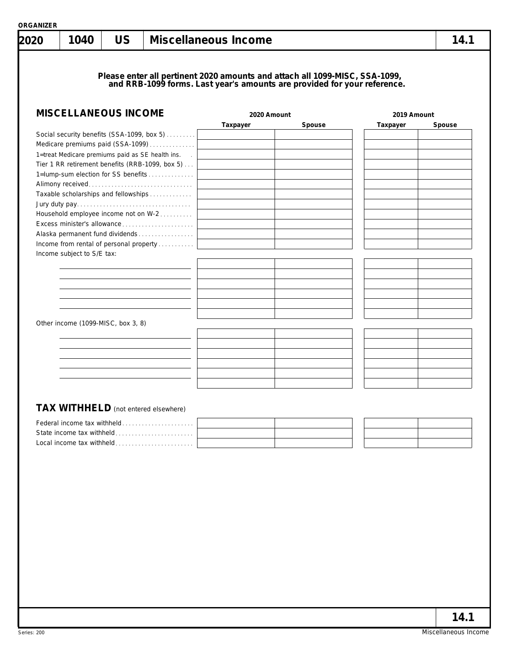|  |  | ORGANIZER |  |
|--|--|-----------|--|
|  |  |           |  |
|  |  |           |  |

| <b>MISCELLANEOUS INCOME</b><br>Social security benefits (SSA-1099, box 5)<br>Medicare premiums paid (SSA-1099)<br>1=treat Medicare premiums paid as SE health ins.<br>Tier 1 RR retirement benefits (RRB-1099, box 5)<br>1=lump-sum election for SS benefits<br>Taxable scholarships and fellowships<br>Household employee income not on W-2<br>Excess minister's allowance | 2020 Amount<br>Taxpayer | Please enter all pertinent 2020 amounts and attach all 1099-MISC, SSA-1099,<br>and RRB-1099 forms. Last year's amounts are provided for your reference.<br>Spouse | 2019 Amount<br>Taxpayer |        |
|-----------------------------------------------------------------------------------------------------------------------------------------------------------------------------------------------------------------------------------------------------------------------------------------------------------------------------------------------------------------------------|-------------------------|-------------------------------------------------------------------------------------------------------------------------------------------------------------------|-------------------------|--------|
|                                                                                                                                                                                                                                                                                                                                                                             |                         |                                                                                                                                                                   |                         |        |
|                                                                                                                                                                                                                                                                                                                                                                             |                         |                                                                                                                                                                   |                         | Spouse |
|                                                                                                                                                                                                                                                                                                                                                                             |                         |                                                                                                                                                                   |                         |        |
|                                                                                                                                                                                                                                                                                                                                                                             |                         |                                                                                                                                                                   |                         |        |
|                                                                                                                                                                                                                                                                                                                                                                             |                         |                                                                                                                                                                   |                         |        |
|                                                                                                                                                                                                                                                                                                                                                                             |                         |                                                                                                                                                                   |                         |        |
|                                                                                                                                                                                                                                                                                                                                                                             |                         |                                                                                                                                                                   |                         |        |
|                                                                                                                                                                                                                                                                                                                                                                             |                         |                                                                                                                                                                   |                         |        |
|                                                                                                                                                                                                                                                                                                                                                                             |                         |                                                                                                                                                                   |                         |        |
|                                                                                                                                                                                                                                                                                                                                                                             |                         |                                                                                                                                                                   |                         |        |
|                                                                                                                                                                                                                                                                                                                                                                             |                         |                                                                                                                                                                   |                         |        |
|                                                                                                                                                                                                                                                                                                                                                                             |                         |                                                                                                                                                                   |                         |        |
|                                                                                                                                                                                                                                                                                                                                                                             |                         |                                                                                                                                                                   |                         |        |
| Alaska permanent fund dividends                                                                                                                                                                                                                                                                                                                                             |                         |                                                                                                                                                                   |                         |        |
| Income from rental of personal property                                                                                                                                                                                                                                                                                                                                     |                         |                                                                                                                                                                   |                         |        |
| Income subject to S/E tax:                                                                                                                                                                                                                                                                                                                                                  |                         |                                                                                                                                                                   |                         |        |
|                                                                                                                                                                                                                                                                                                                                                                             |                         |                                                                                                                                                                   |                         |        |
|                                                                                                                                                                                                                                                                                                                                                                             |                         |                                                                                                                                                                   |                         |        |
|                                                                                                                                                                                                                                                                                                                                                                             |                         |                                                                                                                                                                   |                         |        |
|                                                                                                                                                                                                                                                                                                                                                                             |                         |                                                                                                                                                                   |                         |        |
|                                                                                                                                                                                                                                                                                                                                                                             |                         |                                                                                                                                                                   |                         |        |
| Other income (1099-MISC, box 3, 8)                                                                                                                                                                                                                                                                                                                                          |                         |                                                                                                                                                                   |                         |        |
|                                                                                                                                                                                                                                                                                                                                                                             |                         |                                                                                                                                                                   |                         |        |
|                                                                                                                                                                                                                                                                                                                                                                             |                         |                                                                                                                                                                   |                         |        |
|                                                                                                                                                                                                                                                                                                                                                                             |                         |                                                                                                                                                                   |                         |        |
|                                                                                                                                                                                                                                                                                                                                                                             |                         |                                                                                                                                                                   |                         |        |
|                                                                                                                                                                                                                                                                                                                                                                             |                         |                                                                                                                                                                   |                         |        |
|                                                                                                                                                                                                                                                                                                                                                                             |                         |                                                                                                                                                                   |                         |        |
|                                                                                                                                                                                                                                                                                                                                                                             |                         |                                                                                                                                                                   |                         |        |
| <b>TAX WITHHELD</b> (not entered elsewhere)                                                                                                                                                                                                                                                                                                                                 |                         |                                                                                                                                                                   |                         |        |
|                                                                                                                                                                                                                                                                                                                                                                             |                         |                                                                                                                                                                   |                         |        |
|                                                                                                                                                                                                                                                                                                                                                                             |                         |                                                                                                                                                                   |                         |        |
|                                                                                                                                                                                                                                                                                                                                                                             |                         |                                                                                                                                                                   |                         |        |
|                                                                                                                                                                                                                                                                                                                                                                             |                         |                                                                                                                                                                   |                         |        |
| State income tax withheld<br>Local income tax withheld                                                                                                                                                                                                                                                                                                                      |                         |                                                                                                                                                                   |                         |        |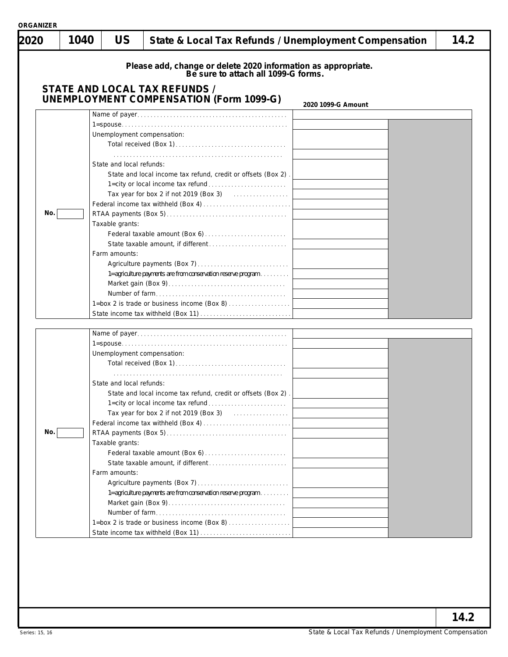|     |                            | Please add, change or delete 2020 information as appropriate.<br>Be sure to attach all 1099-G forms.         |  |
|-----|----------------------------|--------------------------------------------------------------------------------------------------------------|--|
|     |                            | <b>STATE AND LOCAL TAX REFUNDS /</b><br><b>UNEMPLOYMENT COMPENSATION (Form 1099-G)</b><br>2020 1099-G Amount |  |
|     |                            |                                                                                                              |  |
|     |                            |                                                                                                              |  |
|     | Unemployment compensation: |                                                                                                              |  |
|     |                            |                                                                                                              |  |
|     |                            |                                                                                                              |  |
|     | State and local refunds:   |                                                                                                              |  |
|     |                            | State and local income tax refund, credit or offsets (Box 2).                                                |  |
|     |                            |                                                                                                              |  |
|     |                            | Tax year for box 2 if not 2019 (Box 3) $\ldots$                                                              |  |
| No. |                            |                                                                                                              |  |
|     | Taxable grants:            |                                                                                                              |  |
|     |                            |                                                                                                              |  |
|     |                            |                                                                                                              |  |
|     | Farm amounts:              |                                                                                                              |  |
|     |                            |                                                                                                              |  |
|     |                            | 1=agriculture payments are from conservation reserve program                                                 |  |
|     |                            |                                                                                                              |  |
|     |                            |                                                                                                              |  |
|     |                            | 1=box 2 is trade or business income (Box 8)                                                                  |  |
|     |                            |                                                                                                              |  |
|     |                            |                                                                                                              |  |
|     |                            |                                                                                                              |  |
|     | Unemployment compensation: |                                                                                                              |  |
|     |                            |                                                                                                              |  |
|     |                            |                                                                                                              |  |
|     | State and local refunds:   |                                                                                                              |  |
|     |                            | State and local income tax refund, credit or offsets (Box 2)                                                 |  |
|     |                            |                                                                                                              |  |
|     |                            |                                                                                                              |  |
|     |                            |                                                                                                              |  |
| No. |                            |                                                                                                              |  |
|     | Taxable grants:            |                                                                                                              |  |
|     |                            |                                                                                                              |  |
|     | Farm amounts:              |                                                                                                              |  |
|     |                            |                                                                                                              |  |
|     |                            | 1=agriculture payments are from conservation reserve program                                                 |  |
|     |                            |                                                                                                              |  |
|     |                            |                                                                                                              |  |
|     |                            | 1=box 2 is trade or business income (Box 8)                                                                  |  |
|     |                            |                                                                                                              |  |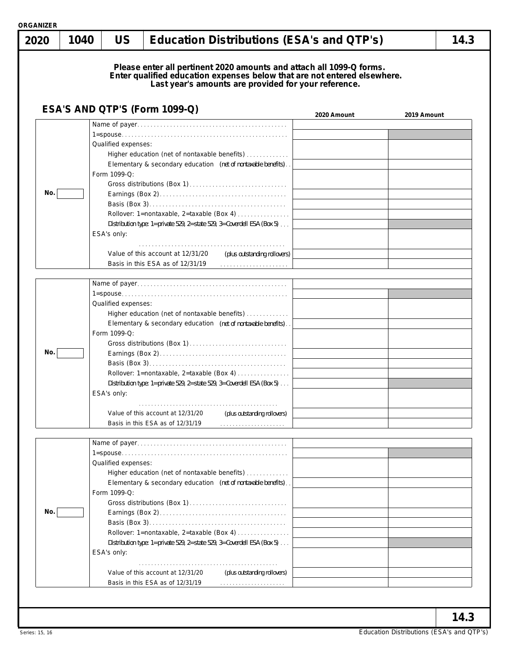|  | ORGANIZER |  |  |  |
|--|-----------|--|--|--|

| 2020 | 1040 | <b>US</b>                                          |                                                                                                                                                                                                                                                                                                                 | <b>Education Distributions (ESA's and QTP's)</b>                                                                                                                                                         | 14.3        |
|------|------|----------------------------------------------------|-----------------------------------------------------------------------------------------------------------------------------------------------------------------------------------------------------------------------------------------------------------------------------------------------------------------|----------------------------------------------------------------------------------------------------------------------------------------------------------------------------------------------------------|-------------|
|      |      |                                                    |                                                                                                                                                                                                                                                                                                                 | Please enter all pertinent 2020 amounts and attach all 1099-Q forms.<br>Enter qualified education expenses below that are not entered elsewhere.<br>Last year's amounts are provided for your reference. |             |
|      |      |                                                    | ESA'S AND QTP'S (Form 1099-Q)                                                                                                                                                                                                                                                                                   | 2020 Amount                                                                                                                                                                                              | 2019 Amount |
| No.  |      | Qualified expenses:<br>Form 1099-Q:<br>ESA's only: | Higher education (net of nontaxable benefits)<br>Elementary & secondary education (net of nontaxable benefits).<br>Rollover: 1=nontaxable, 2=taxable (Box 4)<br>Distribution type: 1=private 529, 2=state 529, 3=Coverdell ESA (Box 5)<br>Value of this account at 12/31/20<br>Basis in this ESA as of 12/31/19 | (plus outstanding rollovers)                                                                                                                                                                             |             |
| No.  |      | Qualified expenses:<br>Form 1099-Q:<br>ESA's only: | Higher education (net of nontaxable benefits)<br>Elementary & secondary education (net of nontaxable benefits).<br>Rollover: 1=nontaxable, 2=taxable (Box 4)<br>Distribution type: 1=private 529, 2=state 529, 3=Coverdell ESA (Box 5)<br>Value of this account at 12/31/20<br>Basis in this ESA as of 12/31/19 | (plus outstanding rollovers)                                                                                                                                                                             |             |
| No.  |      | Qualified expenses:<br>Form 1099-Q:                | Higher education (net of nontaxable benefits)<br>Elementary & secondary education (net of nontaxable benefits).<br>Rollover: 1=nontaxable, 2=taxable (Box 4)<br>Distribution type: 1=private 529, 2=state 529, 3=Coverdell ESA (Box 5)                                                                          |                                                                                                                                                                                                          |             |
|      |      | ESA's only:                                        | Value of this account at 12/31/20<br>Basis in this ESA as of 12/31/19                                                                                                                                                                                                                                           | (plus outstanding rollovers)                                                                                                                                                                             |             |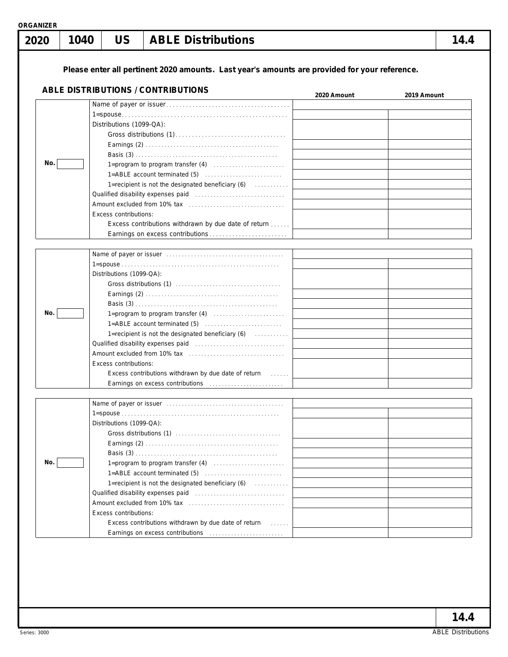| 2020 | 1040 | <b>US</b>                                         | <b>ABLE Distributions</b>                                                                                                                                                                                                                                                                                                                                  |             | 14.4        |
|------|------|---------------------------------------------------|------------------------------------------------------------------------------------------------------------------------------------------------------------------------------------------------------------------------------------------------------------------------------------------------------------------------------------------------------------|-------------|-------------|
|      |      |                                                   | Please enter all pertinent 2020 amounts. Last year's amounts are provided for your reference.                                                                                                                                                                                                                                                              |             |             |
|      |      |                                                   | <b>ABLE DISTRIBUTIONS / CONTRIBUTIONS</b>                                                                                                                                                                                                                                                                                                                  | 2020 Amount | 2019 Amount |
| No.  |      | Distributions (1099-QA):<br>Excess contributions: | 1=recipient is not the designated beneficiary (6)<br>Qualified disability expenses paid [11] [11] Cualified disability expenses paid<br>Excess contributions withdrawn by due date of return                                                                                                                                                               |             |             |
| No.  |      | Distributions (1099-QA):<br>Excess contributions: | 1=ABLE account terminated (5)<br>1=recipient is not the designated beneficiary (6)<br>Excess contributions withdrawn by due date of return [1, 1, 1, 1]                                                                                                                                                                                                    |             |             |
| No.  |      | Distributions (1099-QA):<br>Excess contributions: | 1=recipient is not the designated beneficiary $(6)$<br>Excess contributions withdrawn by due date of return [1, 1, 1, 1]<br>Earnings on excess contributions [11] [11] [12] Earnings on excess contributions [11] [12] [12] American contributions of the Earnings of Earnings and Earnings and Earnings and Earnings and Earnings and Earnings and Earnin |             |             |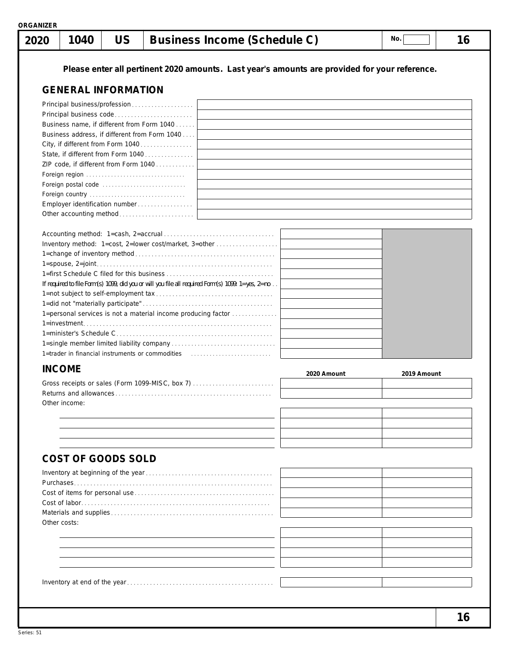|               | 1040                       | <b>US</b> |                                                                                                                                                                                                                                                                     | <b>Business Income (Schedule C)</b>                                                                                                                                |             | No.         | 16 |
|---------------|----------------------------|-----------|---------------------------------------------------------------------------------------------------------------------------------------------------------------------------------------------------------------------------------------------------------------------|--------------------------------------------------------------------------------------------------------------------------------------------------------------------|-------------|-------------|----|
|               |                            |           |                                                                                                                                                                                                                                                                     | Please enter all pertinent 2020 amounts. Last year's amounts are provided for your reference.                                                                      |             |             |    |
|               | <b>GENERAL INFORMATION</b> |           |                                                                                                                                                                                                                                                                     |                                                                                                                                                                    |             |             |    |
|               |                            |           | Business name, if different from Form 1040<br>Business address, if different from Form 1040<br>City, if different from Form 1040<br>State, if different from Form 1040<br>ZIP code, if different from Form 1040<br>Foreign region<br>Employer identification number | Inventory method: 1=cost, 2=lower cost/market, 3=other                                                                                                             |             |             |    |
|               |                            |           |                                                                                                                                                                                                                                                                     | If required to file Form(s) 1099, did you or will you file all required Form(s) 1099: 1=yes, 2=no<br>1=personal services is not a material income producing factor |             |             |    |
|               |                            |           |                                                                                                                                                                                                                                                                     | 1=trader in financial instruments or commodities                                                                                                                   |             |             |    |
| <b>INCOME</b> | Other income:              |           |                                                                                                                                                                                                                                                                     | Gross receipts or sales (Form 1099-MISC, box 7)                                                                                                                    | 2020 Amount | 2019 Amount |    |
|               | <b>COST OF GOODS SOLD</b>  |           |                                                                                                                                                                                                                                                                     |                                                                                                                                                                    |             |             |    |
| Other costs:  |                            |           |                                                                                                                                                                                                                                                                     |                                                                                                                                                                    |             |             |    |
|               |                            |           |                                                                                                                                                                                                                                                                     |                                                                                                                                                                    |             |             |    |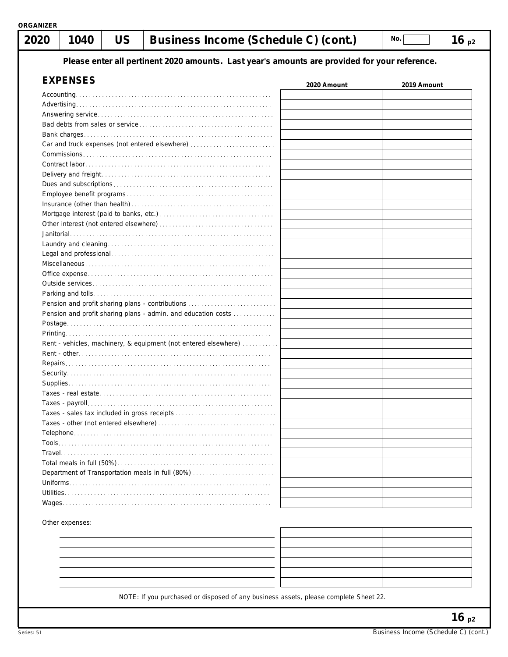**Please enter all pertinent 2020 amounts. Last year's amounts are provided for your reference.**

| <b>EXPENSES</b>                                                 | 2020 Amount | 2019 Amount |
|-----------------------------------------------------------------|-------------|-------------|
|                                                                 |             |             |
|                                                                 |             |             |
|                                                                 |             |             |
|                                                                 |             |             |
|                                                                 |             |             |
| Car and truck expenses (not entered elsewhere)                  |             |             |
|                                                                 |             |             |
|                                                                 |             |             |
|                                                                 |             |             |
|                                                                 |             |             |
|                                                                 |             |             |
|                                                                 |             |             |
|                                                                 |             |             |
|                                                                 |             |             |
|                                                                 |             |             |
|                                                                 |             |             |
|                                                                 |             |             |
|                                                                 |             |             |
|                                                                 |             |             |
|                                                                 |             |             |
|                                                                 |             |             |
|                                                                 |             |             |
|                                                                 |             |             |
| Pension and profit sharing plans - admin. and education costs   |             |             |
|                                                                 |             |             |
|                                                                 |             |             |
| Rent - vehicles, machinery, & equipment (not entered elsewhere) |             |             |
|                                                                 |             |             |
|                                                                 |             |             |
|                                                                 |             |             |
|                                                                 |             |             |
|                                                                 |             |             |
|                                                                 |             |             |
| Taxes - sales tax included in gross receipts                    |             |             |
|                                                                 |             |             |
|                                                                 |             |             |
| Tools                                                           |             |             |
|                                                                 |             |             |
|                                                                 |             |             |
| Department of Transportation meals in full (80%)                |             |             |
|                                                                 |             |             |
| Utilities                                                       |             |             |
|                                                                 |             |             |

Other expenses:

| - |  |
|---|--|
|   |  |

NOTE: If you purchased or disposed of any business assets, please complete Sheet 22.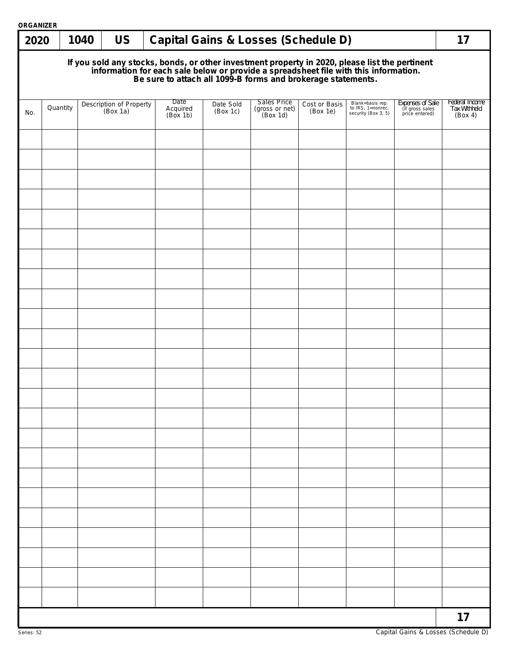| 2020                                                                                                                                                                                                                                 |          | 1040 | <b>US</b>                           |  |                              |                       | <b>Capital Gains &amp; Losses (Schedule D)</b> |                           |                                                              |                                                       | 17                                        |
|--------------------------------------------------------------------------------------------------------------------------------------------------------------------------------------------------------------------------------------|----------|------|-------------------------------------|--|------------------------------|-----------------------|------------------------------------------------|---------------------------|--------------------------------------------------------------|-------------------------------------------------------|-------------------------------------------|
| If you sold any stocks, bonds, or other investment property in 2020, please list the pertinent<br>information for each sale below or provide a spreadsheet file with this information.<br>Be sure to attach all 1099-B forms and bro |          |      |                                     |  |                              |                       |                                                |                           |                                                              |                                                       |                                           |
| No.                                                                                                                                                                                                                                  | Quantity |      | Description of Property<br>(Box 1a) |  | Date<br>Acquired<br>(Box 1b) | Date Sold<br>(Box 1c) | Sales Price<br>(gross or net)<br>(Box 1d)      | Cost or Basis<br>(Box 1e) | Blank=basis rep.<br>to IRS, 1=nonrec.<br>security (Box 3, 5) | Expenses of Sale<br>(if gross sales<br>price entered) | Federal Income<br>Tax Withheld<br>(Box 4) |
|                                                                                                                                                                                                                                      |          |      |                                     |  |                              |                       |                                                |                           |                                                              |                                                       |                                           |
|                                                                                                                                                                                                                                      |          |      |                                     |  |                              |                       |                                                |                           |                                                              |                                                       |                                           |
|                                                                                                                                                                                                                                      |          |      |                                     |  |                              |                       |                                                |                           |                                                              |                                                       |                                           |
|                                                                                                                                                                                                                                      |          |      |                                     |  |                              |                       |                                                |                           |                                                              |                                                       |                                           |
|                                                                                                                                                                                                                                      |          |      |                                     |  |                              |                       |                                                |                           |                                                              |                                                       |                                           |
|                                                                                                                                                                                                                                      |          |      |                                     |  |                              |                       |                                                |                           |                                                              |                                                       |                                           |
|                                                                                                                                                                                                                                      |          |      |                                     |  |                              |                       |                                                |                           |                                                              |                                                       |                                           |
|                                                                                                                                                                                                                                      |          |      |                                     |  |                              |                       |                                                |                           |                                                              |                                                       |                                           |
|                                                                                                                                                                                                                                      |          |      |                                     |  |                              |                       |                                                |                           |                                                              |                                                       |                                           |
|                                                                                                                                                                                                                                      |          |      |                                     |  |                              |                       |                                                |                           |                                                              |                                                       |                                           |
|                                                                                                                                                                                                                                      |          |      |                                     |  |                              |                       |                                                |                           |                                                              |                                                       |                                           |
|                                                                                                                                                                                                                                      |          |      |                                     |  |                              |                       |                                                |                           |                                                              |                                                       |                                           |
|                                                                                                                                                                                                                                      |          |      |                                     |  |                              |                       |                                                |                           |                                                              |                                                       |                                           |
|                                                                                                                                                                                                                                      |          |      |                                     |  |                              |                       |                                                |                           |                                                              |                                                       |                                           |
|                                                                                                                                                                                                                                      |          |      |                                     |  |                              |                       |                                                |                           |                                                              |                                                       |                                           |
|                                                                                                                                                                                                                                      |          |      |                                     |  |                              |                       |                                                |                           |                                                              |                                                       |                                           |
|                                                                                                                                                                                                                                      |          |      |                                     |  |                              |                       |                                                |                           |                                                              |                                                       |                                           |
|                                                                                                                                                                                                                                      |          |      |                                     |  |                              |                       |                                                |                           |                                                              |                                                       |                                           |
|                                                                                                                                                                                                                                      |          |      |                                     |  |                              |                       |                                                |                           |                                                              |                                                       |                                           |
|                                                                                                                                                                                                                                      |          |      |                                     |  |                              |                       |                                                |                           |                                                              |                                                       |                                           |
|                                                                                                                                                                                                                                      |          |      |                                     |  |                              |                       |                                                |                           |                                                              |                                                       |                                           |
|                                                                                                                                                                                                                                      |          |      |                                     |  |                              |                       |                                                |                           |                                                              |                                                       |                                           |
|                                                                                                                                                                                                                                      |          |      |                                     |  |                              |                       |                                                |                           |                                                              |                                                       | 17                                        |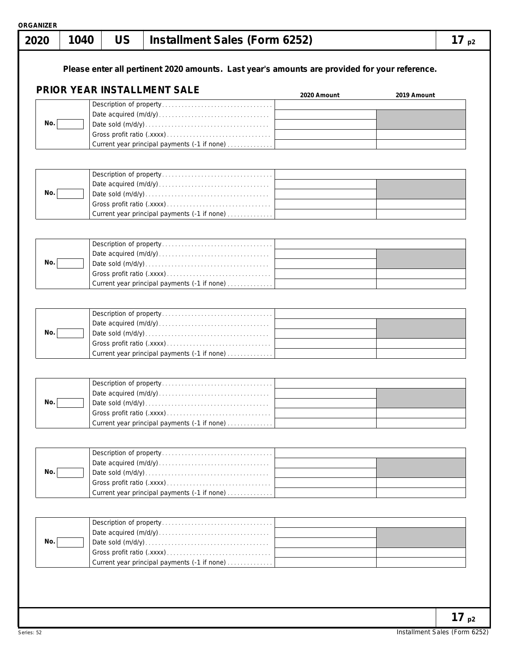|  |  | ORGANIZER |  |
|--|--|-----------|--|
|  |  |           |  |
|  |  |           |  |

| No.<br>No.<br>No.<br>No. | Please enter all pertinent 2020 amounts. Last year's amounts are provided for your reference.<br>PRIOR YEAR INSTALLMENT SALE<br>Current year principal payments (-1 if none)<br>Current year principal payments (-1 if none)<br>Current year principal payments (-1 if none) | 2020 Amount | 2019 Amount |  |
|--------------------------|------------------------------------------------------------------------------------------------------------------------------------------------------------------------------------------------------------------------------------------------------------------------------|-------------|-------------|--|
|                          |                                                                                                                                                                                                                                                                              |             |             |  |
|                          |                                                                                                                                                                                                                                                                              |             |             |  |
|                          |                                                                                                                                                                                                                                                                              |             |             |  |
|                          |                                                                                                                                                                                                                                                                              |             |             |  |
|                          |                                                                                                                                                                                                                                                                              |             |             |  |
|                          |                                                                                                                                                                                                                                                                              |             |             |  |
|                          |                                                                                                                                                                                                                                                                              |             |             |  |
|                          |                                                                                                                                                                                                                                                                              |             |             |  |
|                          |                                                                                                                                                                                                                                                                              |             |             |  |
|                          |                                                                                                                                                                                                                                                                              |             |             |  |
|                          |                                                                                                                                                                                                                                                                              |             |             |  |
|                          |                                                                                                                                                                                                                                                                              |             |             |  |
|                          |                                                                                                                                                                                                                                                                              |             |             |  |
|                          |                                                                                                                                                                                                                                                                              |             |             |  |
|                          |                                                                                                                                                                                                                                                                              |             |             |  |
|                          |                                                                                                                                                                                                                                                                              |             |             |  |
|                          |                                                                                                                                                                                                                                                                              |             |             |  |
|                          |                                                                                                                                                                                                                                                                              |             |             |  |
|                          |                                                                                                                                                                                                                                                                              |             |             |  |
|                          |                                                                                                                                                                                                                                                                              |             |             |  |
|                          |                                                                                                                                                                                                                                                                              |             |             |  |
|                          | Current year principal payments (-1 if none)                                                                                                                                                                                                                                 |             |             |  |
|                          |                                                                                                                                                                                                                                                                              |             |             |  |
|                          |                                                                                                                                                                                                                                                                              |             |             |  |
| No.                      |                                                                                                                                                                                                                                                                              |             |             |  |
|                          |                                                                                                                                                                                                                                                                              |             |             |  |
|                          | Current year principal payments (-1 if none)                                                                                                                                                                                                                                 |             |             |  |
|                          |                                                                                                                                                                                                                                                                              |             |             |  |
|                          |                                                                                                                                                                                                                                                                              |             |             |  |
| No.                      |                                                                                                                                                                                                                                                                              |             |             |  |
|                          |                                                                                                                                                                                                                                                                              |             |             |  |
|                          | Current year principal payments (-1 if none)                                                                                                                                                                                                                                 |             |             |  |
|                          |                                                                                                                                                                                                                                                                              |             |             |  |
|                          |                                                                                                                                                                                                                                                                              |             |             |  |
| No.                      |                                                                                                                                                                                                                                                                              |             |             |  |
|                          |                                                                                                                                                                                                                                                                              |             |             |  |
|                          | Current year principal payments (-1 if none)                                                                                                                                                                                                                                 |             |             |  |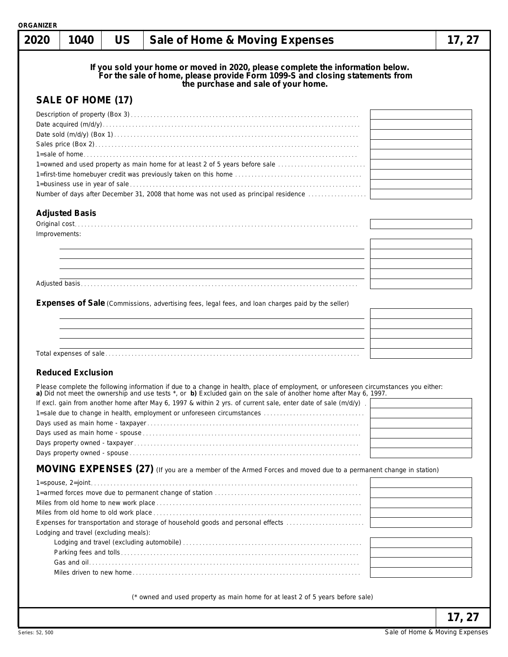| <b>ORGANIZER</b><br>2020 | 1040                                  | <b>US</b> | Sale of Home & Moving Expenses                                                                                                                                                                                                                                                                                                                                                                                                                        | 17, 27 |
|--------------------------|---------------------------------------|-----------|-------------------------------------------------------------------------------------------------------------------------------------------------------------------------------------------------------------------------------------------------------------------------------------------------------------------------------------------------------------------------------------------------------------------------------------------------------|--------|
|                          |                                       |           | If you sold your home or moved in 2020, please complete the information below.<br>For the sale of home, please provide Form 1099-S and closing statements from<br>the purchase and sale of your home.                                                                                                                                                                                                                                                 |        |
|                          | SALE OF HOME (17)                     |           |                                                                                                                                                                                                                                                                                                                                                                                                                                                       |        |
|                          |                                       |           | 1=owned and used property as main home for at least 2 of 5 years before sale<br>Number of days after December 31, 2008 that home was not used as principal residence                                                                                                                                                                                                                                                                                  |        |
|                          |                                       |           |                                                                                                                                                                                                                                                                                                                                                                                                                                                       |        |
|                          | <b>Adjusted Basis</b>                 |           |                                                                                                                                                                                                                                                                                                                                                                                                                                                       |        |
| Improvements:            |                                       |           |                                                                                                                                                                                                                                                                                                                                                                                                                                                       |        |
|                          |                                       |           |                                                                                                                                                                                                                                                                                                                                                                                                                                                       |        |
|                          |                                       |           |                                                                                                                                                                                                                                                                                                                                                                                                                                                       |        |
|                          |                                       |           |                                                                                                                                                                                                                                                                                                                                                                                                                                                       |        |
|                          |                                       |           |                                                                                                                                                                                                                                                                                                                                                                                                                                                       |        |
|                          |                                       |           |                                                                                                                                                                                                                                                                                                                                                                                                                                                       |        |
|                          |                                       |           | <b>Expenses of Sale</b> (Commissions, advertising fees, legal fees, and loan charges paid by the seller)                                                                                                                                                                                                                                                                                                                                              |        |
|                          |                                       |           |                                                                                                                                                                                                                                                                                                                                                                                                                                                       |        |
|                          |                                       |           |                                                                                                                                                                                                                                                                                                                                                                                                                                                       |        |
|                          |                                       |           |                                                                                                                                                                                                                                                                                                                                                                                                                                                       |        |
|                          |                                       |           |                                                                                                                                                                                                                                                                                                                                                                                                                                                       |        |
|                          | <b>Reduced Exclusion</b>              |           |                                                                                                                                                                                                                                                                                                                                                                                                                                                       |        |
|                          |                                       |           | Please complete the following information if due to a change in health, place of employment, or unforeseen circumstances you either:<br>a) Did not meet the ownership and use tests *, or b) Excluded gain on the sale of another home after May 6, 1997.<br>If excl. gain from another home after May 6, 1997 & within 2 yrs. of current sale, enter date of sale (m/d/y).<br>1=sale due to change in health, employment or unforeseen circumstances |        |
|                          |                                       |           | MOVING EXPENSES (27) (If you are a member of the Armed Forces and moved due to a permanent change in station)                                                                                                                                                                                                                                                                                                                                         |        |
|                          | Lodging and travel (excluding meals): |           | Expenses for transportation and storage of household goods and personal effects                                                                                                                                                                                                                                                                                                                                                                       |        |
|                          |                                       |           |                                                                                                                                                                                                                                                                                                                                                                                                                                                       |        |
|                          |                                       |           | (* owned and used property as main home for at least 2 of 5 years before sale)                                                                                                                                                                                                                                                                                                                                                                        |        |
|                          |                                       |           |                                                                                                                                                                                                                                                                                                                                                                                                                                                       | 17, 27 |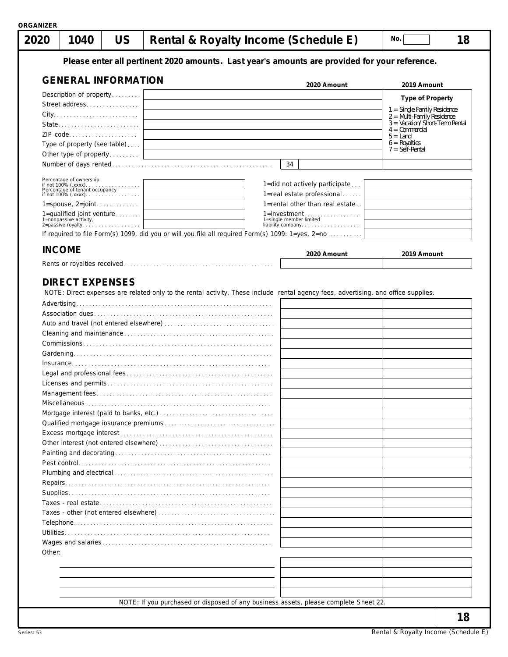| 1040<br>2020                                                         | <b>US</b> |  |                                                                                                                       | Rental & Royalty Income (Schedule E)                                                                                               | No.                                                         | 18 |
|----------------------------------------------------------------------|-----------|--|-----------------------------------------------------------------------------------------------------------------------|------------------------------------------------------------------------------------------------------------------------------------|-------------------------------------------------------------|----|
|                                                                      |           |  |                                                                                                                       | Please enter all pertinent 2020 amounts. Last year's amounts are provided for your reference.                                      |                                                             |    |
| <b>GENERAL INFORMATION</b>                                           |           |  |                                                                                                                       | 2020 Amount                                                                                                                        | 2019 Amount                                                 |    |
| Description of property                                              |           |  |                                                                                                                       |                                                                                                                                    | <b>Type of Property</b>                                     |    |
| Street address                                                       |           |  |                                                                                                                       |                                                                                                                                    |                                                             |    |
|                                                                      |           |  |                                                                                                                       |                                                                                                                                    | 1 = Single Family Residence<br>$2 =$ Multi-Family Residence |    |
| State                                                                |           |  |                                                                                                                       |                                                                                                                                    | 3 = Vacation/Short-Term Rental<br>$4 =$ Commercial          |    |
| ZIP code                                                             |           |  |                                                                                                                       |                                                                                                                                    | $5 =$ Land                                                  |    |
| Type of property (see table)                                         |           |  |                                                                                                                       |                                                                                                                                    | $6 = \text{Royalties}$<br>$7 = Self-Rental$                 |    |
| Other type of property                                               |           |  | <u> 1989 - Johann Barn, mars eta bainar eta bat erroman erroman erroman erroman erroman erroman erroman erroman e</u> |                                                                                                                                    |                                                             |    |
|                                                                      |           |  |                                                                                                                       | 34                                                                                                                                 |                                                             |    |
| Percentage of ownership                                              |           |  |                                                                                                                       |                                                                                                                                    |                                                             |    |
|                                                                      |           |  |                                                                                                                       | 1=did not actively participate<br>1=real estate professional                                                                       |                                                             |    |
| $1 =$ spouse, $2 =$ joint                                            |           |  |                                                                                                                       | 1=rental other than real estate                                                                                                    |                                                             |    |
| 1=qualified joint venture                                            |           |  |                                                                                                                       | $1 =$ investment                                                                                                                   |                                                             |    |
| 1=nonpassive activity,<br>2= passive activity,<br>2= passive royalty |           |  |                                                                                                                       | 1=single member limited<br>liability company                                                                                       |                                                             |    |
|                                                                      |           |  |                                                                                                                       | If required to file Form(s) 1099, did you or will you file all required Form(s) 1099: 1=yes, 2=no                                  |                                                             |    |
| <b>INCOME</b>                                                        |           |  |                                                                                                                       |                                                                                                                                    |                                                             |    |
|                                                                      |           |  |                                                                                                                       | 2020 Amount                                                                                                                        | 2019 Amount                                                 |    |
|                                                                      |           |  |                                                                                                                       |                                                                                                                                    |                                                             |    |
|                                                                      |           |  |                                                                                                                       | NOTE: Direct expenses are related only to the rental activity. These include rental agency fees, advertising, and office supplies. |                                                             |    |
|                                                                      |           |  |                                                                                                                       |                                                                                                                                    |                                                             |    |
|                                                                      |           |  |                                                                                                                       |                                                                                                                                    |                                                             |    |
|                                                                      |           |  |                                                                                                                       |                                                                                                                                    |                                                             |    |
|                                                                      |           |  |                                                                                                                       |                                                                                                                                    |                                                             |    |
|                                                                      |           |  |                                                                                                                       |                                                                                                                                    |                                                             |    |
|                                                                      |           |  |                                                                                                                       |                                                                                                                                    |                                                             |    |
|                                                                      |           |  |                                                                                                                       |                                                                                                                                    |                                                             |    |
|                                                                      |           |  |                                                                                                                       |                                                                                                                                    |                                                             |    |
|                                                                      |           |  |                                                                                                                       |                                                                                                                                    |                                                             |    |
|                                                                      |           |  |                                                                                                                       |                                                                                                                                    |                                                             |    |
|                                                                      |           |  |                                                                                                                       |                                                                                                                                    |                                                             |    |
|                                                                      |           |  |                                                                                                                       |                                                                                                                                    |                                                             |    |
|                                                                      |           |  |                                                                                                                       |                                                                                                                                    |                                                             |    |
|                                                                      |           |  |                                                                                                                       |                                                                                                                                    |                                                             |    |
|                                                                      |           |  |                                                                                                                       |                                                                                                                                    |                                                             |    |
|                                                                      |           |  |                                                                                                                       |                                                                                                                                    |                                                             |    |
|                                                                      |           |  |                                                                                                                       |                                                                                                                                    |                                                             |    |
|                                                                      |           |  |                                                                                                                       |                                                                                                                                    |                                                             |    |
|                                                                      |           |  |                                                                                                                       |                                                                                                                                    |                                                             |    |
|                                                                      |           |  |                                                                                                                       |                                                                                                                                    |                                                             |    |
|                                                                      |           |  |                                                                                                                       |                                                                                                                                    |                                                             |    |
| Other:                                                               |           |  |                                                                                                                       |                                                                                                                                    |                                                             |    |
|                                                                      |           |  |                                                                                                                       |                                                                                                                                    |                                                             |    |
|                                                                      |           |  |                                                                                                                       |                                                                                                                                    |                                                             |    |
|                                                                      |           |  |                                                                                                                       |                                                                                                                                    |                                                             |    |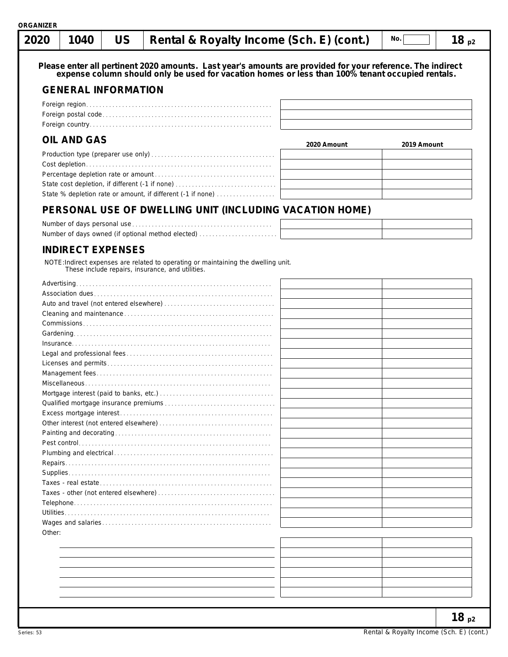|--|--|--|--|--|--|

**Please enter all pertinent 2020 amounts. Last year's amounts are provided for your reference. The indirect expense column should only be used for vacation homes or less than 100% tenant occupied rentals.**

# **GENERAL INFORMATION**

# **OIL AND GAS**

|                                                             | 2020 Amount | 2019 Amount |
|-------------------------------------------------------------|-------------|-------------|
|                                                             |             |             |
|                                                             |             |             |
|                                                             |             |             |
|                                                             |             |             |
| State % depletion rate or amount, if different (-1 if none) |             |             |

# **PERSONAL USE OF DWELLING UNIT (INCLUDING VACATION HOME)**

| Number of days owned (if optional method elected) |  |
|---------------------------------------------------|--|

## **INDIRECT EXPENSES**

NOTE:Indirect expenses are related to operating or maintaining the dwelling unit. These include repairs, insurance, and utilities.

| Other: |  |
|--------|--|
|        |  |
|        |  |
|        |  |
|        |  |
|        |  |
|        |  |
|        |  |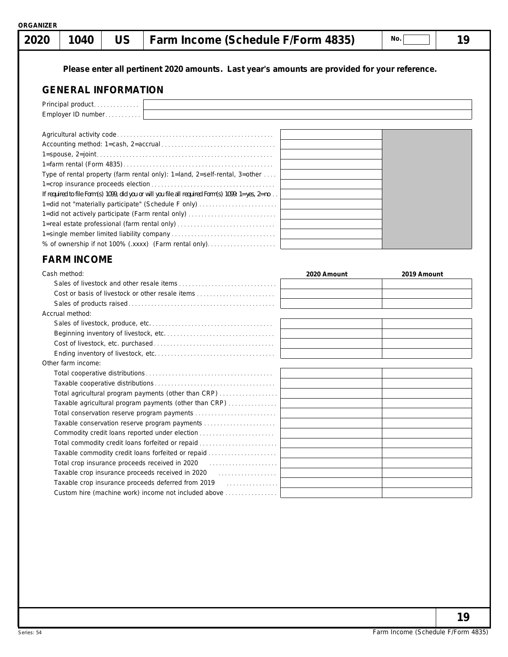|  |  | ORGANIZER |  |
|--|--|-----------|--|
|  |  |           |  |

| 1040<br>2020 |
|--------------|
|--------------|

# **1040 US Farm Income (Schedule F/Form 4835) 19**

**No.**

**Please enter all pertinent 2020 amounts. Last year's amounts are provided for your reference.**

# **GENERAL INFORMATION**

| Principal product                                                                                          |  |  |  |  |  |  |  |  |
|------------------------------------------------------------------------------------------------------------|--|--|--|--|--|--|--|--|
| Employer ID number                                                                                         |  |  |  |  |  |  |  |  |
|                                                                                                            |  |  |  |  |  |  |  |  |
|                                                                                                            |  |  |  |  |  |  |  |  |
|                                                                                                            |  |  |  |  |  |  |  |  |
|                                                                                                            |  |  |  |  |  |  |  |  |
|                                                                                                            |  |  |  |  |  |  |  |  |
| Type of rental property (farm rental only): $1$ =land, $2$ =self-rental, $3$ =other                        |  |  |  |  |  |  |  |  |
|                                                                                                            |  |  |  |  |  |  |  |  |
| If required to file Form(s) 1099, did you or will you file all required Form(s) 1099: $1 = yes$ , $2 = no$ |  |  |  |  |  |  |  |  |
| 1=did not "materially participate" (Schedule F only)                                                       |  |  |  |  |  |  |  |  |
| 1=did not actively participate (Farm rental only)                                                          |  |  |  |  |  |  |  |  |
| 1=real estate professional (farm rental only)                                                              |  |  |  |  |  |  |  |  |
|                                                                                                            |  |  |  |  |  |  |  |  |
| % of ownership if not 100% (.xxxx) (Farm rental only)                                                      |  |  |  |  |  |  |  |  |

# **FARM INCOME**

| Cash method:                                                                                                      | 2020 Amount | 2019 Amount |
|-------------------------------------------------------------------------------------------------------------------|-------------|-------------|
|                                                                                                                   |             |             |
| Cost or basis of livestock or other resale items                                                                  |             |             |
|                                                                                                                   |             |             |
| Accrual method:                                                                                                   |             |             |
|                                                                                                                   |             |             |
|                                                                                                                   |             |             |
|                                                                                                                   |             |             |
|                                                                                                                   |             |             |
| Other farm income:                                                                                                |             |             |
|                                                                                                                   |             |             |
|                                                                                                                   |             |             |
| Total agricultural program payments (other than CRP)                                                              |             |             |
| Taxable agricultural program payments (other than CRP)                                                            |             |             |
|                                                                                                                   |             |             |
| Taxable conservation reserve program payments                                                                     |             |             |
| Commodity credit loans reported under election                                                                    |             |             |
| Total commodity credit loans forfeited or repaid                                                                  |             |             |
| Taxable commodity credit loans forfeited or repaid                                                                |             |             |
| Total crop insurance proceeds received in 2020 [10] [10] [10] [10] Total crop insurance proceeds received in 2020 |             |             |
| Taxable crop insurance proceeds received in 2020 [11] [12] Taxable crop insurance proceeds received in 2020       |             |             |
|                                                                                                                   |             |             |
| Custom hire (machine work) income not included above                                                              |             |             |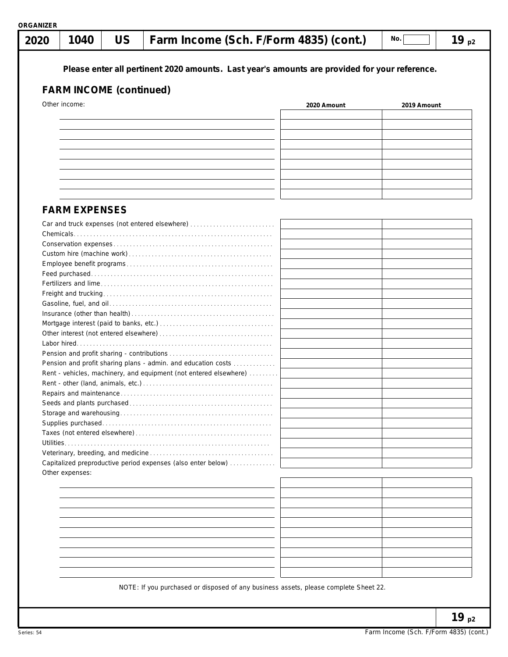| 2020            | 1040                 | <b>US</b>                      | Farm Income (Sch. F/Form 4835) (cont.)                                                        |             | No.         | 19 $p2$ |
|-----------------|----------------------|--------------------------------|-----------------------------------------------------------------------------------------------|-------------|-------------|---------|
|                 |                      | <b>FARM INCOME (continued)</b> | Please enter all pertinent 2020 amounts. Last year's amounts are provided for your reference. |             |             |         |
| Other income:   |                      |                                |                                                                                               | 2020 Amount | 2019 Amount |         |
|                 |                      |                                |                                                                                               |             |             |         |
|                 |                      |                                |                                                                                               |             |             |         |
|                 |                      |                                |                                                                                               |             |             |         |
|                 |                      |                                |                                                                                               |             |             |         |
|                 |                      |                                |                                                                                               |             |             |         |
|                 |                      |                                |                                                                                               |             |             |         |
|                 |                      |                                |                                                                                               |             |             |         |
|                 |                      |                                |                                                                                               |             |             |         |
|                 |                      |                                |                                                                                               |             |             |         |
|                 | <b>FARM EXPENSES</b> |                                |                                                                                               |             |             |         |
|                 |                      |                                | Car and truck expenses (not entered elsewhere)                                                |             |             |         |
|                 |                      |                                |                                                                                               |             |             |         |
|                 |                      |                                |                                                                                               |             |             |         |
|                 |                      |                                |                                                                                               |             |             |         |
|                 |                      |                                |                                                                                               |             |             |         |
|                 |                      |                                |                                                                                               |             |             |         |
|                 |                      |                                |                                                                                               |             |             |         |
|                 |                      |                                |                                                                                               |             |             |         |
|                 |                      |                                |                                                                                               |             |             |         |
|                 |                      |                                |                                                                                               |             |             |         |
|                 |                      |                                |                                                                                               |             |             |         |
|                 |                      |                                |                                                                                               |             |             |         |
|                 |                      |                                |                                                                                               |             |             |         |
|                 |                      |                                | Pension and profit sharing plans - admin. and education costs                                 |             |             |         |
|                 |                      |                                | Rent - vehicles, machinery, and equipment (not entered elsewhere)                             |             |             |         |
|                 |                      |                                |                                                                                               |             |             |         |
|                 |                      |                                |                                                                                               |             |             |         |
|                 |                      |                                |                                                                                               |             |             |         |
|                 |                      |                                |                                                                                               |             |             |         |
|                 |                      |                                |                                                                                               |             |             |         |
|                 |                      |                                |                                                                                               |             |             |         |
|                 |                      |                                |                                                                                               |             |             |         |
|                 |                      |                                |                                                                                               |             |             |         |
|                 |                      |                                | Capitalized preproductive period expenses (also enter below)                                  |             |             |         |
| Other expenses: |                      |                                |                                                                                               |             |             |         |
|                 |                      |                                |                                                                                               |             |             |         |
|                 |                      |                                |                                                                                               |             |             |         |
|                 |                      |                                |                                                                                               |             |             |         |
|                 |                      |                                |                                                                                               |             |             |         |
|                 |                      |                                |                                                                                               |             |             |         |
|                 |                      |                                |                                                                                               |             |             |         |
|                 |                      |                                |                                                                                               |             |             |         |
|                 |                      |                                |                                                                                               |             |             |         |
|                 |                      |                                |                                                                                               |             |             |         |
|                 |                      |                                |                                                                                               |             |             |         |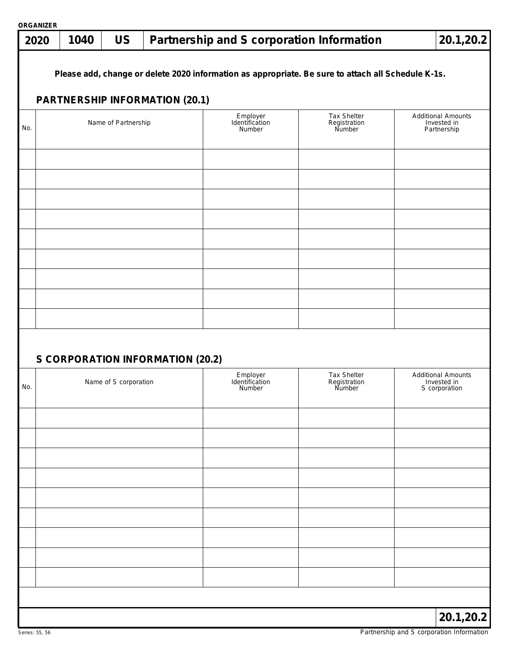| 2020 | <b>ORGANIZER</b><br>20.1,20.2<br><b>US</b><br>1040<br>Partnership and S corporation Information |                       |                                       |                                      |                                                                                                    |                                                           |  |  |  |
|------|-------------------------------------------------------------------------------------------------|-----------------------|---------------------------------------|--------------------------------------|----------------------------------------------------------------------------------------------------|-----------------------------------------------------------|--|--|--|
|      |                                                                                                 |                       | <b>PARTNERSHIP INFORMATION (20.1)</b> |                                      | Please add, change or delete 2020 information as appropriate. Be sure to attach all Schedule K-1s. |                                                           |  |  |  |
| No.  |                                                                                                 | Name of Partnership   |                                       | Employer<br>Identification<br>Number | Tax Shelter<br>Registration<br>Number                                                              | <b>Additional Amounts</b><br>Invested in<br>Partnership   |  |  |  |
|      |                                                                                                 |                       |                                       |                                      |                                                                                                    |                                                           |  |  |  |
|      |                                                                                                 |                       |                                       |                                      |                                                                                                    |                                                           |  |  |  |
|      |                                                                                                 |                       |                                       |                                      |                                                                                                    |                                                           |  |  |  |
|      |                                                                                                 |                       |                                       |                                      |                                                                                                    |                                                           |  |  |  |
|      |                                                                                                 |                       | S CORPORATION INFORMATION (20.2)      |                                      |                                                                                                    |                                                           |  |  |  |
| No.  |                                                                                                 | Name of S corporation |                                       | Employer<br>Identification<br>Number | Tax Shelter<br>Registration<br>Number                                                              | <b>Additional Amounts</b><br>Invested in<br>S corporation |  |  |  |
|      |                                                                                                 |                       |                                       |                                      |                                                                                                    |                                                           |  |  |  |
|      |                                                                                                 |                       |                                       |                                      |                                                                                                    |                                                           |  |  |  |
|      |                                                                                                 |                       |                                       |                                      |                                                                                                    |                                                           |  |  |  |
|      |                                                                                                 |                       |                                       |                                      |                                                                                                    |                                                           |  |  |  |
|      |                                                                                                 |                       |                                       |                                      |                                                                                                    |                                                           |  |  |  |
|      |                                                                                                 |                       |                                       |                                      |                                                                                                    |                                                           |  |  |  |
|      |                                                                                                 |                       |                                       |                                      |                                                                                                    |                                                           |  |  |  |
|      |                                                                                                 |                       |                                       |                                      |                                                                                                    | 20.1,20.2                                                 |  |  |  |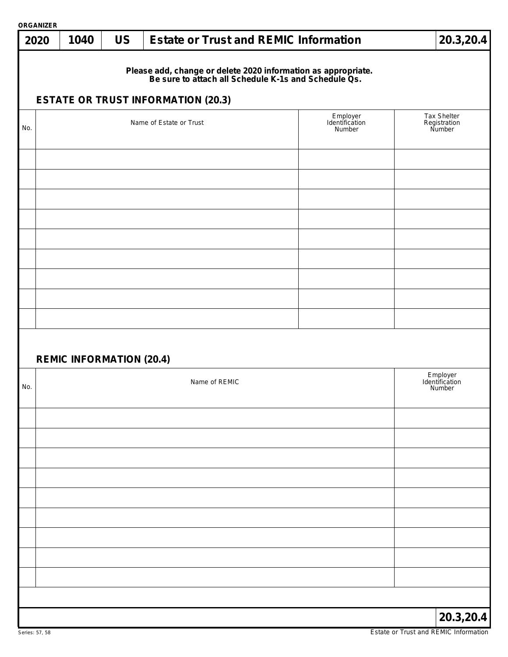| <b>ORGANIZER</b> | 20.3,20.4                                                         |  |                                                                                                                                                                    |                                      |                                       |  |  |  |
|------------------|-------------------------------------------------------------------|--|--------------------------------------------------------------------------------------------------------------------------------------------------------------------|--------------------------------------|---------------------------------------|--|--|--|
| 2020             | <b>US</b><br><b>Estate or Trust and REMIC Information</b><br>1040 |  |                                                                                                                                                                    |                                      |                                       |  |  |  |
|                  |                                                                   |  | Please add, change or delete 2020 information as appropriate.<br>Be sure to attach all Schedule K-1s and Schedule Qs.<br><b>ESTATE OR TRUST INFORMATION (20.3)</b> |                                      |                                       |  |  |  |
| No.              |                                                                   |  | Name of Estate or Trust                                                                                                                                            | Employer<br>Identification<br>Number | Tax Shelter<br>Registration<br>Number |  |  |  |
|                  |                                                                   |  |                                                                                                                                                                    |                                      |                                       |  |  |  |
|                  |                                                                   |  |                                                                                                                                                                    |                                      |                                       |  |  |  |
|                  |                                                                   |  |                                                                                                                                                                    |                                      |                                       |  |  |  |
|                  |                                                                   |  |                                                                                                                                                                    |                                      |                                       |  |  |  |
|                  |                                                                   |  |                                                                                                                                                                    |                                      |                                       |  |  |  |
|                  |                                                                   |  |                                                                                                                                                                    |                                      |                                       |  |  |  |
|                  |                                                                   |  |                                                                                                                                                                    |                                      |                                       |  |  |  |
|                  |                                                                   |  |                                                                                                                                                                    |                                      |                                       |  |  |  |
|                  |                                                                   |  |                                                                                                                                                                    |                                      |                                       |  |  |  |
|                  |                                                                   |  |                                                                                                                                                                    |                                      |                                       |  |  |  |
|                  | <b>REMIC INFORMATION (20.4)</b>                                   |  |                                                                                                                                                                    |                                      |                                       |  |  |  |
| No.              | Name of REMIC                                                     |  |                                                                                                                                                                    |                                      |                                       |  |  |  |
|                  |                                                                   |  |                                                                                                                                                                    |                                      |                                       |  |  |  |
|                  |                                                                   |  |                                                                                                                                                                    |                                      |                                       |  |  |  |
|                  |                                                                   |  |                                                                                                                                                                    |                                      |                                       |  |  |  |
|                  |                                                                   |  |                                                                                                                                                                    |                                      |                                       |  |  |  |
|                  |                                                                   |  |                                                                                                                                                                    |                                      |                                       |  |  |  |
|                  |                                                                   |  |                                                                                                                                                                    |                                      |                                       |  |  |  |
|                  |                                                                   |  |                                                                                                                                                                    |                                      |                                       |  |  |  |
|                  |                                                                   |  |                                                                                                                                                                    |                                      |                                       |  |  |  |
|                  |                                                                   |  |                                                                                                                                                                    |                                      |                                       |  |  |  |
|                  |                                                                   |  |                                                                                                                                                                    |                                      |                                       |  |  |  |
|                  |                                                                   |  |                                                                                                                                                                    |                                      | 20.3,20.4                             |  |  |  |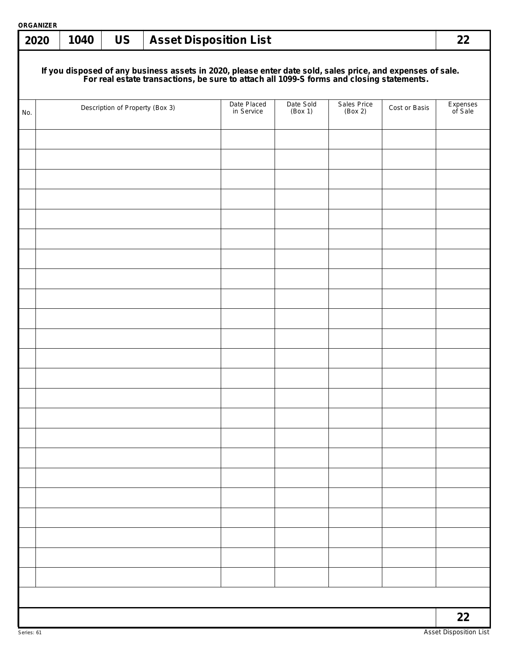| ORGANIZER<br>2020 | 1040 | <b>US</b>                       | <b>Asset Disposition List</b>                                                                                                                                                                          |                      |                        |               | 22                  |
|-------------------|------|---------------------------------|--------------------------------------------------------------------------------------------------------------------------------------------------------------------------------------------------------|----------------------|------------------------|---------------|---------------------|
|                   |      |                                 |                                                                                                                                                                                                        |                      |                        |               |                     |
|                   |      |                                 | If you disposed of any business assets in 2020, please enter date sold, sales price, and expenses of sale.<br>For real estate transactions, be sure to attach all 1099-S forms and closing statements. |                      |                        |               |                     |
| No.               |      | Description of Property (Box 3) | Date Placed<br>in Service                                                                                                                                                                              | Date Sold<br>(Box 1) | Sales Price<br>(Box 2) | Cost or Basis | Expenses<br>of Sale |
|                   |      |                                 |                                                                                                                                                                                                        |                      |                        |               |                     |
|                   |      |                                 |                                                                                                                                                                                                        |                      |                        |               |                     |
|                   |      |                                 |                                                                                                                                                                                                        |                      |                        |               |                     |
|                   |      |                                 |                                                                                                                                                                                                        |                      |                        |               |                     |
|                   |      |                                 |                                                                                                                                                                                                        |                      |                        |               |                     |
|                   |      |                                 |                                                                                                                                                                                                        |                      |                        |               |                     |
|                   |      |                                 |                                                                                                                                                                                                        |                      |                        |               |                     |
|                   |      |                                 |                                                                                                                                                                                                        |                      |                        |               |                     |
|                   |      |                                 |                                                                                                                                                                                                        |                      |                        |               |                     |
|                   |      |                                 |                                                                                                                                                                                                        |                      |                        |               |                     |
|                   |      |                                 |                                                                                                                                                                                                        |                      |                        |               |                     |
|                   |      |                                 |                                                                                                                                                                                                        |                      |                        |               |                     |
|                   |      |                                 |                                                                                                                                                                                                        |                      |                        |               |                     |
|                   |      |                                 |                                                                                                                                                                                                        |                      |                        |               |                     |
|                   |      |                                 |                                                                                                                                                                                                        |                      |                        |               |                     |
|                   |      |                                 |                                                                                                                                                                                                        |                      |                        |               |                     |
|                   |      |                                 |                                                                                                                                                                                                        |                      |                        |               |                     |
|                   |      |                                 |                                                                                                                                                                                                        |                      |                        |               |                     |
|                   |      |                                 |                                                                                                                                                                                                        |                      |                        |               |                     |
|                   |      |                                 |                                                                                                                                                                                                        |                      |                        |               |                     |
|                   |      |                                 |                                                                                                                                                                                                        |                      |                        |               |                     |
|                   |      |                                 |                                                                                                                                                                                                        |                      |                        |               |                     |
|                   |      |                                 |                                                                                                                                                                                                        |                      |                        |               | 22                  |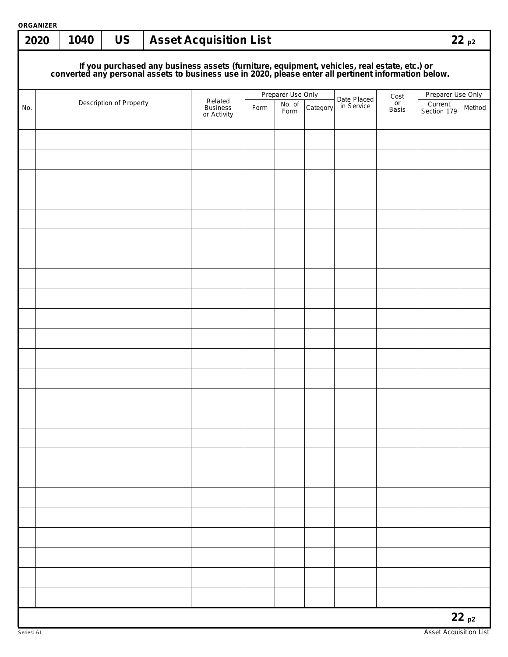| ORGANIZER<br>2020 | 1040                                                                                                                                                                                             | <b>US</b>               |  | <b>Asset Acquisition List</b> |      |                   |          |                           |            |                        | 22p2   |
|-------------------|--------------------------------------------------------------------------------------------------------------------------------------------------------------------------------------------------|-------------------------|--|-------------------------------|------|-------------------|----------|---------------------------|------------|------------------------|--------|
|                   | If you purchased any business assets (furniture, equipment, vehicles, real estate, etc.) or converted any personal assets to business use in 2020, please enter all pertinent information below. |                         |  |                               |      |                   |          |                           |            |                        |        |
|                   |                                                                                                                                                                                                  |                         |  |                               |      | Preparer Use Only |          |                           |            | Preparer Use Only      |        |
| No.               |                                                                                                                                                                                                  | Description of Property |  | Related<br>Business           | Form | No. of<br>Form    | Category | Date Placed<br>in Service | Cost<br>or | Current<br>Section 179 | Method |
|                   |                                                                                                                                                                                                  |                         |  | or Activity                   |      |                   |          |                           | Basis      |                        |        |
|                   |                                                                                                                                                                                                  |                         |  |                               |      |                   |          |                           |            |                        |        |
|                   |                                                                                                                                                                                                  |                         |  |                               |      |                   |          |                           |            |                        |        |
|                   |                                                                                                                                                                                                  |                         |  |                               |      |                   |          |                           |            |                        |        |
|                   |                                                                                                                                                                                                  |                         |  |                               |      |                   |          |                           |            |                        |        |
|                   |                                                                                                                                                                                                  |                         |  |                               |      |                   |          |                           |            |                        |        |
|                   |                                                                                                                                                                                                  |                         |  |                               |      |                   |          |                           |            |                        |        |
|                   |                                                                                                                                                                                                  |                         |  |                               |      |                   |          |                           |            |                        |        |
|                   |                                                                                                                                                                                                  |                         |  |                               |      |                   |          |                           |            |                        |        |
|                   |                                                                                                                                                                                                  |                         |  |                               |      |                   |          |                           |            |                        |        |
|                   |                                                                                                                                                                                                  |                         |  |                               |      |                   |          |                           |            |                        |        |
|                   |                                                                                                                                                                                                  |                         |  |                               |      |                   |          |                           |            |                        |        |
|                   |                                                                                                                                                                                                  |                         |  |                               |      |                   |          |                           |            |                        |        |
|                   |                                                                                                                                                                                                  |                         |  |                               |      |                   |          |                           |            |                        |        |
|                   |                                                                                                                                                                                                  |                         |  |                               |      |                   |          |                           |            |                        |        |
|                   |                                                                                                                                                                                                  |                         |  |                               |      |                   |          |                           |            |                        |        |
|                   |                                                                                                                                                                                                  |                         |  |                               |      |                   |          |                           |            |                        |        |
|                   |                                                                                                                                                                                                  |                         |  |                               |      |                   |          |                           |            |                        |        |
|                   |                                                                                                                                                                                                  |                         |  |                               |      |                   |          |                           |            |                        |        |
|                   |                                                                                                                                                                                                  |                         |  |                               |      |                   |          |                           |            |                        |        |
|                   |                                                                                                                                                                                                  |                         |  |                               |      |                   |          |                           |            |                        |        |
|                   |                                                                                                                                                                                                  |                         |  |                               |      |                   |          |                           |            |                        |        |
|                   |                                                                                                                                                                                                  |                         |  |                               |      |                   |          |                           |            |                        |        |
|                   |                                                                                                                                                                                                  |                         |  |                               |      |                   |          |                           |            |                        |        |
|                   |                                                                                                                                                                                                  |                         |  |                               |      |                   |          |                           |            |                        |        |
|                   |                                                                                                                                                                                                  |                         |  |                               |      |                   |          |                           |            |                        |        |
|                   |                                                                                                                                                                                                  |                         |  |                               |      |                   |          |                           |            |                        |        |
|                   |                                                                                                                                                                                                  |                         |  |                               |      |                   |          |                           |            |                        |        |
|                   |                                                                                                                                                                                                  |                         |  |                               |      |                   |          |                           |            |                        |        |
|                   |                                                                                                                                                                                                  |                         |  |                               |      |                   |          |                           |            |                        |        |
|                   |                                                                                                                                                                                                  |                         |  |                               |      |                   |          |                           |            |                        |        |
|                   |                                                                                                                                                                                                  |                         |  |                               |      |                   |          |                           |            |                        |        |
|                   |                                                                                                                                                                                                  |                         |  |                               |      |                   |          |                           |            |                        |        |
|                   |                                                                                                                                                                                                  |                         |  |                               |      |                   |          |                           |            |                        |        |
|                   |                                                                                                                                                                                                  |                         |  |                               |      |                   |          |                           |            |                        | 22p2   |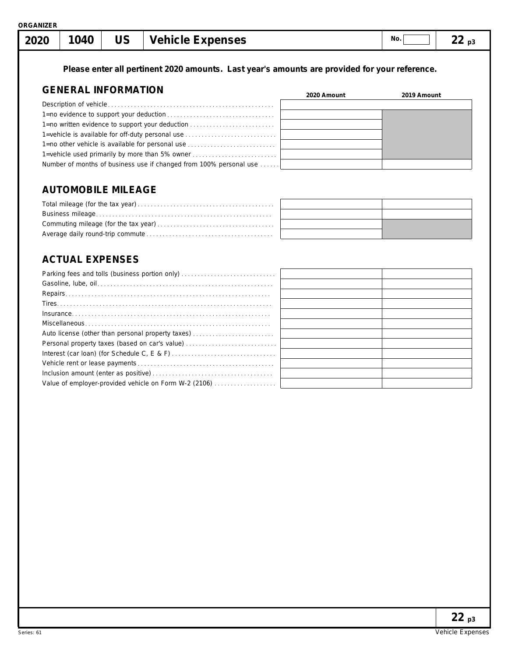**Please enter all pertinent 2020 amounts. Last year's amounts are provided for your reference.**

# **GENERAL INFORMATION**

| <b>ULIVERAL INFURNIATION</b>                                       | 2020 Amount | 2019 Amount |
|--------------------------------------------------------------------|-------------|-------------|
|                                                                    |             |             |
|                                                                    |             |             |
| 1=no written evidence to support your deduction                    |             |             |
|                                                                    |             |             |
| 1=no other vehicle is available for personal use                   |             |             |
| 1-vehicle used primarily by more than 5% owner                     |             |             |
| Number of months of business use if changed from 100% personal use |             |             |
|                                                                    |             |             |

# **AUTOMOBILE MILEAGE**

# **ACTUAL EXPENSES**

| Auto license (other than personal property taxes)     |  |
|-------------------------------------------------------|--|
|                                                       |  |
|                                                       |  |
|                                                       |  |
|                                                       |  |
| Value of employer-provided vehicle on Form W-2 (2106) |  |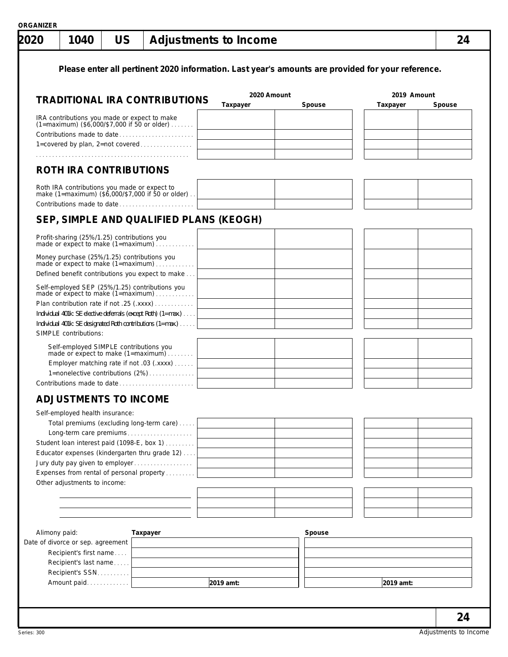| 2020          | 1040                                                        | <b>US</b> | <b>Adjustments to Income</b>                                                                                                                                                                                                                                     |                         |        |                         | 24     |
|---------------|-------------------------------------------------------------|-----------|------------------------------------------------------------------------------------------------------------------------------------------------------------------------------------------------------------------------------------------------------------------|-------------------------|--------|-------------------------|--------|
|               |                                                             |           | Please enter all pertinent 2020 information. Last year's amounts are provided for your reference.                                                                                                                                                                |                         |        |                         |        |
|               |                                                             |           |                                                                                                                                                                                                                                                                  |                         |        |                         |        |
|               |                                                             |           | <b>TRADITIONAL IRA CONTRIBUTIONS</b>                                                                                                                                                                                                                             | 2020 Amount<br>Taxpayer | Spouse | 2019 Amount<br>Taxpayer | Spouse |
|               | IRA contributions you made or expect to make                |           | $(1 = \text{maximum})$ (\$6,000/\$7,000 if 50 or older)<br>Contributions made to date                                                                                                                                                                            |                         |        |                         |        |
|               |                                                             |           | 1=covered by plan, 2=not covered                                                                                                                                                                                                                                 |                         |        |                         |        |
|               | <b>ROTH IRA CONTRIBUTIONS</b>                               |           |                                                                                                                                                                                                                                                                  |                         |        |                         |        |
|               |                                                             |           | Roth IRA contributions you made or expect to<br>make (1=maximum) (\$6,000/\$7,000 if 50 or older)<br>Contributions made to date                                                                                                                                  |                         |        |                         |        |
|               |                                                             |           | SEP, SIMPLE AND QUALIFIED PLANS (KEOGH)                                                                                                                                                                                                                          |                         |        |                         |        |
|               |                                                             |           | Profit-sharing (25%/1.25) contributions you<br>made or expect to make (1=maximum)                                                                                                                                                                                |                         |        |                         |        |
|               |                                                             |           | Money purchase (25%/1.25) contributions you<br>made or expect to make (1=maximum)<br>Defined benefit contributions you expect to make                                                                                                                            |                         |        |                         |        |
|               | SIMPLE contributions:                                       |           | Self-employed SEP (25%/1.25) contributions you<br>made or expect to make (1=maximum)<br>Plan contribution rate if not .25 (.xxxx)<br>Individual 401k: SE elective deferrals (except Roth) (1=max.)<br>Individual 401k: SE designated Roth contributions (1=max.) |                         |        |                         |        |
|               |                                                             |           | Self-employed SIMPLE contributions you<br>made or expect to make (1=maximum)<br>Employer matching rate if not .03 (.xxxx)<br>1=nonelective contributions (2%)                                                                                                    |                         |        |                         |        |
|               | <b>ADJUSTMENTS TO INCOME</b>                                |           |                                                                                                                                                                                                                                                                  |                         |        |                         |        |
|               | Self-employed health insurance:                             |           |                                                                                                                                                                                                                                                                  |                         |        |                         |        |
|               |                                                             |           | Total premiums (excluding long-term care)                                                                                                                                                                                                                        |                         |        |                         |        |
|               |                                                             |           | Long-term care premiums                                                                                                                                                                                                                                          |                         |        |                         |        |
|               |                                                             |           | Student loan interest paid (1098-E, box 1)<br>Educator expenses (kindergarten thru grade 12)                                                                                                                                                                     |                         |        |                         |        |
|               |                                                             |           | Jury duty pay given to employer                                                                                                                                                                                                                                  |                         |        |                         |        |
|               | Other adjustments to income:                                |           | Expenses from rental of personal property                                                                                                                                                                                                                        |                         |        |                         |        |
|               |                                                             |           |                                                                                                                                                                                                                                                                  |                         |        |                         |        |
|               |                                                             |           |                                                                                                                                                                                                                                                                  |                         |        |                         |        |
|               |                                                             |           |                                                                                                                                                                                                                                                                  |                         |        |                         |        |
| Alimony paid: |                                                             |           | Taxpayer                                                                                                                                                                                                                                                         |                         | Spouse |                         |        |
|               | Date of divorce or sep. agreement<br>Recipient's first name |           |                                                                                                                                                                                                                                                                  |                         |        |                         |        |
|               | Recipient's last name                                       |           |                                                                                                                                                                                                                                                                  |                         |        |                         |        |
|               | Recipient's SSN                                             |           |                                                                                                                                                                                                                                                                  |                         |        |                         |        |
|               | Amount paid                                                 |           |                                                                                                                                                                                                                                                                  | 2019 amt:               |        | 2019 amt:               |        |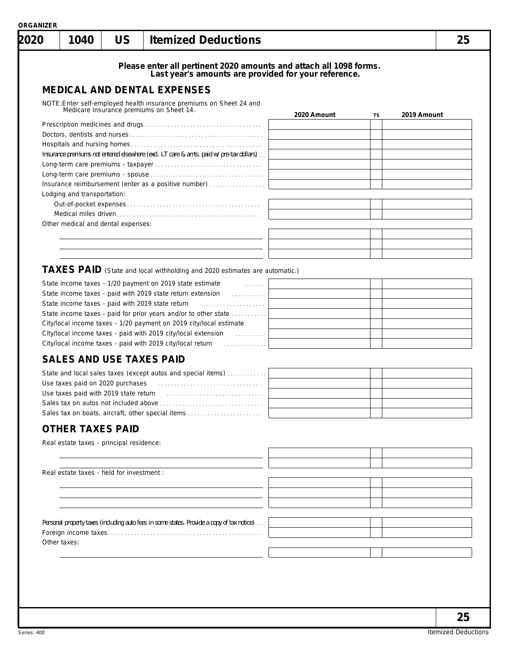| 2020 | 1040                                      | <b>US</b> | <b>Itemized Deductions</b>                                                                                                 |             |    | 25          |
|------|-------------------------------------------|-----------|----------------------------------------------------------------------------------------------------------------------------|-------------|----|-------------|
|      |                                           |           | Please enter all pertinent 2020 amounts and attach all 1098 forms.<br>Last year's amounts are provided for your reference. |             |    |             |
|      |                                           |           | <b>MEDICAL AND DENTAL EXPENSES</b>                                                                                         |             |    |             |
|      |                                           |           | NOTE: Enter self-employed health insurance premiums on Sheet 24 and                                                        |             |    |             |
|      |                                           |           | Medicare insurance premiums on Sheet 14.                                                                                   | 2020 Amount | TS | 2019 Amount |
|      |                                           |           |                                                                                                                            |             |    |             |
|      |                                           |           |                                                                                                                            |             |    |             |
|      |                                           |           | Insurance premiums not entered elsewhere (excl. LT care & amts. paid w/pre-tax dollars)                                    |             |    |             |
|      |                                           |           |                                                                                                                            |             |    |             |
|      |                                           |           |                                                                                                                            |             |    |             |
|      | Lodging and transportation:               |           | Insurance reimbursement (enter as a positive number)                                                                       |             |    |             |
|      |                                           |           |                                                                                                                            |             |    |             |
|      |                                           |           |                                                                                                                            |             |    |             |
|      | Other medical and dental expenses:        |           |                                                                                                                            |             |    |             |
|      |                                           |           |                                                                                                                            |             |    |             |
|      |                                           |           |                                                                                                                            |             |    |             |
|      |                                           |           |                                                                                                                            |             |    |             |
|      |                                           |           | TAXES PAID (State and local withholding and 2020 estimates are automatic.)                                                 |             |    |             |
|      |                                           |           | State income taxes - 1/20 payment on 2019 state estimate<br>and the contract of the                                        |             |    |             |
|      |                                           |           | State income taxes - paid with 2019 state return extension<br>.<br>State income taxes - paid with 2019 state return        |             |    |             |
|      |                                           |           | State income taxes - paid for prior years and/or to other state                                                            |             |    |             |
|      |                                           |           | City/local income taxes - 1/20 payment on 2019 city/local estimate                                                         |             |    |             |
|      |                                           |           |                                                                                                                            |             |    |             |
|      |                                           |           | City/local income taxes - paid with 2019 city/local return [1] [1]                                                         |             |    |             |
|      |                                           |           | <b>SALES AND USE TAXES PAID</b>                                                                                            |             |    |             |
|      |                                           |           | State and local sales taxes (except autos and special items)                                                               |             |    |             |
|      |                                           |           |                                                                                                                            |             |    |             |
|      | Use taxes paid with 2019 state return     |           |                                                                                                                            |             |    |             |
|      |                                           |           | Sales tax on boats, aircraft, other special items                                                                          |             |    |             |
|      | <b>OTHER TAXES PAID</b>                   |           |                                                                                                                            |             |    |             |
|      |                                           |           |                                                                                                                            |             |    |             |
|      | Real estate taxes - principal residence:  |           |                                                                                                                            |             |    |             |
|      |                                           |           |                                                                                                                            |             |    |             |
|      | Real estate taxes - held for investment : |           |                                                                                                                            |             |    |             |
|      |                                           |           |                                                                                                                            |             |    |             |
|      |                                           |           |                                                                                                                            |             |    |             |
|      |                                           |           |                                                                                                                            |             |    |             |
|      |                                           |           | Personal property taxes (including auto fees in some states. Provide a copy of tax notice)                                 |             |    |             |
|      |                                           |           |                                                                                                                            |             |    |             |
|      | Other taxes:                              |           |                                                                                                                            |             |    |             |
|      |                                           |           |                                                                                                                            |             |    |             |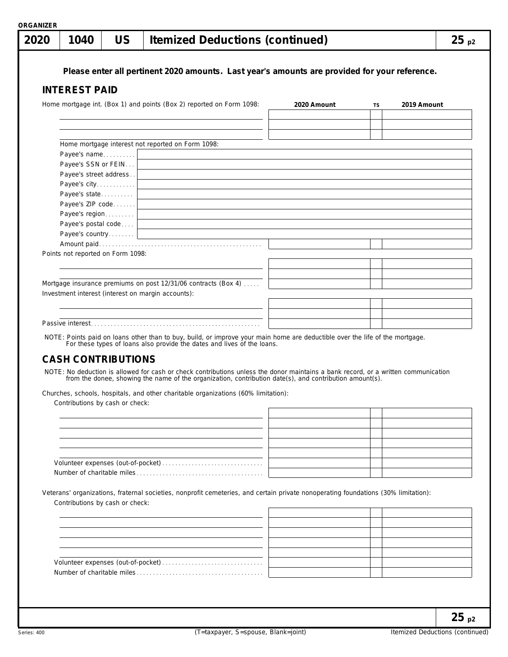| Please enter all pertinent 2020 amounts. Last year's amounts are provided for your reference.<br><b>INTEREST PAID</b><br>Home mortgage int. (Box 1) and points (Box 2) reported on Form 1098:<br>2020 Amount<br>2019 Amount<br>TS<br>Home mortgage interest not reported on Form 1098:<br>Payee's name<br><u> 1989 - Johann Barbara, martxa alemaniar amerikan a</u><br>Payee's SSN or FEIN<br>Payee's street address<br>Payee's city<br>Payee's state<br>the control of the control of the control of the control of the control of the control of the control of the control of the control of the control of the control of the control of the control of the control of the control<br>Payee's ZIP code<br>the control of the control of the control of the control of the control of the control of the control of the control of the control of the control of the control of the control of the control of the control of the control<br>Payee's region<br>Payee's postal code<br><u> 1989 - Johann Stein, marwolaethau a bhann an t-Amhain an t-Amhain an t-Amhain an t-Amhain an t-Amhain an t-A</u><br>Points not reported on Form 1098:<br>Mortgage insurance premiums on post 12/31/06 contracts (Box 4)<br>Investment interest (interest on margin accounts):<br>NOTE: Points paid on loans other than to buy, build, or improve your main home are deductible over the life of the mortgage.<br>For these types of loans also provide the dates and lives of the loans.<br><b>CASH CONTRIBUTIONS</b><br>NOTE: No deduction is allowed for cash or check contributions unless the donor maintains a bank record, or a written communication<br>from the donee, showing the name of the organization, contribution date(s), and contribution amount(s).<br>Churches, schools, hospitals, and other charitable organizations (60% limitation):<br>Contributions by cash or check:<br>Veterans' organizations, fraternal societies, nonprofit cemeteries, and certain private nonoperating foundations (30% limitation):<br>Contributions by cash or check: | $25_{p2}$ |
|-----------------------------------------------------------------------------------------------------------------------------------------------------------------------------------------------------------------------------------------------------------------------------------------------------------------------------------------------------------------------------------------------------------------------------------------------------------------------------------------------------------------------------------------------------------------------------------------------------------------------------------------------------------------------------------------------------------------------------------------------------------------------------------------------------------------------------------------------------------------------------------------------------------------------------------------------------------------------------------------------------------------------------------------------------------------------------------------------------------------------------------------------------------------------------------------------------------------------------------------------------------------------------------------------------------------------------------------------------------------------------------------------------------------------------------------------------------------------------------------------------------------------------------------------------------------------------------------------------------------------------------------------------------------------------------------------------------------------------------------------------------------------------------------------------------------------------------------------------------------------------------------------------------------------------------------------------------------------------------------------------------------------------------------------------------------------|-----------|
|                                                                                                                                                                                                                                                                                                                                                                                                                                                                                                                                                                                                                                                                                                                                                                                                                                                                                                                                                                                                                                                                                                                                                                                                                                                                                                                                                                                                                                                                                                                                                                                                                                                                                                                                                                                                                                                                                                                                                                                                                                                                       |           |
|                                                                                                                                                                                                                                                                                                                                                                                                                                                                                                                                                                                                                                                                                                                                                                                                                                                                                                                                                                                                                                                                                                                                                                                                                                                                                                                                                                                                                                                                                                                                                                                                                                                                                                                                                                                                                                                                                                                                                                                                                                                                       |           |
|                                                                                                                                                                                                                                                                                                                                                                                                                                                                                                                                                                                                                                                                                                                                                                                                                                                                                                                                                                                                                                                                                                                                                                                                                                                                                                                                                                                                                                                                                                                                                                                                                                                                                                                                                                                                                                                                                                                                                                                                                                                                       |           |
|                                                                                                                                                                                                                                                                                                                                                                                                                                                                                                                                                                                                                                                                                                                                                                                                                                                                                                                                                                                                                                                                                                                                                                                                                                                                                                                                                                                                                                                                                                                                                                                                                                                                                                                                                                                                                                                                                                                                                                                                                                                                       |           |
|                                                                                                                                                                                                                                                                                                                                                                                                                                                                                                                                                                                                                                                                                                                                                                                                                                                                                                                                                                                                                                                                                                                                                                                                                                                                                                                                                                                                                                                                                                                                                                                                                                                                                                                                                                                                                                                                                                                                                                                                                                                                       |           |
|                                                                                                                                                                                                                                                                                                                                                                                                                                                                                                                                                                                                                                                                                                                                                                                                                                                                                                                                                                                                                                                                                                                                                                                                                                                                                                                                                                                                                                                                                                                                                                                                                                                                                                                                                                                                                                                                                                                                                                                                                                                                       |           |
|                                                                                                                                                                                                                                                                                                                                                                                                                                                                                                                                                                                                                                                                                                                                                                                                                                                                                                                                                                                                                                                                                                                                                                                                                                                                                                                                                                                                                                                                                                                                                                                                                                                                                                                                                                                                                                                                                                                                                                                                                                                                       |           |
|                                                                                                                                                                                                                                                                                                                                                                                                                                                                                                                                                                                                                                                                                                                                                                                                                                                                                                                                                                                                                                                                                                                                                                                                                                                                                                                                                                                                                                                                                                                                                                                                                                                                                                                                                                                                                                                                                                                                                                                                                                                                       |           |
|                                                                                                                                                                                                                                                                                                                                                                                                                                                                                                                                                                                                                                                                                                                                                                                                                                                                                                                                                                                                                                                                                                                                                                                                                                                                                                                                                                                                                                                                                                                                                                                                                                                                                                                                                                                                                                                                                                                                                                                                                                                                       |           |
|                                                                                                                                                                                                                                                                                                                                                                                                                                                                                                                                                                                                                                                                                                                                                                                                                                                                                                                                                                                                                                                                                                                                                                                                                                                                                                                                                                                                                                                                                                                                                                                                                                                                                                                                                                                                                                                                                                                                                                                                                                                                       |           |
|                                                                                                                                                                                                                                                                                                                                                                                                                                                                                                                                                                                                                                                                                                                                                                                                                                                                                                                                                                                                                                                                                                                                                                                                                                                                                                                                                                                                                                                                                                                                                                                                                                                                                                                                                                                                                                                                                                                                                                                                                                                                       |           |
|                                                                                                                                                                                                                                                                                                                                                                                                                                                                                                                                                                                                                                                                                                                                                                                                                                                                                                                                                                                                                                                                                                                                                                                                                                                                                                                                                                                                                                                                                                                                                                                                                                                                                                                                                                                                                                                                                                                                                                                                                                                                       |           |
|                                                                                                                                                                                                                                                                                                                                                                                                                                                                                                                                                                                                                                                                                                                                                                                                                                                                                                                                                                                                                                                                                                                                                                                                                                                                                                                                                                                                                                                                                                                                                                                                                                                                                                                                                                                                                                                                                                                                                                                                                                                                       |           |
|                                                                                                                                                                                                                                                                                                                                                                                                                                                                                                                                                                                                                                                                                                                                                                                                                                                                                                                                                                                                                                                                                                                                                                                                                                                                                                                                                                                                                                                                                                                                                                                                                                                                                                                                                                                                                                                                                                                                                                                                                                                                       |           |
|                                                                                                                                                                                                                                                                                                                                                                                                                                                                                                                                                                                                                                                                                                                                                                                                                                                                                                                                                                                                                                                                                                                                                                                                                                                                                                                                                                                                                                                                                                                                                                                                                                                                                                                                                                                                                                                                                                                                                                                                                                                                       |           |
|                                                                                                                                                                                                                                                                                                                                                                                                                                                                                                                                                                                                                                                                                                                                                                                                                                                                                                                                                                                                                                                                                                                                                                                                                                                                                                                                                                                                                                                                                                                                                                                                                                                                                                                                                                                                                                                                                                                                                                                                                                                                       |           |
|                                                                                                                                                                                                                                                                                                                                                                                                                                                                                                                                                                                                                                                                                                                                                                                                                                                                                                                                                                                                                                                                                                                                                                                                                                                                                                                                                                                                                                                                                                                                                                                                                                                                                                                                                                                                                                                                                                                                                                                                                                                                       |           |
|                                                                                                                                                                                                                                                                                                                                                                                                                                                                                                                                                                                                                                                                                                                                                                                                                                                                                                                                                                                                                                                                                                                                                                                                                                                                                                                                                                                                                                                                                                                                                                                                                                                                                                                                                                                                                                                                                                                                                                                                                                                                       |           |
|                                                                                                                                                                                                                                                                                                                                                                                                                                                                                                                                                                                                                                                                                                                                                                                                                                                                                                                                                                                                                                                                                                                                                                                                                                                                                                                                                                                                                                                                                                                                                                                                                                                                                                                                                                                                                                                                                                                                                                                                                                                                       |           |
|                                                                                                                                                                                                                                                                                                                                                                                                                                                                                                                                                                                                                                                                                                                                                                                                                                                                                                                                                                                                                                                                                                                                                                                                                                                                                                                                                                                                                                                                                                                                                                                                                                                                                                                                                                                                                                                                                                                                                                                                                                                                       |           |
|                                                                                                                                                                                                                                                                                                                                                                                                                                                                                                                                                                                                                                                                                                                                                                                                                                                                                                                                                                                                                                                                                                                                                                                                                                                                                                                                                                                                                                                                                                                                                                                                                                                                                                                                                                                                                                                                                                                                                                                                                                                                       |           |
|                                                                                                                                                                                                                                                                                                                                                                                                                                                                                                                                                                                                                                                                                                                                                                                                                                                                                                                                                                                                                                                                                                                                                                                                                                                                                                                                                                                                                                                                                                                                                                                                                                                                                                                                                                                                                                                                                                                                                                                                                                                                       |           |
|                                                                                                                                                                                                                                                                                                                                                                                                                                                                                                                                                                                                                                                                                                                                                                                                                                                                                                                                                                                                                                                                                                                                                                                                                                                                                                                                                                                                                                                                                                                                                                                                                                                                                                                                                                                                                                                                                                                                                                                                                                                                       |           |
|                                                                                                                                                                                                                                                                                                                                                                                                                                                                                                                                                                                                                                                                                                                                                                                                                                                                                                                                                                                                                                                                                                                                                                                                                                                                                                                                                                                                                                                                                                                                                                                                                                                                                                                                                                                                                                                                                                                                                                                                                                                                       |           |
|                                                                                                                                                                                                                                                                                                                                                                                                                                                                                                                                                                                                                                                                                                                                                                                                                                                                                                                                                                                                                                                                                                                                                                                                                                                                                                                                                                                                                                                                                                                                                                                                                                                                                                                                                                                                                                                                                                                                                                                                                                                                       |           |
|                                                                                                                                                                                                                                                                                                                                                                                                                                                                                                                                                                                                                                                                                                                                                                                                                                                                                                                                                                                                                                                                                                                                                                                                                                                                                                                                                                                                                                                                                                                                                                                                                                                                                                                                                                                                                                                                                                                                                                                                                                                                       |           |
|                                                                                                                                                                                                                                                                                                                                                                                                                                                                                                                                                                                                                                                                                                                                                                                                                                                                                                                                                                                                                                                                                                                                                                                                                                                                                                                                                                                                                                                                                                                                                                                                                                                                                                                                                                                                                                                                                                                                                                                                                                                                       |           |
|                                                                                                                                                                                                                                                                                                                                                                                                                                                                                                                                                                                                                                                                                                                                                                                                                                                                                                                                                                                                                                                                                                                                                                                                                                                                                                                                                                                                                                                                                                                                                                                                                                                                                                                                                                                                                                                                                                                                                                                                                                                                       |           |
|                                                                                                                                                                                                                                                                                                                                                                                                                                                                                                                                                                                                                                                                                                                                                                                                                                                                                                                                                                                                                                                                                                                                                                                                                                                                                                                                                                                                                                                                                                                                                                                                                                                                                                                                                                                                                                                                                                                                                                                                                                                                       |           |
|                                                                                                                                                                                                                                                                                                                                                                                                                                                                                                                                                                                                                                                                                                                                                                                                                                                                                                                                                                                                                                                                                                                                                                                                                                                                                                                                                                                                                                                                                                                                                                                                                                                                                                                                                                                                                                                                                                                                                                                                                                                                       |           |
|                                                                                                                                                                                                                                                                                                                                                                                                                                                                                                                                                                                                                                                                                                                                                                                                                                                                                                                                                                                                                                                                                                                                                                                                                                                                                                                                                                                                                                                                                                                                                                                                                                                                                                                                                                                                                                                                                                                                                                                                                                                                       |           |
|                                                                                                                                                                                                                                                                                                                                                                                                                                                                                                                                                                                                                                                                                                                                                                                                                                                                                                                                                                                                                                                                                                                                                                                                                                                                                                                                                                                                                                                                                                                                                                                                                                                                                                                                                                                                                                                                                                                                                                                                                                                                       |           |
|                                                                                                                                                                                                                                                                                                                                                                                                                                                                                                                                                                                                                                                                                                                                                                                                                                                                                                                                                                                                                                                                                                                                                                                                                                                                                                                                                                                                                                                                                                                                                                                                                                                                                                                                                                                                                                                                                                                                                                                                                                                                       |           |
|                                                                                                                                                                                                                                                                                                                                                                                                                                                                                                                                                                                                                                                                                                                                                                                                                                                                                                                                                                                                                                                                                                                                                                                                                                                                                                                                                                                                                                                                                                                                                                                                                                                                                                                                                                                                                                                                                                                                                                                                                                                                       |           |
|                                                                                                                                                                                                                                                                                                                                                                                                                                                                                                                                                                                                                                                                                                                                                                                                                                                                                                                                                                                                                                                                                                                                                                                                                                                                                                                                                                                                                                                                                                                                                                                                                                                                                                                                                                                                                                                                                                                                                                                                                                                                       |           |
|                                                                                                                                                                                                                                                                                                                                                                                                                                                                                                                                                                                                                                                                                                                                                                                                                                                                                                                                                                                                                                                                                                                                                                                                                                                                                                                                                                                                                                                                                                                                                                                                                                                                                                                                                                                                                                                                                                                                                                                                                                                                       |           |
|                                                                                                                                                                                                                                                                                                                                                                                                                                                                                                                                                                                                                                                                                                                                                                                                                                                                                                                                                                                                                                                                                                                                                                                                                                                                                                                                                                                                                                                                                                                                                                                                                                                                                                                                                                                                                                                                                                                                                                                                                                                                       |           |
|                                                                                                                                                                                                                                                                                                                                                                                                                                                                                                                                                                                                                                                                                                                                                                                                                                                                                                                                                                                                                                                                                                                                                                                                                                                                                                                                                                                                                                                                                                                                                                                                                                                                                                                                                                                                                                                                                                                                                                                                                                                                       |           |
|                                                                                                                                                                                                                                                                                                                                                                                                                                                                                                                                                                                                                                                                                                                                                                                                                                                                                                                                                                                                                                                                                                                                                                                                                                                                                                                                                                                                                                                                                                                                                                                                                                                                                                                                                                                                                                                                                                                                                                                                                                                                       |           |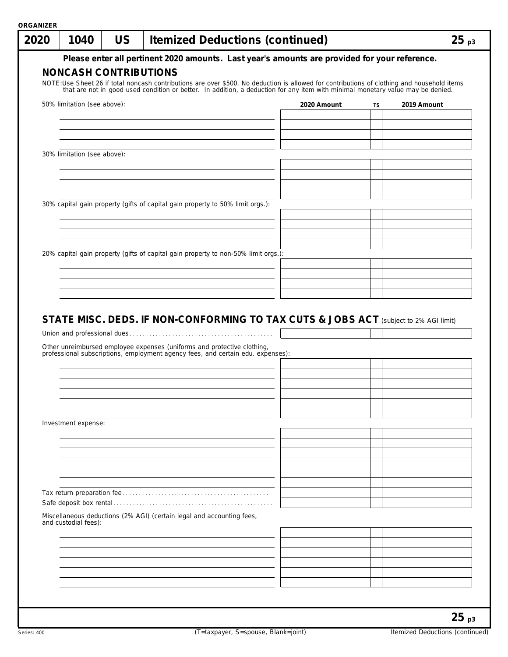| 2020 | 1040                        | <b>US</b>                    | <b>Itemized Deductions (continued)</b>                                                                                                                                                                                          |             |    |             | $25_{p3}$ |
|------|-----------------------------|------------------------------|---------------------------------------------------------------------------------------------------------------------------------------------------------------------------------------------------------------------------------|-------------|----|-------------|-----------|
|      |                             | <b>NONCASH CONTRIBUTIONS</b> | Please enter all pertinent 2020 amounts. Last year's amounts are provided for your reference.                                                                                                                                   |             |    |             |           |
|      |                             |                              | NOTE:Use Sheet 26 if total noncash contributions are over \$500. No deduction is allowed for contributions of clothing and household items that are not in good used condition or better. In addition, a deduction for any item |             |    |             |           |
|      | 50% limitation (see above): |                              |                                                                                                                                                                                                                                 | 2020 Amount | TS | 2019 Amount |           |
|      |                             |                              |                                                                                                                                                                                                                                 |             |    |             |           |
|      |                             |                              |                                                                                                                                                                                                                                 |             |    |             |           |
|      | 30% limitation (see above): |                              |                                                                                                                                                                                                                                 |             |    |             |           |
|      |                             |                              |                                                                                                                                                                                                                                 |             |    |             |           |
|      |                             |                              | 30% capital gain property (gifts of capital gain property to 50% limit orgs.):                                                                                                                                                  |             |    |             |           |
|      |                             |                              |                                                                                                                                                                                                                                 |             |    |             |           |
|      |                             |                              |                                                                                                                                                                                                                                 |             |    |             |           |
|      |                             |                              | 20% capital gain property (gifts of capital gain property to non-50% limit orgs.):                                                                                                                                              |             |    |             |           |
|      |                             |                              |                                                                                                                                                                                                                                 |             |    |             |           |
|      |                             |                              |                                                                                                                                                                                                                                 |             |    |             |           |
|      |                             |                              | Other unreimbursed employee expenses (uniforms and protective clothing, professional subscriptions, employment agency fees, and certain edu. expenses):                                                                         |             |    |             |           |
|      | Investment expense:         |                              |                                                                                                                                                                                                                                 |             |    |             |           |
|      |                             |                              |                                                                                                                                                                                                                                 |             |    |             |           |
|      |                             |                              |                                                                                                                                                                                                                                 |             |    |             |           |
|      |                             |                              |                                                                                                                                                                                                                                 |             |    |             |           |
|      |                             |                              |                                                                                                                                                                                                                                 |             |    |             |           |
|      | and custodial fees):        |                              | Miscellaneous deductions (2% AGI) (certain legal and accounting fees,                                                                                                                                                           |             |    |             |           |
|      |                             |                              |                                                                                                                                                                                                                                 |             |    |             |           |
|      |                             |                              |                                                                                                                                                                                                                                 |             |    |             |           |
|      |                             |                              |                                                                                                                                                                                                                                 |             |    |             |           |
|      |                             |                              |                                                                                                                                                                                                                                 |             |    |             |           |
|      |                             |                              |                                                                                                                                                                                                                                 |             |    |             | $25_{p3}$ |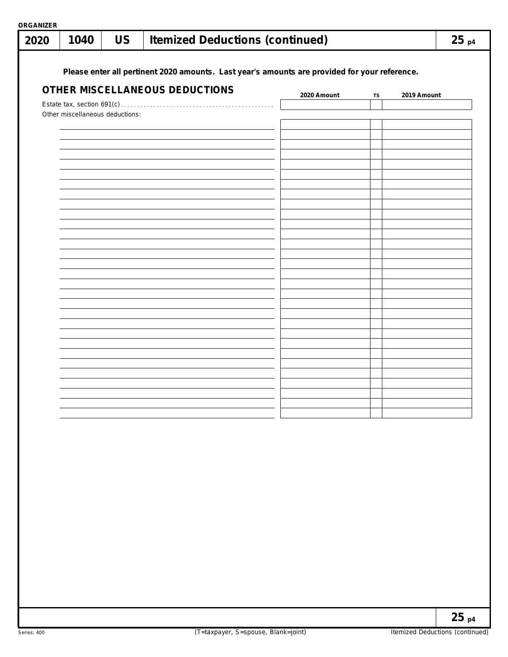| <b>ORGANIZER</b> |                                 |           |                                                                                               |             |           |             |
|------------------|---------------------------------|-----------|-----------------------------------------------------------------------------------------------|-------------|-----------|-------------|
| 2020             | 1040                            | <b>US</b> | <b>Itemized Deductions (continued)</b>                                                        |             |           | $25_{p4}$   |
|                  |                                 |           |                                                                                               |             |           |             |
|                  |                                 |           | Please enter all pertinent 2020 amounts. Last year's amounts are provided for your reference. |             |           |             |
|                  |                                 |           | OTHER MISCELLANEOUS DEDUCTIONS                                                                |             |           |             |
|                  |                                 |           |                                                                                               | 2020 Amount | <b>TS</b> | 2019 Amount |
|                  | Other miscellaneous deductions: |           |                                                                                               |             |           |             |
|                  |                                 |           |                                                                                               |             |           |             |
|                  |                                 |           |                                                                                               |             |           |             |
|                  |                                 |           |                                                                                               |             |           |             |
|                  |                                 |           |                                                                                               |             |           |             |
|                  |                                 |           |                                                                                               |             |           |             |
|                  |                                 |           |                                                                                               |             |           |             |
|                  |                                 |           |                                                                                               |             |           |             |
|                  |                                 |           |                                                                                               |             |           |             |
|                  |                                 |           |                                                                                               |             |           |             |
|                  |                                 |           |                                                                                               |             |           |             |
|                  |                                 |           |                                                                                               |             |           |             |
|                  |                                 |           |                                                                                               |             |           |             |
|                  |                                 |           |                                                                                               |             |           |             |
|                  |                                 |           |                                                                                               |             |           |             |
|                  |                                 |           |                                                                                               |             |           |             |
|                  |                                 |           |                                                                                               |             |           |             |
|                  |                                 |           |                                                                                               |             |           |             |
|                  |                                 |           |                                                                                               |             |           |             |
|                  |                                 |           |                                                                                               |             |           |             |
|                  |                                 |           |                                                                                               |             |           |             |
|                  |                                 |           |                                                                                               |             |           |             |
|                  |                                 |           |                                                                                               |             |           |             |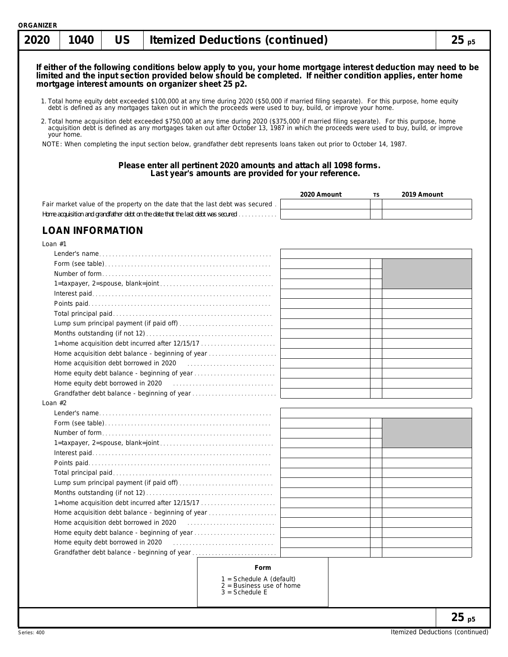|  |  |  | 2020   1040   US   Itemized Deductions (continued) | $25_{p5}$ |
|--|--|--|----------------------------------------------------|-----------|
|--|--|--|----------------------------------------------------|-----------|

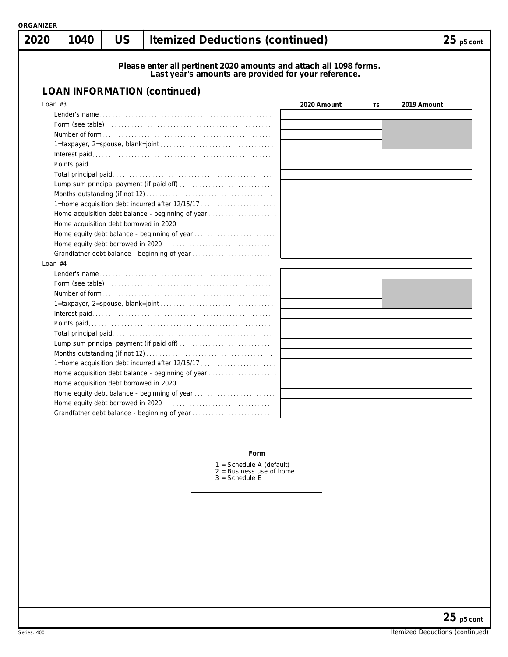| ORGANIZER |      |    |                                                                                                                            |              |
|-----------|------|----|----------------------------------------------------------------------------------------------------------------------------|--------------|
| 2020      | 1040 | US | <b>Itemized Deductions (continued)</b>                                                                                     | $25$ p5 cont |
|           |      |    | Please enter all pertinent 2020 amounts and attach all 1098 forms.<br>Last year's amounts are provided for your reference. |              |

| <b>LOAN INFORMATION (continued)</b>                                                                                                                                                                                            |             |           |             |
|--------------------------------------------------------------------------------------------------------------------------------------------------------------------------------------------------------------------------------|-------------|-----------|-------------|
| Loan $#3$                                                                                                                                                                                                                      | 2020 Amount | <b>TS</b> | 2019 Amount |
|                                                                                                                                                                                                                                |             |           |             |
|                                                                                                                                                                                                                                |             |           |             |
|                                                                                                                                                                                                                                |             |           |             |
|                                                                                                                                                                                                                                |             |           |             |
|                                                                                                                                                                                                                                |             |           |             |
|                                                                                                                                                                                                                                |             |           |             |
|                                                                                                                                                                                                                                |             |           |             |
|                                                                                                                                                                                                                                |             |           |             |
|                                                                                                                                                                                                                                |             |           |             |
| 1=home acquisition debt incurred after 12/15/17                                                                                                                                                                                |             |           |             |
| Home acquisition debt balance - beginning of year                                                                                                                                                                              |             |           |             |
|                                                                                                                                                                                                                                |             |           |             |
|                                                                                                                                                                                                                                |             |           |             |
| Home equity debt borrowed in 2020 [10] contain a series and set of the series and series and series and series                                                                                                                 |             |           |             |
| Grandfather debt balance - beginning of year                                                                                                                                                                                   |             |           |             |
| Loan $#4$                                                                                                                                                                                                                      |             |           |             |
|                                                                                                                                                                                                                                |             |           |             |
|                                                                                                                                                                                                                                |             |           |             |
|                                                                                                                                                                                                                                |             |           |             |
|                                                                                                                                                                                                                                |             |           |             |
|                                                                                                                                                                                                                                |             |           |             |
|                                                                                                                                                                                                                                |             |           |             |
|                                                                                                                                                                                                                                |             |           |             |
|                                                                                                                                                                                                                                |             |           |             |
|                                                                                                                                                                                                                                |             |           |             |
| 1=home acquisition debt incurred after 12/15/17                                                                                                                                                                                |             |           |             |
| Home acquisition debt balance - beginning of year                                                                                                                                                                              |             |           |             |
|                                                                                                                                                                                                                                |             |           |             |
|                                                                                                                                                                                                                                |             |           |             |
| Home equity debt borrowed in 2020 [10] [10] contact the equity debt borrowed in 2020 [10] [10] contact the equilibration of Home equilibration of Home equilibration of the equilibration of Home equilibration of Home equili |             |           |             |
| Grandfather debt balance - beginning of year                                                                                                                                                                                   |             |           |             |

#### **Form**

- 1 = Schedule A (default)
- 2 = Business use of home 3 = Schedule E
-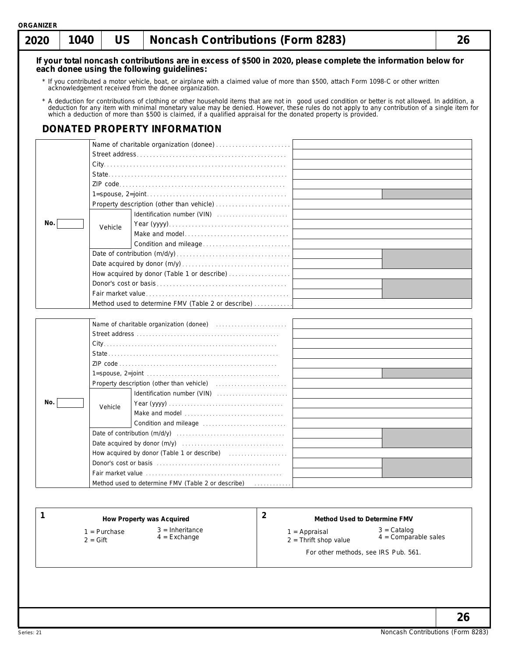| 2020 | 1040 | <b>US</b> | <b>Noncash Contributions (Form 8283)</b>              |                                                                                                                                                                                                                                | 26 |
|------|------|-----------|-------------------------------------------------------|--------------------------------------------------------------------------------------------------------------------------------------------------------------------------------------------------------------------------------|----|
|      |      |           | each donee using the following quidelines:            | If your total noncash contributions are in excess of \$500 in 2020, please complete the information below for                                                                                                                  |    |
|      |      |           |                                                       |                                                                                                                                                                                                                                |    |
|      |      |           | acknowledgement received from the donee organization. | * If you contributed a motor vehicle, boat, or airplane with a claimed value of more than \$500, attach Form 1098-C or other written                                                                                           |    |
|      |      |           |                                                       | * A deduction for contributions of clothing or other household items that are not in good used condition or better is not allowed. In addition, a deduction for any item with minimal monetary value may be denied. However, t |    |
|      |      |           | DONATED PROPERTY INFORMATION                          |                                                                                                                                                                                                                                |    |
|      |      |           |                                                       |                                                                                                                                                                                                                                |    |
|      |      |           |                                                       |                                                                                                                                                                                                                                |    |
|      |      |           |                                                       |                                                                                                                                                                                                                                |    |
|      |      |           |                                                       |                                                                                                                                                                                                                                |    |
|      |      |           |                                                       |                                                                                                                                                                                                                                |    |
|      |      |           |                                                       |                                                                                                                                                                                                                                |    |
|      |      |           |                                                       |                                                                                                                                                                                                                                |    |
|      |      |           |                                                       |                                                                                                                                                                                                                                |    |
| No.  |      | Vehicle   |                                                       |                                                                                                                                                                                                                                |    |
|      |      |           |                                                       |                                                                                                                                                                                                                                |    |
|      |      |           |                                                       |                                                                                                                                                                                                                                |    |
|      |      |           |                                                       |                                                                                                                                                                                                                                |    |
|      |      |           |                                                       |                                                                                                                                                                                                                                |    |
|      |      |           | How acquired by donor (Table 1 or describe)           |                                                                                                                                                                                                                                |    |
|      |      |           |                                                       |                                                                                                                                                                                                                                |    |
|      |      |           |                                                       |                                                                                                                                                                                                                                |    |
|      |      |           | Method used to determine FMV (Table 2 or describe)    |                                                                                                                                                                                                                                |    |
|      |      |           |                                                       |                                                                                                                                                                                                                                |    |
|      |      |           |                                                       |                                                                                                                                                                                                                                |    |
|      |      |           |                                                       |                                                                                                                                                                                                                                |    |
|      |      |           |                                                       |                                                                                                                                                                                                                                |    |
|      |      |           |                                                       |                                                                                                                                                                                                                                |    |
|      |      |           |                                                       |                                                                                                                                                                                                                                |    |
|      |      |           |                                                       |                                                                                                                                                                                                                                |    |
|      |      |           |                                                       |                                                                                                                                                                                                                                |    |
| No.  |      | Vehicle   |                                                       |                                                                                                                                                                                                                                |    |
|      |      |           | Make and model                                        |                                                                                                                                                                                                                                |    |
|      |      |           |                                                       |                                                                                                                                                                                                                                |    |
|      |      |           |                                                       |                                                                                                                                                                                                                                |    |
|      |      |           |                                                       |                                                                                                                                                                                                                                |    |
|      |      |           |                                                       |                                                                                                                                                                                                                                |    |
|      |      |           |                                                       |                                                                                                                                                                                                                                |    |
|      |      |           |                                                       |                                                                                                                                                                                                                                |    |
|      |      |           | Method used to determine FMV (Table 2 or describe)    | <u>.</u>                                                                                                                                                                                                                       |    |
|      |      |           |                                                       |                                                                                                                                                                                                                                |    |
|      |      |           |                                                       |                                                                                                                                                                                                                                |    |
| 1    |      |           | How Property was Acquired                             | $\overline{2}$<br><b>Method Used to Determine FMV</b>                                                                                                                                                                          |    |

- 1 = Purchase
- $2 = \text{Gift}$

3 = Inheritance

- 
- 4 = Exchange

1 = Appraisal

3 = Catalog 4 = Comparable sales

- 2 = Thrift shop value
	- For other methods, see IRS Pub. 561.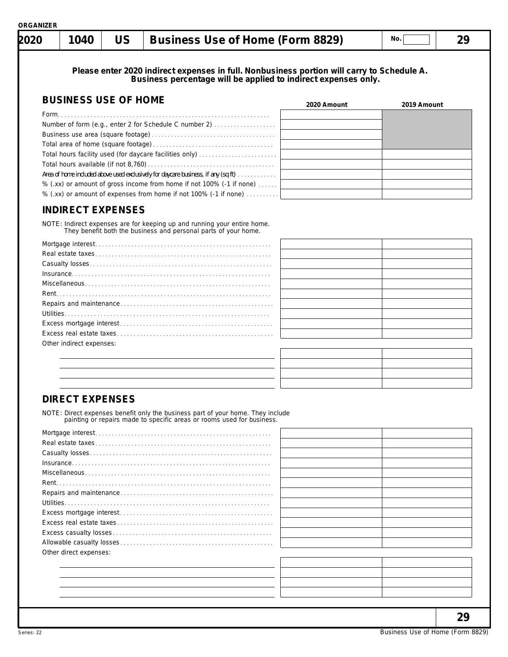|  |  | ORGANIZER |  |
|--|--|-----------|--|
|  |  |           |  |

| <b>2020</b> | 1040 | <b>Business Use of Home (Form 8829)</b> | No. |  |
|-------------|------|-----------------------------------------|-----|--|
|             |      |                                         |     |  |

**Please enter 2020 indirect expenses in full. Nonbusiness portion will carry to Schedule A. Business percentage will be applied to indirect expenses only.**

| <b>BUSINESS USE OF HOME</b>                                                       | 2020 Amount | 2019 Amount |
|-----------------------------------------------------------------------------------|-------------|-------------|
|                                                                                   |             |             |
| Number of form (e.g., enter 2 for Schedule C number 2)                            |             |             |
|                                                                                   |             |             |
|                                                                                   |             |             |
| Total hours facility used (for daycare facilities only)                           |             |             |
|                                                                                   |             |             |
| Area of home included above used exclusively for daycare business, if any (sq ft) |             |             |
| % (.xx) or amount of gross income from home if not 100% (-1 if none)              |             |             |
| % (.xx) or amount of expenses from home if not 100% (-1 if none)                  |             |             |

# **INDIRECT EXPENSES**

NOTE: Indirect expenses are for keeping up and running your entire home. They benefit both the business and personal parts of your home.

| Other indirect expenses: |  |
|--------------------------|--|
|                          |  |
|                          |  |

# **DIRECT EXPENSES**

NOTE: Direct expenses benefit only the business part of your home. They include painting or repairs made to specific areas or rooms used for business.

| Rent.                  |  |
|------------------------|--|
|                        |  |
|                        |  |
|                        |  |
|                        |  |
|                        |  |
|                        |  |
| Other direct expenses: |  |
|                        |  |
|                        |  |
|                        |  |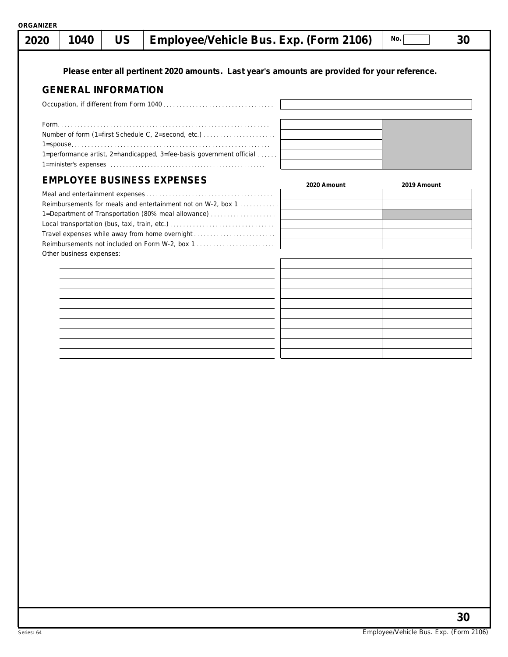|  |  |  | $\mid$ 2020 $\mid$ 1040 $\mid$ US $\mid$ Employee/Vehicle Bus. Exp. (Form 2106) $\mid$ № $\Box$ |  | - 30 |
|--|--|--|-------------------------------------------------------------------------------------------------|--|------|
|--|--|--|-------------------------------------------------------------------------------------------------|--|------|

**Please enter all pertinent 2020 amounts. Last year's amounts are provided for your reference.**

# **GENERAL INFORMATION**

| Number of form (1=first Schedule C, 2=second, etc.)                           |  |
|-------------------------------------------------------------------------------|--|
|                                                                               |  |
| 1=performance artist, 2=handicapped, 3=fee-basis government official $\ldots$ |  |
|                                                                               |  |
|                                                                               |  |

# **EMPLOYEE BUSINESS EXPENSES**

| EMPLUTEE DUSINESS EAPENSES                                   | 2020 Amount | 2019 Amount |
|--------------------------------------------------------------|-------------|-------------|
|                                                              |             |             |
| Reimbursements for meals and entertainment not on W-2, box 1 |             |             |
| 1=Department of Transportation (80% meal allowance)          |             |             |
|                                                              |             |             |
| Travel expenses while away from home overnight               |             |             |
| Reimbursements not included on Form W-2, box 1               |             |             |
| Other business expenses:                                     |             |             |
|                                                              |             |             |
|                                                              |             |             |
|                                                              |             |             |
|                                                              |             |             |



**30**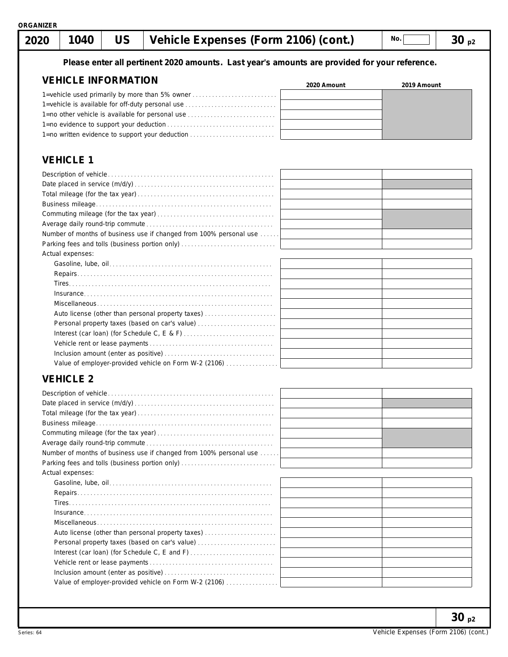# **1040 US Vehicle Expenses (Form 2106) (cont.) 30 p2 No. 2020**

#### **Please enter all pertinent 2020 amounts. Last year's amounts are provided for your reference.**

#### **VEHICLE INFORMATION** 1=vehicle used primarily by more than 5% owner . . . . . . . . . . . . . . . . . . . . . . . . . . 1=vehicle is available for off-duty personal use . . . . . . . . . . . . . . . . . . . . . . . . . . . . 1=no other vehicle is available for personal use . . . . . . . . . . . . . . . . . . . . . . . . . . . 1=no evidence to support your deduction . . . . . . . . . . . . . . . . . . . . . . . . . . . . . . . . . 1=no written evidence to support your deduction . . . . . . . . . . . . . . . . . **2020 Amount 2019 Amount**

# **VEHICLE 1**

| Number of months of business use if changed from 100% personal use |  |
|--------------------------------------------------------------------|--|
|                                                                    |  |
| Actual expenses:                                                   |  |
|                                                                    |  |
|                                                                    |  |
|                                                                    |  |
|                                                                    |  |
|                                                                    |  |
| Auto license (other than personal property taxes)                  |  |
| Personal property taxes (based on car's value)                     |  |
|                                                                    |  |
|                                                                    |  |
|                                                                    |  |
| Value of employer-provided vehicle on Form W-2 (2106)              |  |

# **VEHICLE 2**

| Number of months of business use if changed from 100% personal use |  |
|--------------------------------------------------------------------|--|
|                                                                    |  |
| Actual expenses:                                                   |  |
|                                                                    |  |
|                                                                    |  |
|                                                                    |  |
|                                                                    |  |
|                                                                    |  |
| Auto license (other than personal property taxes)                  |  |
| Personal property taxes (based on car's value)                     |  |
|                                                                    |  |
|                                                                    |  |
|                                                                    |  |
| Value of employer-provided vehicle on Form W-2 (2106)              |  |
|                                                                    |  |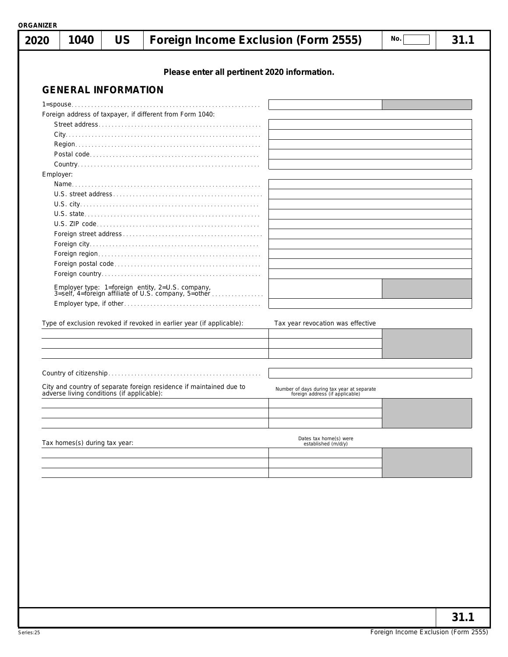| Please enter all pertinent 2020 information.<br><b>GENERAL INFORMATION</b><br>Foreign address of taxpayer, if different from Form 1040:<br>Employer:<br>Employer type: 1=foreign entity, 2=U.S. company,<br>3=self, 4=foreign affiliate of U.S. company, 5=other<br>Type of exclusion revoked if revoked in earlier year (if applicable):<br>Tax year revocation was effective<br>City and country of separate foreign residence if maintained due to<br>Number of days during tax year at separate<br>adverse living conditions (if applicable):<br>foreign address (if applicable) | Dates tax home(s) were<br>established (m/d/y) |  | 1040 | <b>US</b> | Foreign Income Exclusion (Form 2555) | No. | 31.1 |
|--------------------------------------------------------------------------------------------------------------------------------------------------------------------------------------------------------------------------------------------------------------------------------------------------------------------------------------------------------------------------------------------------------------------------------------------------------------------------------------------------------------------------------------------------------------------------------------|-----------------------------------------------|--|------|-----------|--------------------------------------|-----|------|
|                                                                                                                                                                                                                                                                                                                                                                                                                                                                                                                                                                                      |                                               |  |      |           |                                      |     |      |
|                                                                                                                                                                                                                                                                                                                                                                                                                                                                                                                                                                                      |                                               |  |      |           |                                      |     |      |
|                                                                                                                                                                                                                                                                                                                                                                                                                                                                                                                                                                                      |                                               |  |      |           |                                      |     |      |
|                                                                                                                                                                                                                                                                                                                                                                                                                                                                                                                                                                                      |                                               |  |      |           |                                      |     |      |
|                                                                                                                                                                                                                                                                                                                                                                                                                                                                                                                                                                                      |                                               |  |      |           |                                      |     |      |
|                                                                                                                                                                                                                                                                                                                                                                                                                                                                                                                                                                                      |                                               |  |      |           |                                      |     |      |
|                                                                                                                                                                                                                                                                                                                                                                                                                                                                                                                                                                                      |                                               |  |      |           |                                      |     |      |
|                                                                                                                                                                                                                                                                                                                                                                                                                                                                                                                                                                                      |                                               |  |      |           |                                      |     |      |
|                                                                                                                                                                                                                                                                                                                                                                                                                                                                                                                                                                                      |                                               |  |      |           |                                      |     |      |
|                                                                                                                                                                                                                                                                                                                                                                                                                                                                                                                                                                                      |                                               |  |      |           |                                      |     |      |
|                                                                                                                                                                                                                                                                                                                                                                                                                                                                                                                                                                                      |                                               |  |      |           |                                      |     |      |
|                                                                                                                                                                                                                                                                                                                                                                                                                                                                                                                                                                                      |                                               |  |      |           |                                      |     |      |
|                                                                                                                                                                                                                                                                                                                                                                                                                                                                                                                                                                                      |                                               |  |      |           |                                      |     |      |
|                                                                                                                                                                                                                                                                                                                                                                                                                                                                                                                                                                                      |                                               |  |      |           |                                      |     |      |
|                                                                                                                                                                                                                                                                                                                                                                                                                                                                                                                                                                                      |                                               |  |      |           |                                      |     |      |
|                                                                                                                                                                                                                                                                                                                                                                                                                                                                                                                                                                                      |                                               |  |      |           |                                      |     |      |
|                                                                                                                                                                                                                                                                                                                                                                                                                                                                                                                                                                                      |                                               |  |      |           |                                      |     |      |
|                                                                                                                                                                                                                                                                                                                                                                                                                                                                                                                                                                                      |                                               |  |      |           |                                      |     |      |
|                                                                                                                                                                                                                                                                                                                                                                                                                                                                                                                                                                                      |                                               |  |      |           |                                      |     |      |
|                                                                                                                                                                                                                                                                                                                                                                                                                                                                                                                                                                                      |                                               |  |      |           |                                      |     |      |
|                                                                                                                                                                                                                                                                                                                                                                                                                                                                                                                                                                                      |                                               |  |      |           |                                      |     |      |
|                                                                                                                                                                                                                                                                                                                                                                                                                                                                                                                                                                                      |                                               |  |      |           |                                      |     |      |
|                                                                                                                                                                                                                                                                                                                                                                                                                                                                                                                                                                                      |                                               |  |      |           |                                      |     |      |
|                                                                                                                                                                                                                                                                                                                                                                                                                                                                                                                                                                                      |                                               |  |      |           |                                      |     |      |
|                                                                                                                                                                                                                                                                                                                                                                                                                                                                                                                                                                                      |                                               |  |      |           |                                      |     |      |
| Tax homes(s) during tax year:                                                                                                                                                                                                                                                                                                                                                                                                                                                                                                                                                        |                                               |  |      |           |                                      |     |      |
|                                                                                                                                                                                                                                                                                                                                                                                                                                                                                                                                                                                      |                                               |  |      |           |                                      |     |      |
|                                                                                                                                                                                                                                                                                                                                                                                                                                                                                                                                                                                      |                                               |  |      |           |                                      |     |      |
|                                                                                                                                                                                                                                                                                                                                                                                                                                                                                                                                                                                      |                                               |  |      |           |                                      |     |      |
|                                                                                                                                                                                                                                                                                                                                                                                                                                                                                                                                                                                      |                                               |  |      |           |                                      |     |      |
|                                                                                                                                                                                                                                                                                                                                                                                                                                                                                                                                                                                      |                                               |  |      |           |                                      |     |      |
|                                                                                                                                                                                                                                                                                                                                                                                                                                                                                                                                                                                      |                                               |  |      |           |                                      |     |      |
|                                                                                                                                                                                                                                                                                                                                                                                                                                                                                                                                                                                      |                                               |  |      |           |                                      |     |      |
|                                                                                                                                                                                                                                                                                                                                                                                                                                                                                                                                                                                      |                                               |  |      |           |                                      |     |      |
|                                                                                                                                                                                                                                                                                                                                                                                                                                                                                                                                                                                      |                                               |  |      |           |                                      |     |      |
|                                                                                                                                                                                                                                                                                                                                                                                                                                                                                                                                                                                      |                                               |  |      |           |                                      |     |      |
|                                                                                                                                                                                                                                                                                                                                                                                                                                                                                                                                                                                      |                                               |  |      |           |                                      |     |      |
|                                                                                                                                                                                                                                                                                                                                                                                                                                                                                                                                                                                      |                                               |  |      |           |                                      |     |      |
|                                                                                                                                                                                                                                                                                                                                                                                                                                                                                                                                                                                      |                                               |  |      |           |                                      |     |      |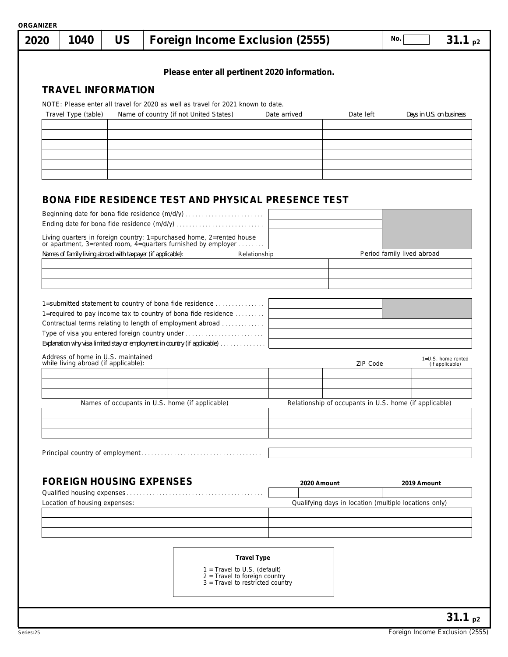|                                                                            |                                                                                                                                                                                                                                                                                                                        | Please enter all pertinent 2020 information.                                                          |              |                                                        |                            |                          |
|----------------------------------------------------------------------------|------------------------------------------------------------------------------------------------------------------------------------------------------------------------------------------------------------------------------------------------------------------------------------------------------------------------|-------------------------------------------------------------------------------------------------------|--------------|--------------------------------------------------------|----------------------------|--------------------------|
| <b>TRAVEL INFORMATION</b>                                                  |                                                                                                                                                                                                                                                                                                                        |                                                                                                       |              |                                                        |                            |                          |
|                                                                            |                                                                                                                                                                                                                                                                                                                        | NOTE: Please enter all travel for 2020 as well as travel for 2021 known to date.                      |              |                                                        |                            |                          |
| Travel Type (table)                                                        | Name of country (if not United States)                                                                                                                                                                                                                                                                                 |                                                                                                       | Date arrived | Date left                                              |                            | Days in U.S. on business |
|                                                                            |                                                                                                                                                                                                                                                                                                                        |                                                                                                       |              |                                                        |                            |                          |
|                                                                            |                                                                                                                                                                                                                                                                                                                        |                                                                                                       |              |                                                        |                            |                          |
|                                                                            |                                                                                                                                                                                                                                                                                                                        |                                                                                                       |              |                                                        |                            |                          |
|                                                                            |                                                                                                                                                                                                                                                                                                                        |                                                                                                       |              |                                                        |                            |                          |
|                                                                            |                                                                                                                                                                                                                                                                                                                        |                                                                                                       |              |                                                        |                            |                          |
|                                                                            |                                                                                                                                                                                                                                                                                                                        | <b>BONA FIDE RESIDENCE TEST AND PHYSICAL PRESENCE TEST</b>                                            |              |                                                        |                            |                          |
|                                                                            | Beginning date for bona fide residence (m/d/y)                                                                                                                                                                                                                                                                         |                                                                                                       |              |                                                        |                            |                          |
|                                                                            |                                                                                                                                                                                                                                                                                                                        |                                                                                                       |              |                                                        |                            |                          |
|                                                                            | Living quarters in foreign country: 1=purchased home, 2=rented house or apartment, 3=rented room, 4=quarters furnished by employer                                                                                                                                                                                     |                                                                                                       |              |                                                        |                            |                          |
|                                                                            | Names of family living abroad with taxpayer (if applicable):                                                                                                                                                                                                                                                           | Relationship                                                                                          |              |                                                        | Period family lived abroad |                          |
|                                                                            |                                                                                                                                                                                                                                                                                                                        |                                                                                                       |              |                                                        |                            |                          |
|                                                                            |                                                                                                                                                                                                                                                                                                                        |                                                                                                       |              |                                                        |                            |                          |
|                                                                            | 1=submitted statement to country of bona fide residence<br>1=required to pay income tax to country of bona fide residence<br>Contractual terms relating to length of employment abroad<br>Type of visa you entered foreign country under<br>Explanation why visa limited stay or employment in country (if applicable) |                                                                                                       |              |                                                        |                            |                          |
| Address of home in U.S. maintained<br>while living abroad (if applicable): |                                                                                                                                                                                                                                                                                                                        |                                                                                                       |              | ZIP Code                                               |                            | (if applicable)          |
|                                                                            | Names of occupants in U.S. home (if applicable)                                                                                                                                                                                                                                                                        |                                                                                                       |              | Relationship of occupants in U.S. home (if applicable) |                            |                          |
|                                                                            |                                                                                                                                                                                                                                                                                                                        |                                                                                                       |              |                                                        |                            |                          |
|                                                                            |                                                                                                                                                                                                                                                                                                                        |                                                                                                       |              |                                                        |                            |                          |
|                                                                            |                                                                                                                                                                                                                                                                                                                        |                                                                                                       |              |                                                        |                            |                          |
|                                                                            |                                                                                                                                                                                                                                                                                                                        |                                                                                                       |              |                                                        |                            |                          |
|                                                                            | <b>FOREIGN HOUSING EXPENSES</b>                                                                                                                                                                                                                                                                                        |                                                                                                       | 2020 Amount  |                                                        | 2019 Amount                |                          |
| Location of housing expenses:                                              |                                                                                                                                                                                                                                                                                                                        |                                                                                                       |              | Qualifying days in location (multiple locations only)  |                            |                          |
|                                                                            |                                                                                                                                                                                                                                                                                                                        |                                                                                                       |              |                                                        |                            |                          |
|                                                                            |                                                                                                                                                                                                                                                                                                                        |                                                                                                       |              |                                                        |                            | 1=U.S. home rented       |
|                                                                            |                                                                                                                                                                                                                                                                                                                        |                                                                                                       |              |                                                        |                            |                          |
|                                                                            |                                                                                                                                                                                                                                                                                                                        | <b>Travel Type</b>                                                                                    |              |                                                        |                            |                          |
|                                                                            |                                                                                                                                                                                                                                                                                                                        | 1 = Travel to U.S. (default)<br>$2$ = Travel to foreign country<br>$3$ = Travel to restricted country |              |                                                        |                            |                          |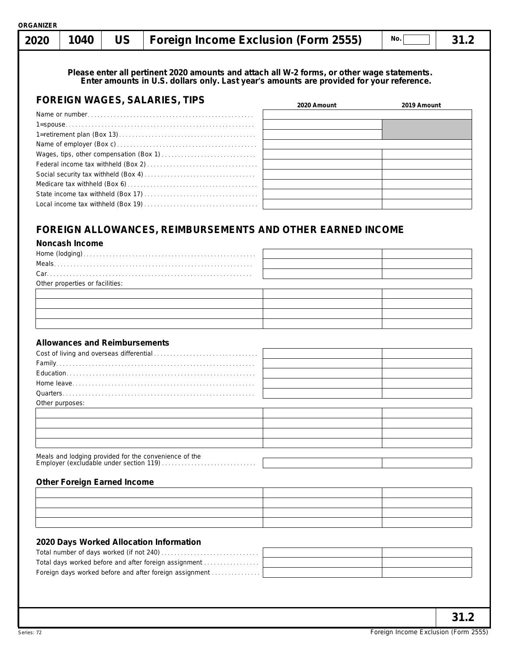| 2020 | 1040 | <b>US</b> | Foreign Income Exclusion (Form 2555)                                                                                                                                                    |             | No.         | 31.2 |
|------|------|-----------|-----------------------------------------------------------------------------------------------------------------------------------------------------------------------------------------|-------------|-------------|------|
|      |      |           | Please enter all pertinent 2020 amounts and attach all W-2 forms, or other wage statements.<br>Enter amounts in U.S. dollars only. Last year's amounts are provided for your reference. |             |             |      |
|      |      |           | <b>FOREIGN WAGES, SALARIES, TIPS</b>                                                                                                                                                    | 2020 Amount | 2019 Amount |      |
|      |      |           |                                                                                                                                                                                         |             |             |      |
|      |      |           |                                                                                                                                                                                         |             |             |      |
|      |      |           |                                                                                                                                                                                         |             |             |      |
|      |      |           |                                                                                                                                                                                         |             |             |      |
|      |      |           |                                                                                                                                                                                         |             |             |      |
|      |      |           |                                                                                                                                                                                         |             |             |      |
|      |      |           |                                                                                                                                                                                         |             |             |      |
|      |      |           |                                                                                                                                                                                         |             |             |      |
|      |      |           |                                                                                                                                                                                         |             |             |      |
|      |      |           |                                                                                                                                                                                         |             |             |      |

## **FOREIGN ALLOWANCES, REIMBURSEMENTS AND OTHER EARNED INCOME**

#### **Noncash Income**

| $Car. \label{def:car} \begin{minipage}[c]{0.9\linewidth} \textbf{Car} \textbf{.} \textbf{.} \textbf{.} \textbf{.} \textbf{.} \textbf{.} \textbf{.} \textbf{.} \textbf{.} \textbf{.} \textbf{.} \textbf{.} \textbf{.} \textbf{.} \textbf{.} \textbf{.} \textbf{.} \textbf{.} \textbf{.} \textbf{.} \textbf{.} \textbf{.} \textbf{.} \textbf{.} \textbf{.} \textbf{.} \textbf{.} \textbf{.} \textbf{.} \textbf{.} \textbf{.} \textbf{$ |  |
|--------------------------------------------------------------------------------------------------------------------------------------------------------------------------------------------------------------------------------------------------------------------------------------------------------------------------------------------------------------------------------------------------------------------------------------|--|
| Other properties or facilities:                                                                                                                                                                                                                                                                                                                                                                                                      |  |
|                                                                                                                                                                                                                                                                                                                                                                                                                                      |  |
|                                                                                                                                                                                                                                                                                                                                                                                                                                      |  |
|                                                                                                                                                                                                                                                                                                                                                                                                                                      |  |
|                                                                                                                                                                                                                                                                                                                                                                                                                                      |  |
|                                                                                                                                                                                                                                                                                                                                                                                                                                      |  |

## **Allowances and Reimbursements**

| Other purposes: |  |
|-----------------|--|

#### **Other Foreign Earned Income**

| , <del>我们就是一个人的</del> ,我们就是一个人的,我们就是一个人的,我们就是一个人的,我们就是一个人的,我们就是一个人的,我们就是一个人的,我们就是一个人的,我们就是一个人                         |  |
|-----------------------------------------------------------------------------------------------------------------------|--|
|                                                                                                                       |  |
|                                                                                                                       |  |
| <u> 1989 - Johann Stoff, deutscher Stoff, der Stoff, der Stoff, der Stoff, der Stoff, der Stoff, der Stoff, der S</u> |  |

## **2020 Days Worked Allocation Information**

| 2020 Days Worked Allocation Information                 |  |
|---------------------------------------------------------|--|
|                                                         |  |
| Total days worked before and after foreign assignment   |  |
| Foreign days worked before and after foreign assignment |  |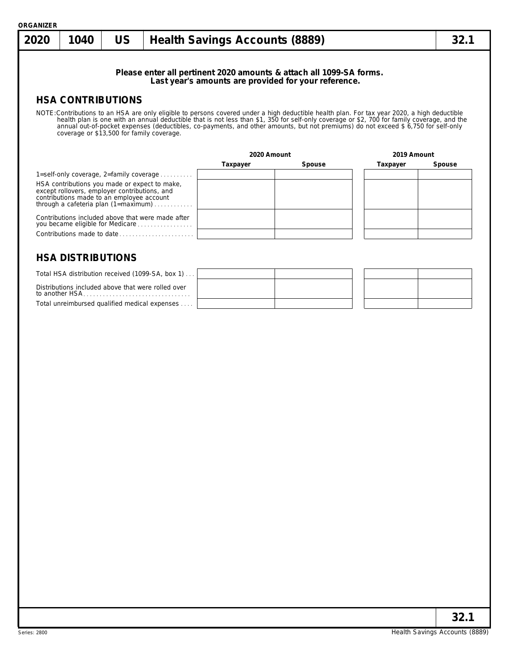Total unreimbursed qualified medical expenses . . . .

| 2020 | 1040                                                                                                                                        | <b>US</b> |                                                                                       | <b>Health Savings Accounts (8889)</b> |                                                                                                                                                                                                                                                                                                                                                                                 |             | 32.1   |
|------|---------------------------------------------------------------------------------------------------------------------------------------------|-----------|---------------------------------------------------------------------------------------|---------------------------------------|---------------------------------------------------------------------------------------------------------------------------------------------------------------------------------------------------------------------------------------------------------------------------------------------------------------------------------------------------------------------------------|-------------|--------|
|      |                                                                                                                                             |           |                                                                                       |                                       | Please enter all pertinent 2020 amounts & attach all 1099-SA forms.<br>Last year's amounts are provided for your reference.                                                                                                                                                                                                                                                     |             |        |
|      | <b>HSA CONTRIBUTIONS</b>                                                                                                                    |           |                                                                                       |                                       |                                                                                                                                                                                                                                                                                                                                                                                 |             |        |
|      | coverage or \$13,500 for family coverage.                                                                                                   |           |                                                                                       |                                       | NOTE: Contributions to an HSA are only eligible to persons covered under a high deductible health plan. For tax year 2020, a high deductible<br>health plan is one with an annual deductible that is not less than \$1, 350 for self-only coverage or \$2, 700 for family coverage, and the annual out-of-pocket expenses (deductibles, co-payments, and other amounts, but not |             |        |
|      |                                                                                                                                             |           |                                                                                       | 2020 Amount                           |                                                                                                                                                                                                                                                                                                                                                                                 | 2019 Amount |        |
|      |                                                                                                                                             |           |                                                                                       | Taxpayer                              | Spouse                                                                                                                                                                                                                                                                                                                                                                          | Taxpayer    | Spouse |
|      |                                                                                                                                             |           | 1=self-only coverage, 2=family coverage                                               |                                       |                                                                                                                                                                                                                                                                                                                                                                                 |             |        |
|      | HSA contributions you made or expect to make,<br>except rollovers, employer contributions, and<br>contributions made to an employee account |           | through a cafeteria plan $(1 = maximum)$                                              |                                       |                                                                                                                                                                                                                                                                                                                                                                                 |             |        |
|      |                                                                                                                                             |           | Contributions included above that were made after<br>you became eligible for Medicare |                                       |                                                                                                                                                                                                                                                                                                                                                                                 |             |        |
|      |                                                                                                                                             |           | Contributions made to date                                                            |                                       |                                                                                                                                                                                                                                                                                                                                                                                 |             |        |
|      | <b>HSA DISTRIBUTIONS</b>                                                                                                                    |           | Total HSA distribution received (1099-SA, box 1)                                      |                                       |                                                                                                                                                                                                                                                                                                                                                                                 |             |        |
|      |                                                                                                                                             |           | Distributions included above that were rolled over                                    |                                       |                                                                                                                                                                                                                                                                                                                                                                                 |             |        |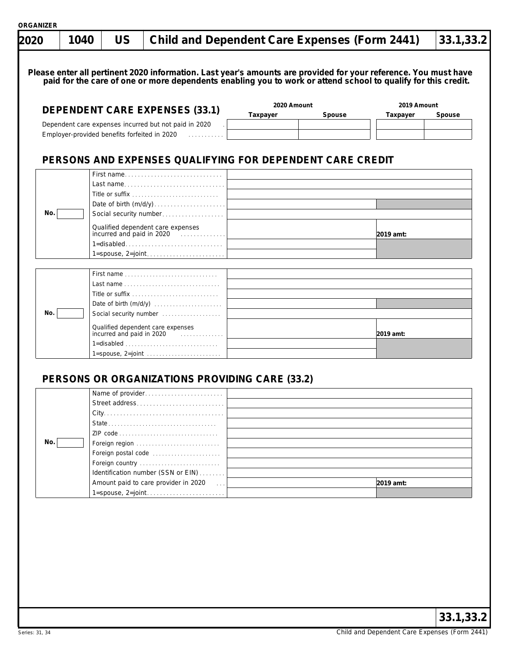|     | <b>DEPENDENT CARE EXPENSES (33.1)</b>                                                                      | 2020 Amount<br>2019 Amount                                |
|-----|------------------------------------------------------------------------------------------------------------|-----------------------------------------------------------|
|     |                                                                                                            | Taxpayer<br>Spouse<br>Taxpayer<br>Spouse                  |
|     | Dependent care expenses incurred but not paid in 2020<br>Employer-provided benefits forfeited in 2020<br>. |                                                           |
|     |                                                                                                            |                                                           |
|     |                                                                                                            | PERSONS AND EXPENSES QUALIFYING FOR DEPENDENT CARE CREDIT |
|     | First name<br>Last name                                                                                    |                                                           |
|     | Title or suffix                                                                                            |                                                           |
|     | Date of birth (m/d/y)                                                                                      |                                                           |
| No. | Social security number                                                                                     |                                                           |
|     | Qualified dependent care expenses<br>incurred and paid in 2020                                             | 2019 amt:                                                 |
|     |                                                                                                            |                                                           |
|     | 1=spouse, 2=joint                                                                                          |                                                           |
|     |                                                                                                            |                                                           |
|     |                                                                                                            |                                                           |
|     | Title or suffix                                                                                            |                                                           |
| No. | Social security number                                                                                     |                                                           |
|     | Qualified dependent care expenses<br>incurred and paid in 2020                                             |                                                           |
|     | 1=disabled                                                                                                 | 2019 amt:                                                 |
|     | $1 = spouse, 2 = joint \dots \dots \dots \dots \dots \dots \dots$                                          |                                                           |
|     |                                                                                                            |                                                           |
|     | PERSONS OR ORGANIZATIONS PROVIDING CARE (33.2)                                                             |                                                           |
|     | Name of provider.                                                                                          |                                                           |
|     | Street address                                                                                             |                                                           |
|     |                                                                                                            |                                                           |
|     |                                                                                                            |                                                           |
| No. | Foreign region<br>Foreign postal code                                                                      |                                                           |
|     | Foreign country                                                                                            |                                                           |
|     | Identification number (SSN or EIN)                                                                         |                                                           |
|     | Amount paid to care provider in 2020                                                                       | 2019 amt:<br><b>College</b>                               |
|     |                                                                                                            |                                                           |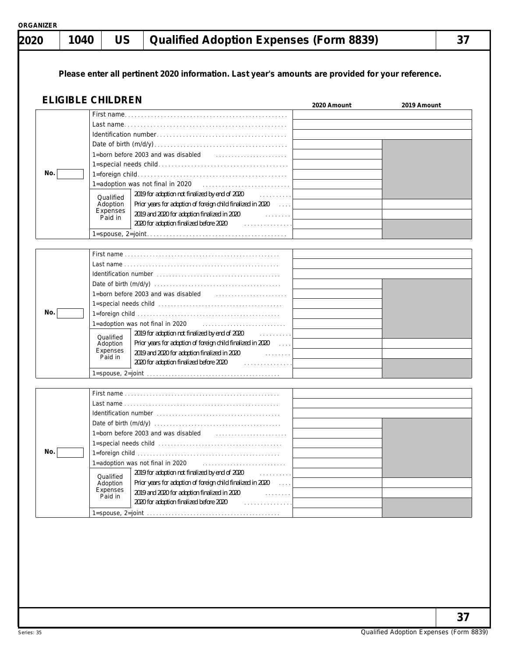|  |  | ORGANIZER |
|--|--|-----------|

| 2020 | 1040 | <b>US</b>                                    | <b>Qualified Adoption Expenses (Form 8839)</b>                                                                                                                                                                                                                                                                                   |             |             | 37 |
|------|------|----------------------------------------------|----------------------------------------------------------------------------------------------------------------------------------------------------------------------------------------------------------------------------------------------------------------------------------------------------------------------------------|-------------|-------------|----|
|      |      |                                              | Please enter all pertinent 2020 information. Last year's amounts are provided for your reference.                                                                                                                                                                                                                                |             |             |    |
|      |      | <b>ELIGIBLE CHILDREN</b>                     |                                                                                                                                                                                                                                                                                                                                  | 2020 Amount | 2019 Amount |    |
| No.  |      | Qualified<br>Adoption<br>Expenses<br>Paid in | 1=born before 2003 and was disabled<br>2019 for adoption not finalized by end of 2020<br>.<br>Prior years for adoption of foreign child finalized in 2020<br>2019 and 2020 for adoption finalized in 2020 Fig. 2019 and 2020<br>2020 for adoption finalized before 2020<br>.                                                     |             |             |    |
|      |      |                                              |                                                                                                                                                                                                                                                                                                                                  |             |             |    |
| No.  |      | Qualified<br>Adoption<br>Expenses<br>Paid in | 1=born before 2003 and was disabled<br>1=adoption was not final in 2020<br>2019 for adoption not finalized by end of 2020<br>and a new parties<br>Prior years for adoption of foreign child finalized in 2020<br>2019 and 2020 for adoption finalized in 2020<br>in a shekarar a<br>2020 for adoption finalized before 2020<br>. |             |             |    |
| No.  |      | Qualified<br>Adoption<br>Expenses<br>Paid in | 1=born before 2003 and was disabled<br>1=adoption was not final in 2020<br>2019 for adoption not finalized by end of 2020<br>.<br>Prior years for adoption of foreign child finalized in 2020<br>2019 and 2020 for adoption finalized in 2020<br>and a state state<br>2020 for adoption finalized before 2020<br>.               |             |             |    |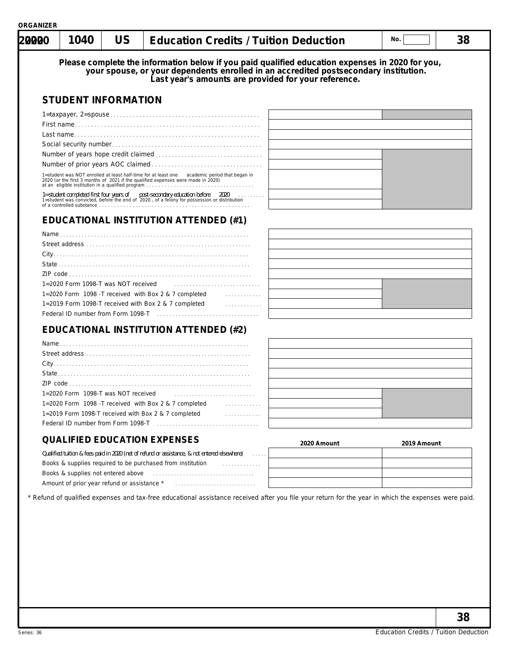| Please complete the information below if you paid qualified education expenses in 2020 for you,<br>your spouse, or your dependents enrolled in an accredited postsecondary institution.<br>Last year's amounts are provided for your<br><b>STUDENT INFORMATION</b><br>1=student was NOT enrolled at least half-time for at least one academic period that began in 2020 (or the first 3 months of 2021 if the qualified expenses were made in 2020)<br>1=student completed first four years of post-secondary education before 2020<br>1=student was convicted, before the end of 2020, of a felony for possession or distribution<br><b>EDUCATIONAL INSTITUTION ATTENDED (#1)</b><br>1=2020 Form 1098-T was NOT received<br>1=2020 Form 1098 - T received with Box 2 & 7 completed<br>1=2019 Form 1098-T received with Box 2 & 7 completed<br>.<br><b>EDUCATIONAL INSTITUTION ATTENDED (#2)</b><br>1=2020 Form 1098-T was NOT received<br>1=2020 Form 1098 - T received with Box 2 & 7 completed<br>1=2019 Form 1098-T received with Box 2 & 7 completed<br>.<br><b>QUALIFIED EDUCATION EXPENSES</b><br>2020 Amount<br>2019 Amount<br>Qualified tuition & fees paid in 2020 (net of refund or assistance, & not entered elsewhere)<br>Books & supplies required to be purchased from institution<br>.<br>Books & supplies not entered above <b>contained</b> above <b>by a supplier of the supplier</b><br>* Refund of qualified expenses and tax-free educational assistance received after you file your return for the year in which the expenses were paid. | 1040 | <b>US</b> | <b>Education Credits / Tuition Deduction</b> | No. | 38 |
|------------------------------------------------------------------------------------------------------------------------------------------------------------------------------------------------------------------------------------------------------------------------------------------------------------------------------------------------------------------------------------------------------------------------------------------------------------------------------------------------------------------------------------------------------------------------------------------------------------------------------------------------------------------------------------------------------------------------------------------------------------------------------------------------------------------------------------------------------------------------------------------------------------------------------------------------------------------------------------------------------------------------------------------------------------------------------------------------------------------------------------------------------------------------------------------------------------------------------------------------------------------------------------------------------------------------------------------------------------------------------------------------------------------------------------------------------------------------------------------------------------------------------------------------------------------|------|-----------|----------------------------------------------|-----|----|
|                                                                                                                                                                                                                                                                                                                                                                                                                                                                                                                                                                                                                                                                                                                                                                                                                                                                                                                                                                                                                                                                                                                                                                                                                                                                                                                                                                                                                                                                                                                                                                  |      |           |                                              |     |    |
|                                                                                                                                                                                                                                                                                                                                                                                                                                                                                                                                                                                                                                                                                                                                                                                                                                                                                                                                                                                                                                                                                                                                                                                                                                                                                                                                                                                                                                                                                                                                                                  |      |           |                                              |     |    |
|                                                                                                                                                                                                                                                                                                                                                                                                                                                                                                                                                                                                                                                                                                                                                                                                                                                                                                                                                                                                                                                                                                                                                                                                                                                                                                                                                                                                                                                                                                                                                                  |      |           |                                              |     |    |
|                                                                                                                                                                                                                                                                                                                                                                                                                                                                                                                                                                                                                                                                                                                                                                                                                                                                                                                                                                                                                                                                                                                                                                                                                                                                                                                                                                                                                                                                                                                                                                  |      |           |                                              |     |    |
|                                                                                                                                                                                                                                                                                                                                                                                                                                                                                                                                                                                                                                                                                                                                                                                                                                                                                                                                                                                                                                                                                                                                                                                                                                                                                                                                                                                                                                                                                                                                                                  |      |           |                                              |     |    |
|                                                                                                                                                                                                                                                                                                                                                                                                                                                                                                                                                                                                                                                                                                                                                                                                                                                                                                                                                                                                                                                                                                                                                                                                                                                                                                                                                                                                                                                                                                                                                                  |      |           |                                              |     |    |
|                                                                                                                                                                                                                                                                                                                                                                                                                                                                                                                                                                                                                                                                                                                                                                                                                                                                                                                                                                                                                                                                                                                                                                                                                                                                                                                                                                                                                                                                                                                                                                  |      |           |                                              |     |    |
|                                                                                                                                                                                                                                                                                                                                                                                                                                                                                                                                                                                                                                                                                                                                                                                                                                                                                                                                                                                                                                                                                                                                                                                                                                                                                                                                                                                                                                                                                                                                                                  |      |           |                                              |     |    |
|                                                                                                                                                                                                                                                                                                                                                                                                                                                                                                                                                                                                                                                                                                                                                                                                                                                                                                                                                                                                                                                                                                                                                                                                                                                                                                                                                                                                                                                                                                                                                                  |      |           |                                              |     |    |
|                                                                                                                                                                                                                                                                                                                                                                                                                                                                                                                                                                                                                                                                                                                                                                                                                                                                                                                                                                                                                                                                                                                                                                                                                                                                                                                                                                                                                                                                                                                                                                  |      |           |                                              |     |    |
|                                                                                                                                                                                                                                                                                                                                                                                                                                                                                                                                                                                                                                                                                                                                                                                                                                                                                                                                                                                                                                                                                                                                                                                                                                                                                                                                                                                                                                                                                                                                                                  |      |           |                                              |     |    |
|                                                                                                                                                                                                                                                                                                                                                                                                                                                                                                                                                                                                                                                                                                                                                                                                                                                                                                                                                                                                                                                                                                                                                                                                                                                                                                                                                                                                                                                                                                                                                                  |      |           |                                              |     |    |
|                                                                                                                                                                                                                                                                                                                                                                                                                                                                                                                                                                                                                                                                                                                                                                                                                                                                                                                                                                                                                                                                                                                                                                                                                                                                                                                                                                                                                                                                                                                                                                  |      |           |                                              |     |    |
|                                                                                                                                                                                                                                                                                                                                                                                                                                                                                                                                                                                                                                                                                                                                                                                                                                                                                                                                                                                                                                                                                                                                                                                                                                                                                                                                                                                                                                                                                                                                                                  |      |           |                                              |     |    |
|                                                                                                                                                                                                                                                                                                                                                                                                                                                                                                                                                                                                                                                                                                                                                                                                                                                                                                                                                                                                                                                                                                                                                                                                                                                                                                                                                                                                                                                                                                                                                                  |      |           |                                              |     |    |
|                                                                                                                                                                                                                                                                                                                                                                                                                                                                                                                                                                                                                                                                                                                                                                                                                                                                                                                                                                                                                                                                                                                                                                                                                                                                                                                                                                                                                                                                                                                                                                  |      |           |                                              |     |    |
|                                                                                                                                                                                                                                                                                                                                                                                                                                                                                                                                                                                                                                                                                                                                                                                                                                                                                                                                                                                                                                                                                                                                                                                                                                                                                                                                                                                                                                                                                                                                                                  |      |           |                                              |     |    |
|                                                                                                                                                                                                                                                                                                                                                                                                                                                                                                                                                                                                                                                                                                                                                                                                                                                                                                                                                                                                                                                                                                                                                                                                                                                                                                                                                                                                                                                                                                                                                                  |      |           |                                              |     |    |
|                                                                                                                                                                                                                                                                                                                                                                                                                                                                                                                                                                                                                                                                                                                                                                                                                                                                                                                                                                                                                                                                                                                                                                                                                                                                                                                                                                                                                                                                                                                                                                  |      |           |                                              |     |    |
|                                                                                                                                                                                                                                                                                                                                                                                                                                                                                                                                                                                                                                                                                                                                                                                                                                                                                                                                                                                                                                                                                                                                                                                                                                                                                                                                                                                                                                                                                                                                                                  |      |           |                                              |     |    |
|                                                                                                                                                                                                                                                                                                                                                                                                                                                                                                                                                                                                                                                                                                                                                                                                                                                                                                                                                                                                                                                                                                                                                                                                                                                                                                                                                                                                                                                                                                                                                                  |      |           |                                              |     |    |
|                                                                                                                                                                                                                                                                                                                                                                                                                                                                                                                                                                                                                                                                                                                                                                                                                                                                                                                                                                                                                                                                                                                                                                                                                                                                                                                                                                                                                                                                                                                                                                  |      |           |                                              |     |    |
|                                                                                                                                                                                                                                                                                                                                                                                                                                                                                                                                                                                                                                                                                                                                                                                                                                                                                                                                                                                                                                                                                                                                                                                                                                                                                                                                                                                                                                                                                                                                                                  |      |           |                                              |     |    |
|                                                                                                                                                                                                                                                                                                                                                                                                                                                                                                                                                                                                                                                                                                                                                                                                                                                                                                                                                                                                                                                                                                                                                                                                                                                                                                                                                                                                                                                                                                                                                                  |      |           |                                              |     |    |
|                                                                                                                                                                                                                                                                                                                                                                                                                                                                                                                                                                                                                                                                                                                                                                                                                                                                                                                                                                                                                                                                                                                                                                                                                                                                                                                                                                                                                                                                                                                                                                  |      |           |                                              |     |    |
|                                                                                                                                                                                                                                                                                                                                                                                                                                                                                                                                                                                                                                                                                                                                                                                                                                                                                                                                                                                                                                                                                                                                                                                                                                                                                                                                                                                                                                                                                                                                                                  |      |           |                                              |     |    |
|                                                                                                                                                                                                                                                                                                                                                                                                                                                                                                                                                                                                                                                                                                                                                                                                                                                                                                                                                                                                                                                                                                                                                                                                                                                                                                                                                                                                                                                                                                                                                                  |      |           |                                              |     |    |
|                                                                                                                                                                                                                                                                                                                                                                                                                                                                                                                                                                                                                                                                                                                                                                                                                                                                                                                                                                                                                                                                                                                                                                                                                                                                                                                                                                                                                                                                                                                                                                  |      |           |                                              |     |    |
|                                                                                                                                                                                                                                                                                                                                                                                                                                                                                                                                                                                                                                                                                                                                                                                                                                                                                                                                                                                                                                                                                                                                                                                                                                                                                                                                                                                                                                                                                                                                                                  |      |           |                                              |     |    |
|                                                                                                                                                                                                                                                                                                                                                                                                                                                                                                                                                                                                                                                                                                                                                                                                                                                                                                                                                                                                                                                                                                                                                                                                                                                                                                                                                                                                                                                                                                                                                                  |      |           |                                              |     |    |
|                                                                                                                                                                                                                                                                                                                                                                                                                                                                                                                                                                                                                                                                                                                                                                                                                                                                                                                                                                                                                                                                                                                                                                                                                                                                                                                                                                                                                                                                                                                                                                  |      |           |                                              |     | 38 |

**ORGANIZER**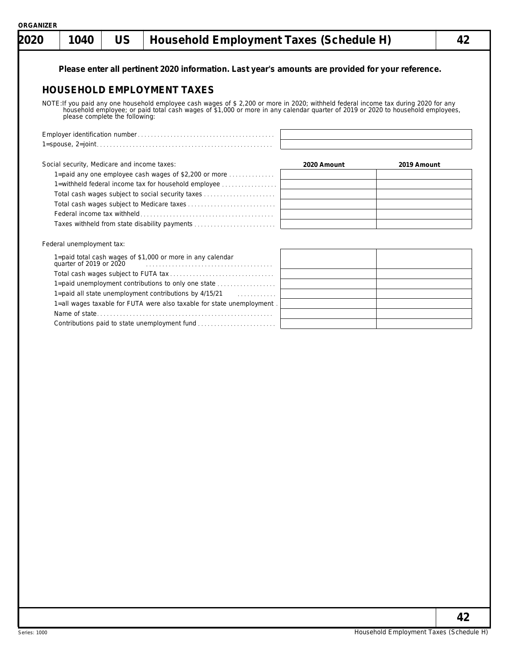| 2020 | 1040                                        | <b>US</b>                      | Household Employment Taxes (Schedule H)                                                                                                                                                                                                                                 |             |             | 42 |
|------|---------------------------------------------|--------------------------------|-------------------------------------------------------------------------------------------------------------------------------------------------------------------------------------------------------------------------------------------------------------------------|-------------|-------------|----|
|      |                                             |                                | Please enter all pertinent 2020 information. Last year's amounts are provided for your reference.                                                                                                                                                                       |             |             |    |
|      |                                             |                                | <b>HOUSEHOLD EMPLOYMENT TAXES</b>                                                                                                                                                                                                                                       |             |             |    |
|      |                                             | please complete the following: | NOTE: If you paid any one household employee cash wages of \$ 2,200 or more in 2020; withheld federal income tax during 2020 for any<br>household employee; or paid total cash wages of \$1,000 or more in any calendar quarter of 2019 or 2020 to household employees, |             |             |    |
|      |                                             |                                |                                                                                                                                                                                                                                                                         |             |             |    |
|      |                                             |                                |                                                                                                                                                                                                                                                                         |             |             |    |
|      | Social security, Medicare and income taxes: |                                |                                                                                                                                                                                                                                                                         | 2020 Amount | 2019 Amount |    |
|      |                                             |                                | 1=paid any one employee cash wages of \$2,200 or more $\ldots$                                                                                                                                                                                                          |             |             |    |
|      |                                             |                                | 1=withheld federal income tax for household employee                                                                                                                                                                                                                    |             |             |    |
|      |                                             |                                | Total cash wages subject to social security taxes                                                                                                                                                                                                                       |             |             |    |
|      |                                             |                                |                                                                                                                                                                                                                                                                         |             |             |    |
|      |                                             |                                |                                                                                                                                                                                                                                                                         |             |             |    |
|      |                                             |                                | Taxes withheld from state disability payments                                                                                                                                                                                                                           |             |             |    |
|      | Federal unemployment tax:                   |                                |                                                                                                                                                                                                                                                                         |             |             |    |
|      | quarter of 2019 or 2020                     |                                | 1=paid total cash wages of \$1,000 or more in any calendar                                                                                                                                                                                                              |             |             |    |
|      |                                             |                                |                                                                                                                                                                                                                                                                         |             |             |    |
|      |                                             |                                | 1=paid unemployment contributions to only one state                                                                                                                                                                                                                     |             |             |    |
|      |                                             |                                | 1=paid all state unemployment contributions by 4/15/21<br>.                                                                                                                                                                                                             |             |             |    |
|      |                                             |                                | 1=all wages taxable for FUTA were also taxable for state unemployment.                                                                                                                                                                                                  |             |             |    |
|      |                                             |                                |                                                                                                                                                                                                                                                                         |             |             |    |
|      |                                             |                                |                                                                                                                                                                                                                                                                         |             |             |    |
|      |                                             |                                |                                                                                                                                                                                                                                                                         |             |             |    |
|      |                                             |                                |                                                                                                                                                                                                                                                                         |             |             |    |
|      |                                             |                                |                                                                                                                                                                                                                                                                         |             |             |    |
|      |                                             |                                |                                                                                                                                                                                                                                                                         |             |             |    |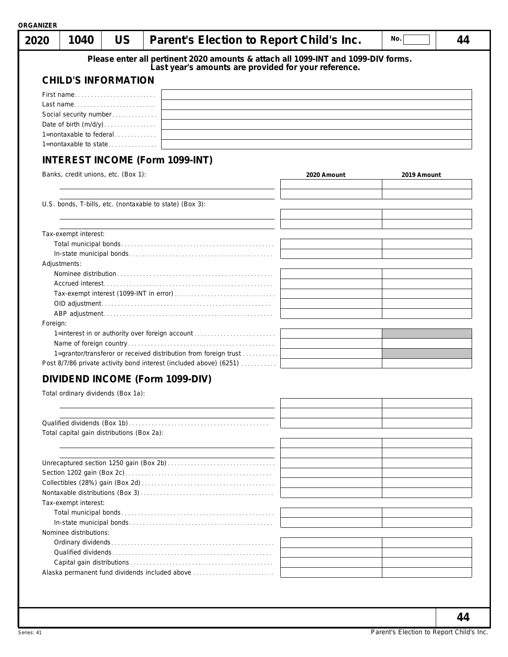| 2020     | 1040                                       | <b>US</b> | Parent's Election to Report Child's Inc.                                          |             | No.         | 44 |
|----------|--------------------------------------------|-----------|-----------------------------------------------------------------------------------|-------------|-------------|----|
|          |                                            |           | Please enter all pertinent 2020 amounts & attach all 1099-INT and 1099-DIV forms. |             |             |    |
|          |                                            |           | Last year's amounts are provided for your reference.                              |             |             |    |
|          | <b>CHILD'S INFORMATION</b>                 |           |                                                                                   |             |             |    |
|          | First name                                 |           |                                                                                   |             |             |    |
|          | Last name                                  |           |                                                                                   |             |             |    |
|          | Social security number                     |           |                                                                                   |             |             |    |
|          |                                            |           |                                                                                   |             |             |    |
|          | 1=nontaxable to federal                    |           |                                                                                   |             |             |    |
|          |                                            |           |                                                                                   |             |             |    |
|          |                                            |           | <b>INTEREST INCOME (Form 1099-INT)</b>                                            |             |             |    |
|          | Banks, credit unions, etc. (Box 1):        |           |                                                                                   | 2020 Amount | 2019 Amount |    |
|          |                                            |           |                                                                                   |             |             |    |
|          |                                            |           |                                                                                   |             |             |    |
|          |                                            |           | U.S. bonds, T-bills, etc. (nontaxable to state) (Box 3):                          |             |             |    |
|          |                                            |           |                                                                                   |             |             |    |
|          | Tax-exempt interest:                       |           |                                                                                   |             |             |    |
|          |                                            |           |                                                                                   |             |             |    |
|          |                                            |           |                                                                                   |             |             |    |
|          | Adjustments:                               |           |                                                                                   |             |             |    |
|          |                                            |           |                                                                                   |             |             |    |
|          |                                            |           |                                                                                   |             |             |    |
|          |                                            |           |                                                                                   |             |             |    |
|          |                                            |           |                                                                                   |             |             |    |
|          |                                            |           |                                                                                   |             |             |    |
| Foreign: |                                            |           |                                                                                   |             |             |    |
|          |                                            |           | 1=interest in or authority over foreign account                                   |             |             |    |
|          |                                            |           | 1=grantor/transferor or received distribution from foreign trust                  |             |             |    |
|          |                                            |           | Post 8/7/86 private activity bond interest (included above) (6251)                |             |             |    |
|          |                                            |           |                                                                                   |             |             |    |
|          |                                            |           | DIVIDEND INCOME (Form 1099-DIV)                                                   |             |             |    |
|          | Total ordinary dividends (Box 1a):         |           |                                                                                   |             |             |    |
|          |                                            |           |                                                                                   |             |             |    |
|          |                                            |           |                                                                                   |             |             |    |
|          | Total capital gain distributions (Box 2a): |           |                                                                                   |             |             |    |
|          |                                            |           |                                                                                   |             |             |    |
|          |                                            |           |                                                                                   |             |             |    |
|          |                                            |           |                                                                                   |             |             |    |
|          |                                            |           |                                                                                   |             |             |    |
|          |                                            |           |                                                                                   |             |             |    |
|          |                                            |           |                                                                                   |             |             |    |
|          | Tax-exempt interest:                       |           |                                                                                   |             |             |    |
|          |                                            |           |                                                                                   |             |             |    |
|          |                                            |           |                                                                                   |             |             |    |
|          | Nominee distributions:                     |           |                                                                                   |             |             |    |
|          |                                            |           |                                                                                   |             |             |    |
|          |                                            |           |                                                                                   |             |             |    |
|          |                                            |           |                                                                                   |             |             |    |
|          |                                            |           |                                                                                   |             |             |    |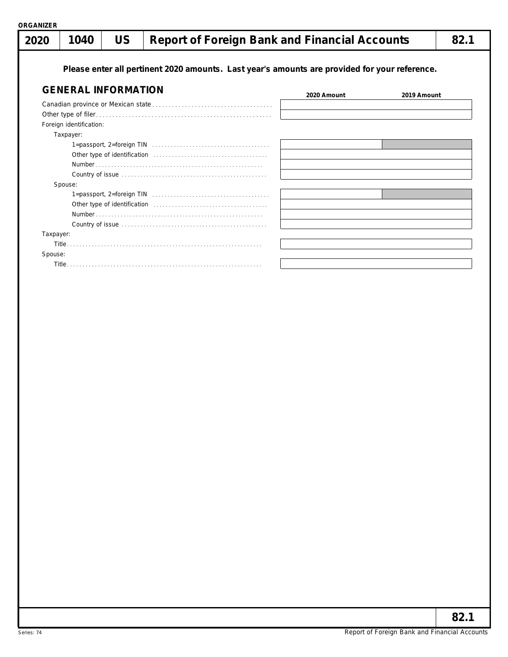| 2020      | 1040                       | <b>US</b> | <b>Report of Foreign Bank and Financial Accounts</b>                                                      |             |             | 82.1 |
|-----------|----------------------------|-----------|-----------------------------------------------------------------------------------------------------------|-------------|-------------|------|
|           |                            |           | Please enter all pertinent 2020 amounts. Last year's amounts are provided for your reference.             |             |             |      |
|           | <b>GENERAL INFORMATION</b> |           |                                                                                                           | 2020 Amount | 2019 Amount |      |
|           |                            |           |                                                                                                           |             |             |      |
|           |                            |           |                                                                                                           |             |             |      |
|           | Foreign identification:    |           |                                                                                                           |             |             |      |
|           | Taxpayer:                  |           |                                                                                                           |             |             |      |
|           |                            |           | $1 =$ passport, $2 =$ foreign TIN $\ldots \ldots \ldots \ldots \ldots \ldots \ldots \ldots \ldots \ldots$ |             |             |      |
|           |                            |           |                                                                                                           |             |             |      |
|           |                            |           |                                                                                                           |             |             |      |
|           |                            |           |                                                                                                           |             |             |      |
|           | Spouse:                    |           |                                                                                                           |             |             |      |
|           |                            |           |                                                                                                           |             |             |      |
|           |                            |           |                                                                                                           |             |             |      |
|           |                            |           |                                                                                                           |             |             |      |
|           |                            |           |                                                                                                           |             |             |      |
| Taxpayer: |                            |           |                                                                                                           |             |             |      |
|           |                            |           |                                                                                                           |             |             |      |
| Spouse:   |                            |           |                                                                                                           |             |             |      |
|           |                            |           |                                                                                                           |             |             |      |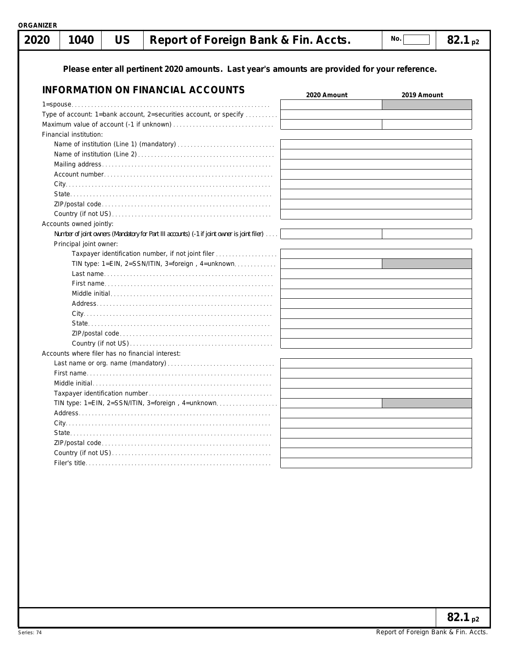| 2020 | 1040                                            | <b>US</b> | Report of Foreign Bank & Fin. Accts.                                                          |             | No.         | $82.1_{\text{p2}}$ |
|------|-------------------------------------------------|-----------|-----------------------------------------------------------------------------------------------|-------------|-------------|--------------------|
|      |                                                 |           | Please enter all pertinent 2020 amounts. Last year's amounts are provided for your reference. |             |             |                    |
|      |                                                 |           | <b>INFORMATION ON FINANCIAL ACCOUNTS</b>                                                      | 2020 Amount | 2019 Amount |                    |
|      |                                                 |           |                                                                                               |             |             |                    |
|      |                                                 |           | Type of account: 1=bank account, 2=securities account, or specify                             |             |             |                    |
|      |                                                 |           |                                                                                               |             |             |                    |
|      | Financial institution:                          |           |                                                                                               |             |             |                    |
|      |                                                 |           |                                                                                               |             |             |                    |
|      |                                                 |           |                                                                                               |             |             |                    |
|      |                                                 |           |                                                                                               |             |             |                    |
|      |                                                 |           |                                                                                               |             |             |                    |
|      |                                                 |           |                                                                                               |             |             |                    |
|      |                                                 |           |                                                                                               |             |             |                    |
|      |                                                 |           |                                                                                               |             |             |                    |
|      |                                                 |           |                                                                                               |             |             |                    |
|      | Accounts owned jointly:                         |           |                                                                                               |             |             |                    |
|      |                                                 |           | Number of joint owners (Mandatory for Part III accounts) (-1 if joint owner is joint filer)   |             |             |                    |
|      | Principal joint owner:                          |           |                                                                                               |             |             |                    |
|      |                                                 |           | Taxpayer identification number, if not joint filer                                            |             |             |                    |
|      |                                                 |           | TIN type: 1=EIN, 2=SSN/ITIN, 3=foreign, 4=unknown                                             |             |             |                    |
|      |                                                 |           |                                                                                               |             |             |                    |
|      |                                                 |           |                                                                                               |             |             |                    |
|      |                                                 |           |                                                                                               |             |             |                    |
|      |                                                 |           |                                                                                               |             |             |                    |
|      |                                                 |           |                                                                                               |             |             |                    |
|      |                                                 |           |                                                                                               |             |             |                    |
|      |                                                 |           |                                                                                               |             |             |                    |
|      |                                                 |           |                                                                                               |             |             |                    |
|      | Accounts where filer has no financial interest: |           |                                                                                               |             |             |                    |
|      |                                                 |           |                                                                                               |             |             |                    |
|      |                                                 |           |                                                                                               |             |             |                    |
|      |                                                 |           |                                                                                               |             |             |                    |
|      | Taxpayer identification number                  |           |                                                                                               |             |             |                    |
|      |                                                 |           | TIN type: 1=EIN, 2=SSN/ITIN, 3=foreign, 4=unknown                                             |             |             |                    |
|      | Address                                         |           |                                                                                               |             |             |                    |
|      |                                                 |           |                                                                                               |             |             |                    |
|      |                                                 |           |                                                                                               |             |             |                    |
|      |                                                 |           |                                                                                               |             |             |                    |
|      |                                                 |           |                                                                                               |             |             |                    |
|      |                                                 |           |                                                                                               |             |             |                    |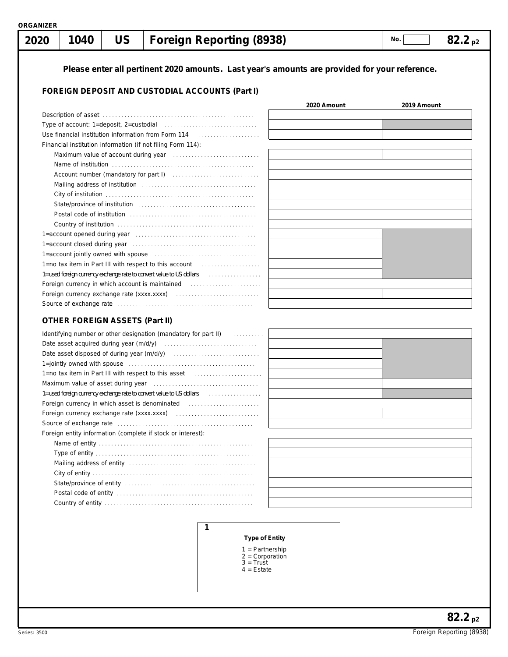## **Please enter all pertinent 2020 amounts. Last year's amounts are provided for your reference. 1040** | US | Foreign Reporting (8938) | No. | No. | 82.2 p2  **2020** Foreign entity information (complete if stock or interest): Name of entity . . . . . . . . . . . . . . . . . . . . . . . . . . . . . . . . . . . . . . . . . . . . . . . . . . **FOREIGN DEPOSIT AND CUSTODIAL ACCOUNTS (Part I)** Type of account: 1=deposit, 2=custodial ................................... Use financial institution information from Form 114 . . . . . . . . . . . . . . . . . . . . Financial institution information (if not filing Form 114): Maximum value of account during year . . . . . . . . . . . . . . . . . . . . . . . . . . . . Name of institution . . . . . . . . . . . . . . . . . . . . . . . . . . . . . . . . . . . . . . . . . . . . . . Account number (mandatory for part I) . . . . . . . . . . . . . . . . . . . . . . . . . . . . Mailing address of institution . . . . . . . . . . . . . . . . . . . . . . . . . . . . . . . . . . . . . City of institution . . . . . . . . . . . . . . . . . . . . . . . . . . . . . . . . . . . . . . . . . . . . . . . . State/province of institution . . . . . . . . . . . . . . . . . . . . . . . . . . . . . . . . . . . . . . Postal code of institution . . . . . . . . . . . . . . . . . . . . . . . . . . . . . . . . . . . . . . . . . Country of institution . . . . . . . . . . . . . . . . . . . . . . . . . . . . . . . . . . . . . . . . . . . . **2020 Amount 2019 Amount No.** Description of asset . . . . . . . . . . . . . . . . . . . . . . . . . . . . . . . . . . . . . . . . . . . . . . . . . 1=account opened during year . . . . . . . . . . . . . . . . . . . . . . . . . . . . . . . . . . . . . . . 1=account closed during year . . . . . . . . . . . . . . . . . . . . . . . . . . . . . . . . . . . . . . . . 1=account jointly owned with spouse . . . . . . . . . . . . . . . . . . . . . . . . . . . . . . . . . 1=no tax item in Part III with respect to this account 1=used foreign currency exchange rate to convert value to US dollars . . . . . . . . . . . . . . . . . Foreign currency in which account is maintained . . . . . . . . . . . . . . . . . . . . . . . Foreign currency exchange rate (xxxx.xxxx) . . . . . . . . . . . . . . . . . . . . . . . . . . . Source of exchange rate . . . . . . . . . . . . . . . . . . . . . . . . . . . . . . . . . . . . . . . . . . . . **OTHER FOREIGN ASSETS (Part II)** Date asset acquired during year (m/d/y) . . . . . . . . . . . . . . . . . . . . . . . . . . . . . . Date asset disposed of during year (m/d/y) . . . . . . . . . . . . . . . . . . . . . . . . . . . . Identifying number or other designation (mandatory for part II) . . . . . . . . . . 1=jointly owned with spouse . . . . . . . . . . . . . . . . . . . . . . . . . . . . . . . . . . . . . . . . . 1=no tax item in Part III with respect to this asset . . . . . . . . . . . . . . . . . . . . . . Maximum value of asset during year . . . . . . . . . . . . . . . . . . . . . . . . . . . . . . . . . . 1=used foreign currency exchange rate to convert value to US dollars [1, . . . . . . . . . . . . . . Foreign currency in which asset is denominated .................................. Foreign currency exchange rate (xxxx.xxxx) . . . . . . . . . . . . . . . . . . . . . . . . . . . Source of exchange rate . . . . . . . . . . . . . . . . . . . . . . . . . . . . . . . . . . . . . . . . . . . .

Type of entity . . . . . . . . . . . . . . . . . . . . . . . . . . . . . . . . . . . . . . . . . . . . . . . . . . . Mailing address of entity . . . . . . . . . . . . . . . . . . . . . . . . . . . . . . . . . . . . . . . . . City of entity . . . . . . . . . . . . . . . . . . . . . . . . . . . . . . . . . . . . . . . . . . . . . . . . . . . . Postal code of entity . . . . . . . . . . . . . . . . . . . . . . . . . . . . . . . . . . . . . . . . . . . . Country of entity . . . . . . . . . . . . . . . . . . . . . . . . . . . . . . . . . . . . . . . . . . . . . . . . State/province of entity . . . . . . . . . . . . . . . . . . . . . . . . . . . . . . . . . . . . . . . . . .

| . . |  |
|-----|--|
|     |  |
|     |  |
|     |  |
|     |  |
|     |  |
|     |  |
|     |  |
|     |  |
|     |  |
|     |  |
|     |  |

#### **Type of Entity**

#### 1 = Partnership

2 = Corporation

**1**

- $3 =$  Trust
- 4 = Estate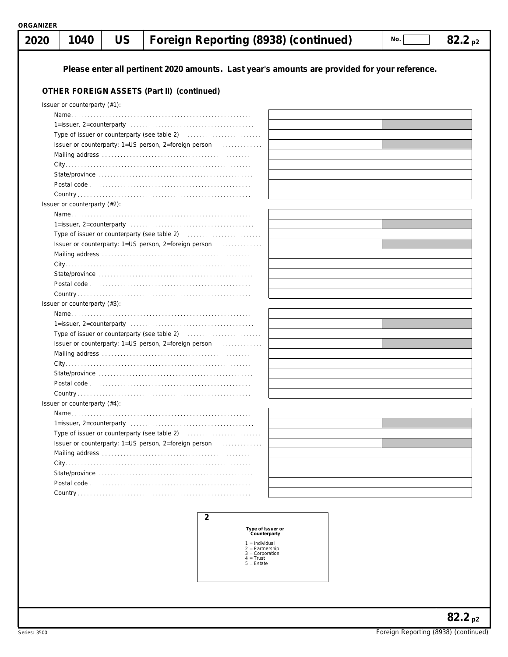| 2020 | 1040                             | <b>US</b> | Foreign Reporting (8938) (continued)                                                          | No. | $82.2_{\text{p2}}$ |
|------|----------------------------------|-----------|-----------------------------------------------------------------------------------------------|-----|--------------------|
|      |                                  |           |                                                                                               |     |                    |
|      |                                  |           | Please enter all pertinent 2020 amounts. Last year's amounts are provided for your reference. |     |                    |
|      |                                  |           | OTHER FOREIGN ASSETS (Part II) (continued)                                                    |     |                    |
|      | Issuer or counterparty (#1):     |           |                                                                                               |     |                    |
|      |                                  |           |                                                                                               |     |                    |
|      |                                  |           |                                                                                               |     |                    |
|      |                                  |           |                                                                                               |     |                    |
|      |                                  |           | Issuer or counterparty: 1=US person, 2=foreign person<br>.                                    |     |                    |
|      |                                  |           |                                                                                               |     |                    |
|      |                                  |           |                                                                                               |     |                    |
|      |                                  |           |                                                                                               |     |                    |
|      |                                  |           |                                                                                               |     |                    |
|      |                                  |           |                                                                                               |     |                    |
|      | Issuer or counterparty (#2):     |           |                                                                                               |     |                    |
|      |                                  |           |                                                                                               |     |                    |
|      |                                  |           |                                                                                               |     |                    |
|      |                                  |           |                                                                                               |     |                    |
|      |                                  |           | Issuer or counterparty: 1=US person, 2=foreign person<br>.                                    |     |                    |
|      |                                  |           |                                                                                               |     |                    |
|      |                                  |           |                                                                                               |     |                    |
|      |                                  |           |                                                                                               |     |                    |
|      |                                  |           |                                                                                               |     |                    |
|      |                                  |           |                                                                                               |     |                    |
|      | Issuer or counterparty $(\#3)$ : |           |                                                                                               |     |                    |
|      |                                  |           |                                                                                               |     |                    |
|      |                                  |           |                                                                                               |     |                    |
|      |                                  |           |                                                                                               |     |                    |
|      |                                  |           | Issuer or counterparty: 1=US person, 2=foreign person<br>.                                    |     |                    |
|      |                                  |           |                                                                                               |     |                    |
|      |                                  |           |                                                                                               |     |                    |
|      |                                  |           |                                                                                               |     |                    |
|      |                                  |           |                                                                                               |     |                    |
|      |                                  |           |                                                                                               |     |                    |
|      | Issuer or counterparty $(#4)$ :  |           |                                                                                               |     |                    |
|      |                                  |           |                                                                                               |     |                    |
|      |                                  |           |                                                                                               |     |                    |
|      |                                  |           |                                                                                               |     |                    |
|      |                                  |           | Issuer or counterparty: 1=US person, 2=foreign person<br>.                                    |     |                    |
|      |                                  |           |                                                                                               |     |                    |
|      |                                  |           |                                                                                               |     |                    |
|      |                                  |           |                                                                                               |     |                    |
|      |                                  |           |                                                                                               |     |                    |
|      |                                  |           |                                                                                               |     |                    |
|      |                                  |           |                                                                                               |     |                    |

**Type of Issuer or Counterparty**

- 
- 1 = Individual 2 = Partnership 3 = Corporation 4 = Trust 5 = Estate
	-